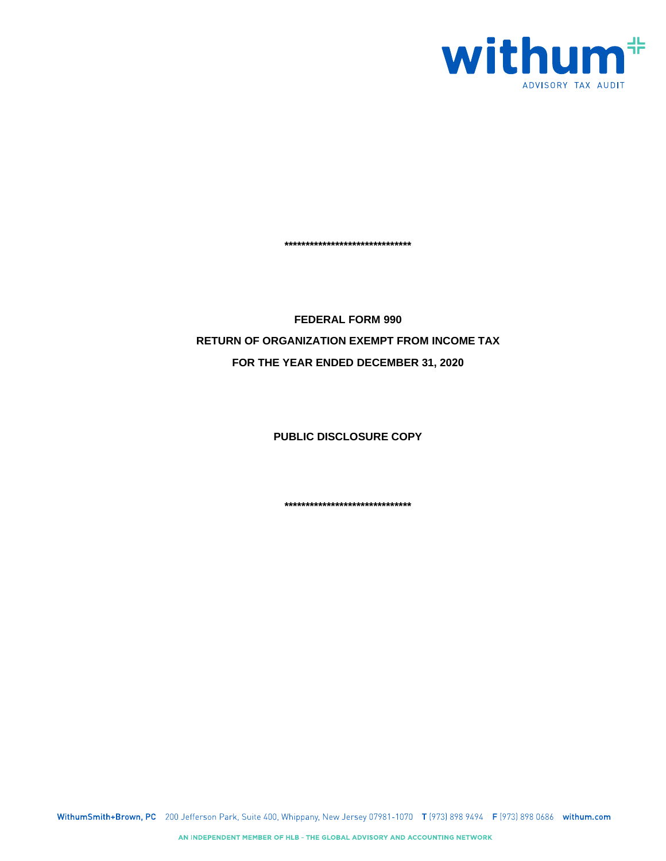

**\*\*\*\*\*\*\*\*\*\*\*\*\*\*\*\*\*\*\*\*\*\*\*\*\*\*\*\*\*\***

**FEDERAL FORM 990 RETURN OF ORGANIZATION EXEMPT FROM INCOME TAX FOR THE YEAR ENDED DECEMBER 31, 2020**

**PUBLIC DISCLOSURE COPY**

**\*\*\*\*\*\*\*\*\*\*\*\*\*\*\*\*\*\*\*\*\*\*\*\*\*\*\*\*\*\***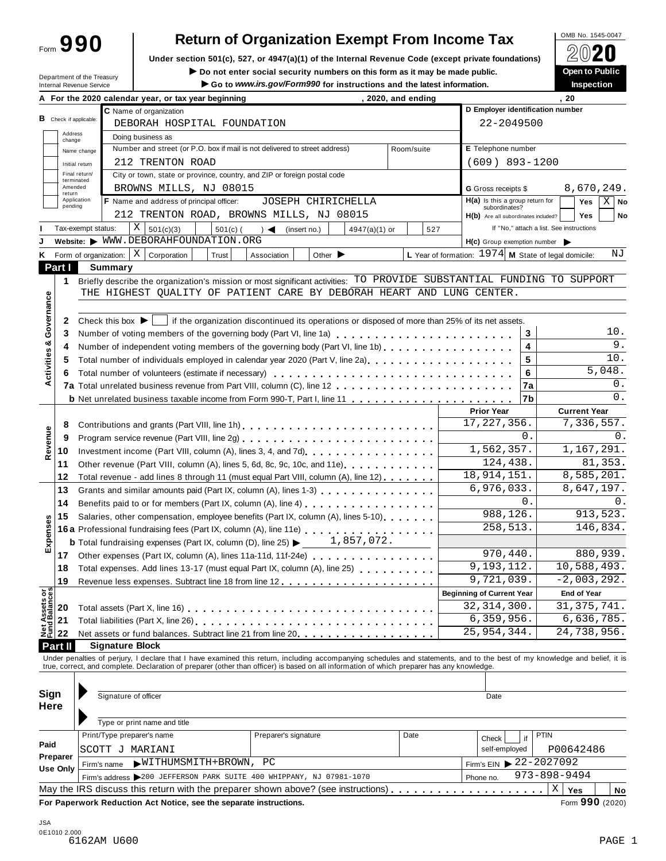Form **990**

# **Return of Organization Exempt From Income Tax**<br>section 501(c), 527, or 4947(a)(1) of the Internal Revenue Code (except private foundations)  $2020$

**Under section 501(c), 527, or 4947(a)(1) of the Internal Revenue Code (except private foundations)** À¾¶´

Under section 501(c), 527, or 4947(a)(1) or the Internal Revenue Code (except private foundations)<br>Department of the Treasury **Department of the Treasury Department of the Treasury Department of the Treasury** 

|                                      | Department of the Treasury<br>Internal Revenue Service |                                      | $\blacktriangleright$ Do not enter social security numbers on this form as it may be made public.                                                                                                                              | Go to www.irs.gov/Form990 for instructions and the latest information. |                             |                    |                                                                                                 | <b>Open to Public</b><br><b>Inspection</b> |
|--------------------------------------|--------------------------------------------------------|--------------------------------------|--------------------------------------------------------------------------------------------------------------------------------------------------------------------------------------------------------------------------------|------------------------------------------------------------------------|-----------------------------|--------------------|-------------------------------------------------------------------------------------------------|--------------------------------------------|
|                                      |                                                        |                                      | A For the 2020 calendar year, or tax year beginning                                                                                                                                                                            |                                                                        |                             | , 2020, and ending |                                                                                                 | . 20                                       |
|                                      |                                                        |                                      | C Name of organization                                                                                                                                                                                                         |                                                                        |                             |                    | D Employer identification number                                                                |                                            |
|                                      | <b>B</b> Check if applicable:                          |                                      | DEBORAH HOSPITAL FOUNDATION                                                                                                                                                                                                    |                                                                        |                             |                    | 22-2049500                                                                                      |                                            |
| change                               | Address                                                |                                      | Doing business as                                                                                                                                                                                                              |                                                                        |                             |                    |                                                                                                 |                                            |
|                                      | Name change                                            |                                      | Number and street (or P.O. box if mail is not delivered to street address)                                                                                                                                                     |                                                                        |                             | Room/suite         | E Telephone number                                                                              |                                            |
|                                      | Initial return                                         |                                      | 212 TRENTON ROAD                                                                                                                                                                                                               |                                                                        |                             |                    | $(609)$ 893-1200                                                                                |                                            |
|                                      | Final return/                                          |                                      | City or town, state or province, country, and ZIP or foreign postal code                                                                                                                                                       |                                                                        |                             |                    |                                                                                                 |                                            |
|                                      | terminated<br>Amended                                  |                                      | BROWNS MILLS, NJ 08015                                                                                                                                                                                                         |                                                                        |                             |                    | G Gross receipts \$                                                                             | 8,670,249.                                 |
| return                               | Application                                            |                                      | F Name and address of principal officer:                                                                                                                                                                                       | JOSEPH CHIRICHELLA                                                     |                             |                    | H(a) Is this a group return for                                                                 | $X \mid$ No<br>Yes                         |
| pending                              |                                                        |                                      | 212 TRENTON ROAD, BROWNS MILLS, NJ 08015                                                                                                                                                                                       |                                                                        |                             |                    | subordinates?                                                                                   |                                            |
|                                      |                                                        |                                      |                                                                                                                                                                                                                                |                                                                        |                             |                    | H(b) Are all subordinates included?                                                             | <b>Yes</b><br>No                           |
|                                      | Tax-exempt status:                                     |                                      | X<br>501(c)(3)<br>$501(c)$ (                                                                                                                                                                                                   | $\rightarrow$ $\blacktriangleleft$<br>(insert no.)                     | 4947(a)(1) or               | 527                |                                                                                                 | If "No," attach a list. See instructions   |
|                                      |                                                        |                                      | Website: WWW.DEBORAHFOUNDATION.ORG                                                                                                                                                                                             |                                                                        |                             |                    | $H(c)$ Group exemption number $\blacktriangleright$                                             |                                            |
|                                      | Form of organization:                                  |                                      | X<br>Corporation<br>Trust                                                                                                                                                                                                      | Association                                                            | Other $\blacktriangleright$ |                    | L Year of formation: $1974$ M State of legal domicile:                                          | ΝJ                                         |
| Part I                               |                                                        | <b>Summary</b>                       |                                                                                                                                                                                                                                |                                                                        |                             |                    |                                                                                                 |                                            |
| 1                                    |                                                        |                                      | Briefly describe the organization's mission or most significant activities: TO PROVIDE SUBSTANTIAL FUNDING TO SUPPORT                                                                                                          |                                                                        |                             |                    |                                                                                                 |                                            |
|                                      |                                                        |                                      | THE HIGHEST QUALITY OF PATIENT CARE BY DEBORAH HEART AND LUNG CENTER.                                                                                                                                                          |                                                                        |                             |                    |                                                                                                 |                                            |
| Activities & Governance              |                                                        |                                      |                                                                                                                                                                                                                                |                                                                        |                             |                    |                                                                                                 |                                            |
| 2                                    |                                                        | Check this box $\blacktriangleright$ |                                                                                                                                                                                                                                |                                                                        |                             |                    | if the organization discontinued its operations or disposed of more than 25% of its net assets. |                                            |
| 3                                    |                                                        |                                      | Number of voting members of the governing body (Part VI, line 1a)                                                                                                                                                              |                                                                        |                             |                    | 3                                                                                               | 10.                                        |
| 4                                    |                                                        |                                      | Number of independent voting members of the governing body (Part VI, line 1b)                                                                                                                                                  |                                                                        |                             |                    | 4                                                                                               | $\overline{9}$ .                           |
| 5                                    |                                                        |                                      | Total number of individuals employed in calendar year 2020 (Part V, line 2a)                                                                                                                                                   |                                                                        |                             |                    | 5                                                                                               | $10.$                                      |
| 6                                    |                                                        |                                      |                                                                                                                                                                                                                                |                                                                        |                             |                    | 6                                                                                               | 5,048.                                     |
|                                      |                                                        |                                      |                                                                                                                                                                                                                                |                                                                        |                             |                    | 7a                                                                                              | 0.                                         |
|                                      |                                                        |                                      |                                                                                                                                                                                                                                |                                                                        |                             |                    | 7b                                                                                              | 0.                                         |
|                                      |                                                        |                                      |                                                                                                                                                                                                                                |                                                                        |                             |                    | <b>Prior Year</b>                                                                               | <b>Current Year</b>                        |
| 8                                    |                                                        |                                      | Contributions and grants (Part VIII, line 1h)                                                                                                                                                                                  |                                                                        |                             |                    | 17, 227, 356.                                                                                   | 7,336,557.                                 |
| 9                                    |                                                        |                                      |                                                                                                                                                                                                                                |                                                                        |                             |                    | 0.                                                                                              | 0.                                         |
|                                      |                                                        |                                      |                                                                                                                                                                                                                                |                                                                        |                             |                    | 1,562,357.                                                                                      | 1,167,291.                                 |
| Revenue<br>10                        |                                                        |                                      |                                                                                                                                                                                                                                |                                                                        |                             |                    | 124,438.                                                                                        | 81,353.                                    |
| 11                                   |                                                        |                                      | Other revenue (Part VIII, column (A), lines 5, 6d, 8c, 9c, 10c, and 11e)                                                                                                                                                       |                                                                        |                             |                    | 18, 914, 151.                                                                                   | 8,585,201.                                 |
| 12                                   |                                                        |                                      | Total revenue - add lines 8 through 11 (must equal Part VIII, column (A), line 12)                                                                                                                                             |                                                                        |                             |                    |                                                                                                 | $\overline{8}$ , 647, 197.                 |
| 13                                   |                                                        |                                      | Grants and similar amounts paid (Part IX, column (A), lines 1-3)                                                                                                                                                               |                                                                        |                             |                    | 6,976,033.<br>0.                                                                                |                                            |
| 14                                   |                                                        |                                      | Benefits paid to or for members (Part IX, column (A), line 4) [10] cases are set of the set of the set of the set of the set of the set of the set of the set of the set of the set of the set of the set of the set of the se |                                                                        |                             |                    |                                                                                                 | 0.                                         |
| 15                                   |                                                        |                                      | Salaries, other compensation, employee benefits (Part IX, column (A), lines 5-10)                                                                                                                                              |                                                                        |                             |                    | 988,126.                                                                                        | 913,523.                                   |
|                                      |                                                        |                                      |                                                                                                                                                                                                                                |                                                                        |                             |                    | 258,513.                                                                                        | 146,834.                                   |
| Expenses                             |                                                        |                                      | <b>b</b> Total fundraising expenses (Part IX, column (D), line 25) $\blacktriangleright$                                                                                                                                       |                                                                        | 1,857,072.                  |                    |                                                                                                 |                                            |
| 17                                   |                                                        |                                      | Other expenses (Part IX, column (A), lines 11a-11d, 11f-24e)                                                                                                                                                                   |                                                                        |                             |                    | 970,440.                                                                                        | 880,939.                                   |
| 18                                   |                                                        |                                      | Total expenses. Add lines 13-17 (must equal Part IX, column (A), line 25)                                                                                                                                                      |                                                                        |                             |                    | 9,193,112.                                                                                      | 10,588,493.                                |
| 19                                   |                                                        |                                      |                                                                                                                                                                                                                                |                                                                        |                             |                    | 9,721,039.                                                                                      | $-2,003,292.$                              |
|                                      |                                                        |                                      |                                                                                                                                                                                                                                |                                                                        |                             |                    | <b>Beginning of Current Year</b>                                                                | <b>End of Year</b>                         |
| Net Assets or<br>Fund Balances<br>20 |                                                        |                                      |                                                                                                                                                                                                                                |                                                                        |                             |                    | 32, 314, 300.                                                                                   | 31, 375, 741.                              |
| 21                                   |                                                        |                                      |                                                                                                                                                                                                                                |                                                                        |                             |                    | 6,359,956.                                                                                      | 6,636,785.                                 |
| 22                                   |                                                        |                                      | Net assets or fund balances. Subtract line 21 from line 20.                                                                                                                                                                    |                                                                        |                             |                    | 25, 954, 344.                                                                                   | 24,738,956.                                |
| Part II                              |                                                        |                                      | <b>Signature Block</b>                                                                                                                                                                                                         |                                                                        |                             |                    |                                                                                                 |                                            |
|                                      |                                                        |                                      | Under penalties of perjury, I declare that I have examined this return, including accompanying schedules and statements, and to the best of my knowledge and belief, it is true, correct, and complete. Declaration of prepare |                                                                        |                             |                    |                                                                                                 |                                            |
|                                      |                                                        |                                      |                                                                                                                                                                                                                                |                                                                        |                             |                    |                                                                                                 |                                            |
|                                      |                                                        |                                      |                                                                                                                                                                                                                                |                                                                        |                             |                    |                                                                                                 |                                            |
| Sign                                 |                                                        |                                      | Signature of officer                                                                                                                                                                                                           |                                                                        |                             |                    | Date                                                                                            |                                            |
| <b>Here</b>                          |                                                        |                                      |                                                                                                                                                                                                                                |                                                                        |                             |                    |                                                                                                 |                                            |
|                                      |                                                        |                                      | Type or print name and title                                                                                                                                                                                                   |                                                                        |                             |                    |                                                                                                 |                                            |
|                                      |                                                        |                                      | Print/Type preparer's name                                                                                                                                                                                                     |                                                                        |                             | Date               |                                                                                                 | <b>PTIN</b>                                |
| Paid                                 |                                                        |                                      |                                                                                                                                                                                                                                | Preparer's signature                                                   |                             |                    | if<br>Check                                                                                     |                                            |
| Preparer                             |                                                        |                                      | SCOTT J MARIANI                                                                                                                                                                                                                |                                                                        |                             |                    | self-employed                                                                                   | P00642486                                  |
| Use Only                             |                                                        | Firm's name                          | WITHUMSMITH+BROWN, PC                                                                                                                                                                                                          |                                                                        |                             |                    | Firm's EIN $\triangleright$ 22-2027092                                                          |                                            |
|                                      |                                                        |                                      | Firm's address >200 JEFFERSON PARK SUITE 400 WHIPPANY, NJ 07981-1070                                                                                                                                                           |                                                                        |                             |                    | Phone no.                                                                                       | 973-898-9494                               |
|                                      |                                                        |                                      | May the IRS discuss this return with the preparer shown above? (see instructions)                                                                                                                                              |                                                                        |                             |                    |                                                                                                 | $\mathbf X$                                |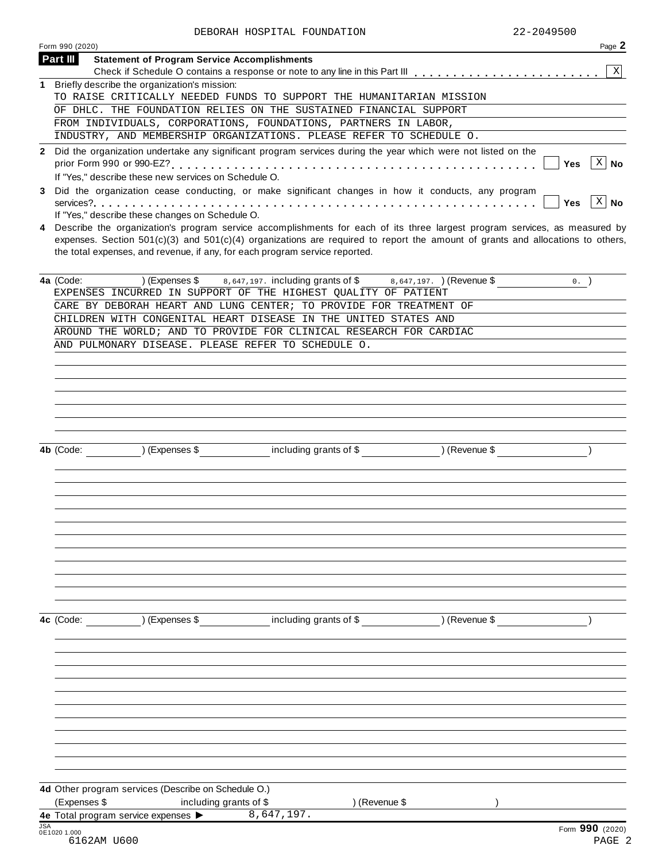|              | Form 990 (2020)<br>Page 2                                                                                                                                                                                                                                                                                                                       |
|--------------|-------------------------------------------------------------------------------------------------------------------------------------------------------------------------------------------------------------------------------------------------------------------------------------------------------------------------------------------------|
|              | <b>Part III</b><br><b>Statement of Program Service Accomplishments</b>                                                                                                                                                                                                                                                                          |
|              | $\mathbf{x}$                                                                                                                                                                                                                                                                                                                                    |
| 1            | Briefly describe the organization's mission:                                                                                                                                                                                                                                                                                                    |
|              | TO RAISE CRITICALLY NEEDED FUNDS TO SUPPORT THE HUMANITARIAN MISSION                                                                                                                                                                                                                                                                            |
|              | OF DHLC. THE FOUNDATION RELIES ON THE SUSTAINED FINANCIAL SUPPORT                                                                                                                                                                                                                                                                               |
|              | FROM INDIVIDUALS, CORPORATIONS, FOUNDATIONS, PARTNERS IN LABOR,                                                                                                                                                                                                                                                                                 |
|              | INDUSTRY, AND MEMBERSHIP ORGANIZATIONS. PLEASE REFER TO SCHEDULE O.                                                                                                                                                                                                                                                                             |
| $\mathbf{2}$ | Did the organization undertake any significant program services during the year which were not listed on the<br>$X \mid No$<br>Yes<br>If "Yes," describe these new services on Schedule O.                                                                                                                                                      |
| 3            | Did the organization cease conducting, or make significant changes in how it conducts, any program<br>$ X $ No<br><b>Yes</b><br>If "Yes," describe these changes on Schedule O.                                                                                                                                                                 |
| 4            | Describe the organization's program service accomplishments for each of its three largest program services, as measured by<br>expenses. Section $501(c)(3)$ and $501(c)(4)$ organizations are required to report the amount of grants and allocations to others,<br>the total expenses, and revenue, if any, for each program service reported. |
|              | 4a (Code:<br>) (Expenses \$<br>8,647,197. including grants of \$8,647,197. ) (Revenue \$<br>$0.$ )<br>EXPENSES INCURRED IN SUPPORT OF THE HIGHEST QUALITY OF PATIENT                                                                                                                                                                            |
|              | CARE BY DEBORAH HEART AND LUNG CENTER; TO PROVIDE FOR TREATMENT OF                                                                                                                                                                                                                                                                              |
|              | CHILDREN WITH CONGENITAL HEART DISEASE IN THE UNITED STATES AND                                                                                                                                                                                                                                                                                 |
|              | AROUND THE WORLD; AND TO PROVIDE FOR CLINICAL RESEARCH FOR CARDIAC                                                                                                                                                                                                                                                                              |
|              | AND PULMONARY DISEASE. PLEASE REFER TO SCHEDULE O.                                                                                                                                                                                                                                                                                              |
|              |                                                                                                                                                                                                                                                                                                                                                 |
|              |                                                                                                                                                                                                                                                                                                                                                 |
|              |                                                                                                                                                                                                                                                                                                                                                 |
|              |                                                                                                                                                                                                                                                                                                                                                 |
|              |                                                                                                                                                                                                                                                                                                                                                 |
|              |                                                                                                                                                                                                                                                                                                                                                 |
|              |                                                                                                                                                                                                                                                                                                                                                 |
|              | ) (Expenses \$<br>including grants of \$<br>) (Revenue \$<br>4b (Code:                                                                                                                                                                                                                                                                          |
|              |                                                                                                                                                                                                                                                                                                                                                 |
|              |                                                                                                                                                                                                                                                                                                                                                 |
|              |                                                                                                                                                                                                                                                                                                                                                 |
|              |                                                                                                                                                                                                                                                                                                                                                 |
|              |                                                                                                                                                                                                                                                                                                                                                 |
|              |                                                                                                                                                                                                                                                                                                                                                 |
|              |                                                                                                                                                                                                                                                                                                                                                 |
|              |                                                                                                                                                                                                                                                                                                                                                 |
|              |                                                                                                                                                                                                                                                                                                                                                 |
|              |                                                                                                                                                                                                                                                                                                                                                 |
|              |                                                                                                                                                                                                                                                                                                                                                 |
|              |                                                                                                                                                                                                                                                                                                                                                 |
|              |                                                                                                                                                                                                                                                                                                                                                 |
|              |                                                                                                                                                                                                                                                                                                                                                 |
|              | ) (Expenses \$<br>including grants of \$<br>) (Revenue \$<br>4c (Code:                                                                                                                                                                                                                                                                          |
|              |                                                                                                                                                                                                                                                                                                                                                 |
|              |                                                                                                                                                                                                                                                                                                                                                 |
|              |                                                                                                                                                                                                                                                                                                                                                 |
|              |                                                                                                                                                                                                                                                                                                                                                 |
|              |                                                                                                                                                                                                                                                                                                                                                 |
|              |                                                                                                                                                                                                                                                                                                                                                 |
|              |                                                                                                                                                                                                                                                                                                                                                 |
|              |                                                                                                                                                                                                                                                                                                                                                 |
|              |                                                                                                                                                                                                                                                                                                                                                 |
|              |                                                                                                                                                                                                                                                                                                                                                 |
|              |                                                                                                                                                                                                                                                                                                                                                 |
|              |                                                                                                                                                                                                                                                                                                                                                 |
|              |                                                                                                                                                                                                                                                                                                                                                 |
|              | 4d Other program services (Describe on Schedule O.)                                                                                                                                                                                                                                                                                             |
|              | (Expenses \$<br>) (Revenue \$<br>including grants of \$<br>8,647,197.<br>4e Total program service expenses >                                                                                                                                                                                                                                    |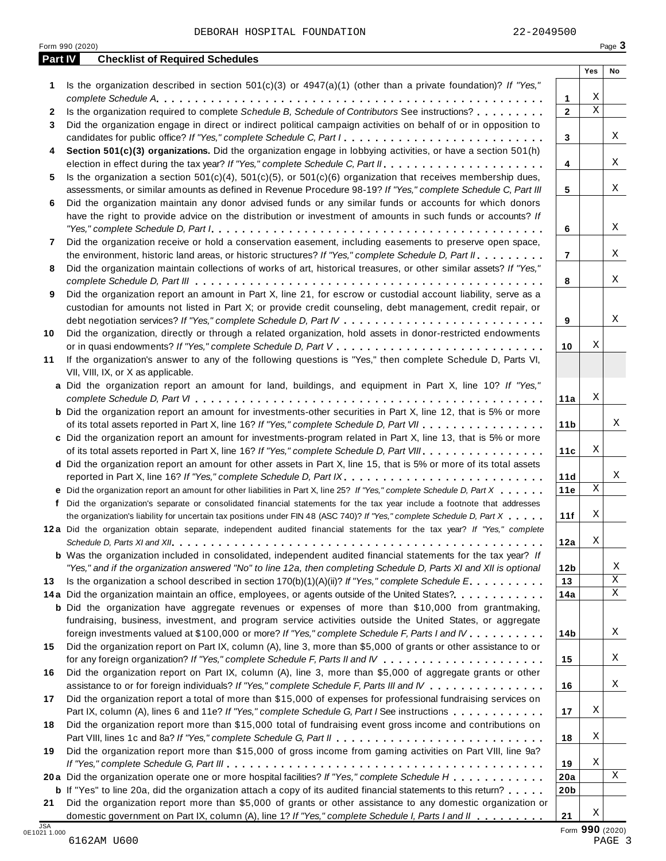|    | Is the organization described in section $501(c)(3)$ or $4947(a)(1)$ (other than a private foundation)? If "Yes,"                                                                                           |                 | Yes                     | No |
|----|-------------------------------------------------------------------------------------------------------------------------------------------------------------------------------------------------------------|-----------------|-------------------------|----|
| 1  |                                                                                                                                                                                                             | 1               | Χ                       |    |
| 2  | Is the organization required to complete Schedule B, Schedule of Contributors See instructions?                                                                                                             | $\overline{2}$  | $\overline{\mathbf{x}}$ |    |
| 3  | Did the organization engage in direct or indirect political campaign activities on behalf of or in opposition to                                                                                            |                 |                         |    |
|    | candidates for public office? If "Yes," complete Schedule C, Part I.                                                                                                                                        | 3               |                         |    |
| 4  | Section 501(c)(3) organizations. Did the organization engage in lobbying activities, or have a section 501(h)                                                                                               |                 |                         |    |
|    |                                                                                                                                                                                                             | 4               |                         |    |
| 5  | Is the organization a section $501(c)(4)$ , $501(c)(5)$ , or $501(c)(6)$ organization that receives membership dues,                                                                                        |                 |                         |    |
|    | assessments, or similar amounts as defined in Revenue Procedure 98-19? If "Yes," complete Schedule C, Part III                                                                                              | 5               |                         |    |
| 6  | Did the organization maintain any donor advised funds or any similar funds or accounts for which donors                                                                                                     |                 |                         |    |
|    | have the right to provide advice on the distribution or investment of amounts in such funds or accounts? If                                                                                                 |                 |                         |    |
|    |                                                                                                                                                                                                             | 6               |                         |    |
| 7  | Did the organization receive or hold a conservation easement, including easements to preserve open space,                                                                                                   |                 |                         |    |
|    | the environment, historic land areas, or historic structures? If "Yes," complete Schedule D, Part II.                                                                                                       | 7               |                         |    |
| 8  | Did the organization maintain collections of works of art, historical treasures, or other similar assets? If "Yes,"                                                                                         | 8               |                         |    |
| 9  | Did the organization report an amount in Part X, line 21, for escrow or custodial account liability, serve as a                                                                                             |                 |                         |    |
|    | custodian for amounts not listed in Part X; or provide credit counseling, debt management, credit repair, or                                                                                                |                 |                         |    |
|    |                                                                                                                                                                                                             | 9               |                         |    |
| 10 | Did the organization, directly or through a related organization, hold assets in donor-restricted endowments                                                                                                |                 |                         |    |
|    |                                                                                                                                                                                                             | 10              | Χ                       |    |
| 11 | If the organization's answer to any of the following questions is "Yes," then complete Schedule D, Parts VI,                                                                                                |                 |                         |    |
|    | VII, VIII, IX, or X as applicable.                                                                                                                                                                          |                 |                         |    |
|    | a Did the organization report an amount for land, buildings, and equipment in Part X, line 10? If "Yes,"                                                                                                    |                 |                         |    |
|    |                                                                                                                                                                                                             | 11a             | Χ                       |    |
|    | <b>b</b> Did the organization report an amount for investments-other securities in Part X, line 12, that is 5% or more                                                                                      |                 |                         |    |
|    | of its total assets reported in Part X, line 16? If "Yes," complete Schedule D, Part VII                                                                                                                    | 11 <sub>b</sub> |                         |    |
|    | c Did the organization report an amount for investments-program related in Part X, line 13, that is 5% or more                                                                                              |                 | Χ                       |    |
|    | of its total assets reported in Part X, line 16? If "Yes," complete Schedule D, Part VIII                                                                                                                   | 11c             |                         |    |
|    | d Did the organization report an amount for other assets in Part X, line 15, that is 5% or more of its total assets                                                                                         | 11d             |                         |    |
|    | e Did the organization report an amount for other liabilities in Part X, line 25? If "Yes," complete Schedule D, Part X                                                                                     | 11e             | $\mathbf X$             |    |
|    | f Did the organization's separate or consolidated financial statements for the tax year include a footnote that addresses                                                                                   |                 |                         |    |
|    | the organization's liability for uncertain tax positions under FIN 48 (ASC 740)? If "Yes," complete Schedule D, Part X                                                                                      | 11f             | Χ                       |    |
|    | 12a Did the organization obtain separate, independent audited financial statements for the tax year? If "Yes," complete                                                                                     |                 |                         |    |
|    |                                                                                                                                                                                                             | 12a             | Х                       |    |
|    | <b>b</b> Was the organization included in consolidated, independent audited financial statements for the tax year? If                                                                                       |                 |                         |    |
|    | "Yes," and if the organization answered "No" to line 12a, then completing Schedule D, Parts XI and XII is optional                                                                                          | 12 <sub>b</sub> |                         |    |
| 13 | Is the organization a school described in section $170(b)(1)(A)(ii)?$ If "Yes," complete Schedule E.                                                                                                        | 13              |                         |    |
|    | 14a Did the organization maintain an office, employees, or agents outside of the United States?.                                                                                                            | 14a             |                         |    |
|    | <b>b</b> Did the organization have aggregate revenues or expenses of more than \$10,000 from grantmaking,                                                                                                   |                 |                         |    |
|    | fundraising, business, investment, and program service activities outside the United States, or aggregate<br>foreign investments valued at \$100,000 or more? If "Yes," complete Schedule F, Parts I and IV |                 |                         |    |
| 15 | Did the organization report on Part IX, column (A), line 3, more than \$5,000 of grants or other assistance to or                                                                                           | 14 <sub>b</sub> |                         |    |
|    |                                                                                                                                                                                                             | 15              |                         |    |
| 16 | Did the organization report on Part IX, column (A), line 3, more than \$5,000 of aggregate grants or other                                                                                                  |                 |                         |    |
|    | assistance to or for foreign individuals? If "Yes," complete Schedule F, Parts III and IV                                                                                                                   | 16              |                         |    |
| 17 | Did the organization report a total of more than \$15,000 of expenses for professional fundraising services on                                                                                              |                 |                         |    |
|    | Part IX, column (A), lines 6 and 11e? If "Yes," complete Schedule G, Part I See instructions                                                                                                                | 17              | Χ                       |    |
| 18 | Did the organization report more than \$15,000 total of fundraising event gross income and contributions on                                                                                                 |                 |                         |    |
|    |                                                                                                                                                                                                             | 18              | Χ                       |    |
| 19 | Did the organization report more than \$15,000 of gross income from gaming activities on Part VIII, line 9a?                                                                                                |                 |                         |    |
|    |                                                                                                                                                                                                             | 19              | Χ                       |    |
|    | 20a Did the organization operate one or more hospital facilities? If "Yes," complete Schedule H                                                                                                             | 20a             |                         |    |
|    | <b>b</b> If "Yes" to line 20a, did the organization attach a copy of its audited financial statements to this return?                                                                                       | 20 <sub>b</sub> |                         |    |
| 21 | Did the organization report more than \$5,000 of grants or other assistance to any domestic organization or                                                                                                 |                 | Χ                       |    |
|    | domestic government on Part IX, column (A), line 1? If "Yes," complete Schedule I, Parts I and II                                                                                                           | 21              |                         |    |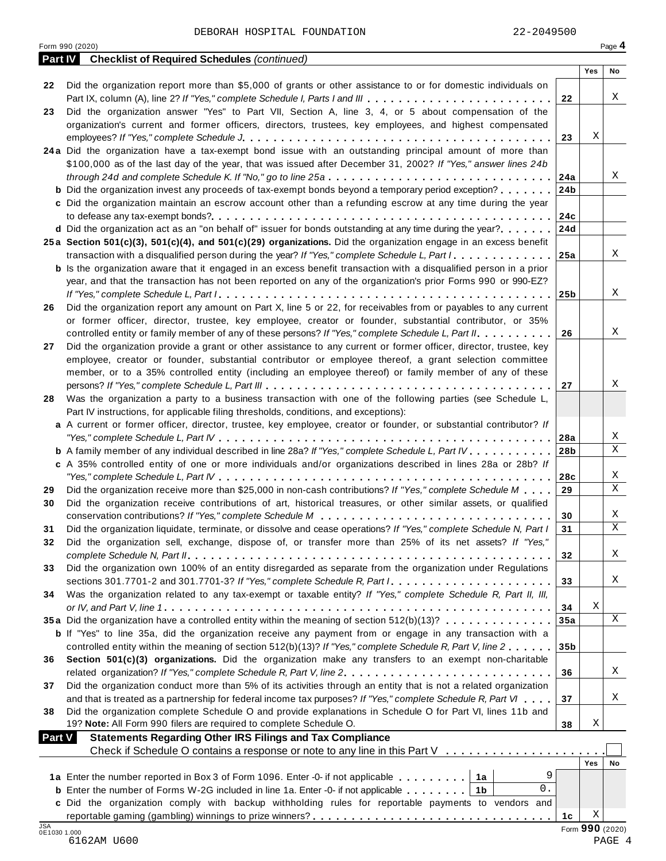|                            | <b>Part IV</b> Checklist of Required Schedules (continued)                                                                  |                 |                 |             |
|----------------------------|-----------------------------------------------------------------------------------------------------------------------------|-----------------|-----------------|-------------|
|                            |                                                                                                                             |                 | Yes             | No          |
| 22                         | Did the organization report more than \$5,000 of grants or other assistance to or for domestic individuals on               |                 |                 |             |
|                            | Part IX, column (A), line 2? If "Yes," complete Schedule I, Parts I and III                                                 | 22              |                 | Χ           |
| 23                         | Did the organization answer "Yes" to Part VII, Section A, line 3, 4, or 5 about compensation of the                         |                 |                 |             |
|                            | organization's current and former officers, directors, trustees, key employees, and highest compensated                     |                 |                 |             |
|                            |                                                                                                                             | 23              | Χ               |             |
|                            | 24a Did the organization have a tax-exempt bond issue with an outstanding principal amount of more than                     |                 |                 |             |
|                            | \$100,000 as of the last day of the year, that was issued after December 31, 2002? If "Yes," answer lines 24b               |                 |                 |             |
|                            |                                                                                                                             |                 |                 | Χ           |
|                            | <b>b</b> Did the organization invest any proceeds of tax-exempt bonds beyond a temporary period exception?                  | 24 <sub>b</sub> |                 |             |
|                            | c Did the organization maintain an escrow account other than a refunding escrow at any time during the year                 |                 |                 |             |
|                            |                                                                                                                             |                 |                 |             |
|                            | <b>d</b> Did the organization act as an "on behalf of" issuer for bonds outstanding at any time during the year? 24d        |                 |                 |             |
|                            | 25a Section 501(c)(3), 501(c)(4), and 501(c)(29) organizations. Did the organization engage in an excess benefit            |                 |                 |             |
|                            | transaction with a disqualified person during the year? If "Yes," complete Schedule L, Part $1, \ldots, \ldots, 125$ a      |                 |                 | Χ           |
|                            | <b>b</b> Is the organization aware that it engaged in an excess benefit transaction with a disqualified person in a prior   |                 |                 |             |
|                            | year, and that the transaction has not been reported on any of the organization's prior Forms 990 or 990-EZ?                |                 |                 |             |
|                            |                                                                                                                             |                 |                 | X           |
| 26                         | Did the organization report any amount on Part X, line 5 or 22, for receivables from or payables to any current             |                 |                 |             |
|                            | or former officer, director, trustee, key employee, creator or founder, substantial contributor, or 35%                     |                 |                 |             |
|                            | controlled entity or family member of any of these persons? If "Yes," complete Schedule L, Part II.                         | 26              |                 | Χ           |
| 27                         | Did the organization provide a grant or other assistance to any current or former officer, director, trustee, key           |                 |                 |             |
|                            | employee, creator or founder, substantial contributor or employee thereof, a grant selection committee                      |                 |                 |             |
|                            | member, or to a 35% controlled entity (including an employee thereof) or family member of any of these                      |                 |                 |             |
|                            |                                                                                                                             | 27              |                 | Χ           |
| 28                         | Was the organization a party to a business transaction with one of the following parties (see Schedule L,                   |                 |                 |             |
|                            | Part IV instructions, for applicable filing thresholds, conditions, and exceptions):                                        |                 |                 |             |
|                            | a A current or former officer, director, trustee, key employee, creator or founder, or substantial contributor? If          |                 |                 |             |
|                            |                                                                                                                             |                 |                 | Χ           |
|                            | <b>b</b> A family member of any individual described in line 28a? If "Yes," complete Schedule L, Part IV.                   | 28 <sub>b</sub> |                 | X           |
|                            | c A 35% controlled entity of one or more individuals and/or organizations described in lines 28a or 28b? If                 |                 |                 |             |
|                            |                                                                                                                             | 28c             |                 | X           |
| 29                         | Did the organization receive more than \$25,000 in non-cash contributions? If "Yes," complete Schedule M                    | 29              |                 | X           |
| 30                         | Did the organization receive contributions of art, historical treasures, or other similar assets, or qualified              |                 |                 |             |
|                            |                                                                                                                             | 30              |                 | X           |
| 31                         | Did the organization liquidate, terminate, or dissolve and cease operations? If "Yes," complete Schedule N, Part I          | 31              |                 | $\mathbf X$ |
| 32                         | Did the organization sell, exchange, dispose of, or transfer more than 25% of its net assets? If "Yes,"                     |                 |                 |             |
|                            |                                                                                                                             |                 |                 | Χ           |
|                            | Did the organization own 100% of an entity disregarded as separate from the organization under Regulations                  | 32              |                 |             |
| 33                         |                                                                                                                             |                 |                 | Χ           |
|                            | sections 301.7701-2 and 301.7701-3? If "Yes," complete Schedule R, Part $l_1, \ldots, l_l, l_l, \ldots, l_l, l_l, l_l, l_l$ | 33              |                 |             |
| 34                         | Was the organization related to any tax-exempt or taxable entity? If "Yes," complete Schedule R, Part II, III,              |                 | х               |             |
|                            |                                                                                                                             | 34              |                 | $\mathbf X$ |
|                            | 35a Did the organization have a controlled entity within the meaning of section 512(b)(13)?                                 | 35a             |                 |             |
|                            | b If "Yes" to line 35a, did the organization receive any payment from or engage in any transaction with a                   |                 |                 |             |
|                            | controlled entity within the meaning of section 512(b)(13)? If "Yes," complete Schedule R, Part V, line 2                   | 35 <sub>b</sub> |                 |             |
| 36                         | Section 501(c)(3) organizations. Did the organization make any transfers to an exempt non-charitable                        |                 |                 |             |
|                            | related organization? If "Yes," complete Schedule R, Part V, line 2.                                                        | 36              |                 | Χ           |
| 37                         | Did the organization conduct more than 5% of its activities through an entity that is not a related organization            |                 |                 |             |
|                            | and that is treated as a partnership for federal income tax purposes? If "Yes," complete Schedule R, Part VI                | 37              |                 | Χ           |
| 38                         | Did the organization complete Schedule O and provide explanations in Schedule O for Part VI, lines 11b and                  |                 |                 |             |
|                            | 19? Note: All Form 990 filers are required to complete Schedule O.                                                          | 38              | Χ               |             |
| <b>Part V</b>              | <b>Statements Regarding Other IRS Filings and Tax Compliance</b>                                                            |                 |                 |             |
|                            | Check if Schedule O contains a response or note to any line in this Part V                                                  |                 |                 |             |
|                            |                                                                                                                             |                 | Yes             | No          |
|                            | 9<br>1a Enter the number reported in Box 3 of Form 1096. Enter -0- if not applicable   1a                                   |                 |                 |             |
|                            | 0.<br><b>b</b> Enter the number of Forms W-2G included in line 1a. Enter -0- if not applicable   1b                         |                 |                 |             |
|                            | c Did the organization comply with backup withholding rules for reportable payments to vendors and                          |                 |                 |             |
|                            |                                                                                                                             | 1c              | Χ               |             |
| <b>JSA</b><br>0E1030 1.000 |                                                                                                                             |                 | Form 990 (2020) |             |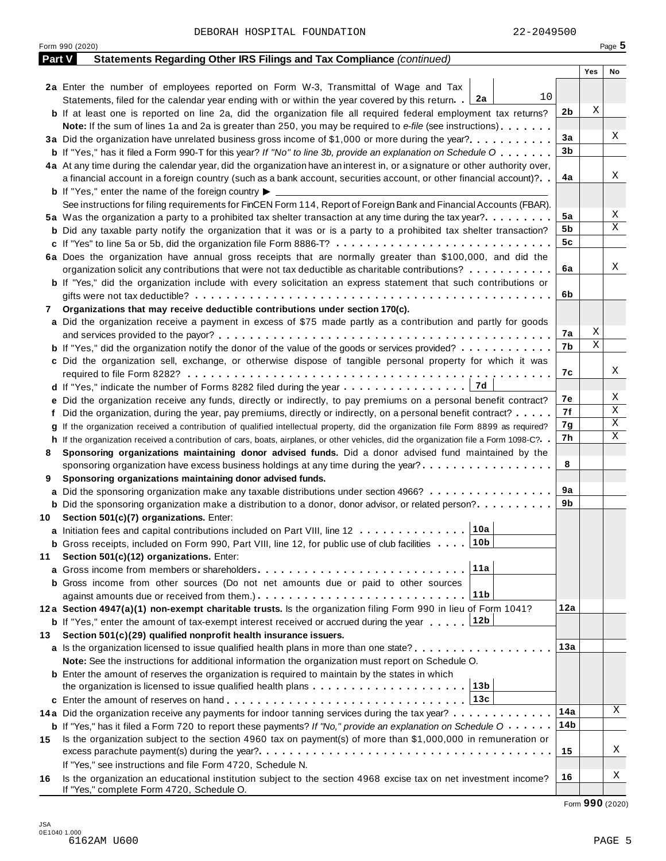|               | Form 990 (2020)                                                                                                                      |     |     | Page 5 |
|---------------|--------------------------------------------------------------------------------------------------------------------------------------|-----|-----|--------|
| <b>Part V</b> | Statements Regarding Other IRS Filings and Tax Compliance (continued)                                                                |     |     |        |
|               |                                                                                                                                      |     | Yes | No     |
|               | 2a Enter the number of employees reported on Form W-3, Transmittal of Wage and Tax                                                   |     |     |        |
|               | 10<br>Statements, filed for the calendar year ending with or within the year covered by this return. [2a]                            |     |     |        |
|               | <b>b</b> If at least one is reported on line 2a, did the organization file all required federal employment tax returns?              | 2b  | Χ   |        |
|               | <b>Note:</b> If the sum of lines 1a and 2a is greater than 250, you may be required to e-file (see instructions).                    |     |     |        |
|               | 3a Did the organization have unrelated business gross income of \$1,000 or more during the year?                                     | 3a  |     | Χ      |
|               | <b>b</b> If "Yes," has it filed a Form 990-T for this year? If "No" to line 3b, provide an explanation on Schedule O                 | 3b  |     |        |
|               | 4a At any time during the calendar year, did the organization have an interest in, or a signature or other authority over,           |     |     |        |
|               | a financial account in a foreign country (such as a bank account, securities account, or other financial account)?                   | 4a  |     | Χ      |
|               | <b>b</b> If "Yes," enter the name of the foreign country $\blacktriangleright$                                                       |     |     |        |
|               | See instructions for filing requirements for FinCEN Form 114, Report of Foreign Bank and Financial Accounts (FBAR).                  |     |     |        |
|               | 5a Was the organization a party to a prohibited tax shelter transaction at any time during the tax year?                             | 5a  |     | Χ      |
|               | <b>b</b> Did any taxable party notify the organization that it was or is a party to a prohibited tax shelter transaction?            | 5b  |     | Χ      |
|               | c If "Yes" to line 5a or 5b, did the organization file Form 8886-T?                                                                  | 5c  |     |        |
|               | 6a Does the organization have annual gross receipts that are normally greater than \$100,000, and did the                            |     |     |        |
|               | organization solicit any contributions that were not tax deductible as charitable contributions?                                     | 6a  |     | Χ      |
|               |                                                                                                                                      |     |     |        |
|               | <b>b</b> If "Yes," did the organization include with every solicitation an express statement that such contributions or              | 6b  |     |        |
|               |                                                                                                                                      |     |     |        |
| 7             | Organizations that may receive deductible contributions under section 170(c).                                                        |     |     |        |
|               | a Did the organization receive a payment in excess of \$75 made partly as a contribution and partly for goods                        |     | Χ   |        |
|               |                                                                                                                                      | 7а  | Χ   |        |
|               | <b>b</b> If "Yes," did the organization notify the donor of the value of the goods or services provided?                             | 7b  |     |        |
|               | c Did the organization sell, exchange, or otherwise dispose of tangible personal property for which it was                           |     |     |        |
|               |                                                                                                                                      | 7с  |     | Χ      |
|               |                                                                                                                                      |     |     |        |
|               | e Did the organization receive any funds, directly or indirectly, to pay premiums on a personal benefit contract?                    | 7е  |     | Χ      |
|               | f Did the organization, during the year, pay premiums, directly or indirectly, on a personal benefit contract?                       | 7f  |     | Χ      |
|               | If the organization received a contribution of qualified intellectual property, did the organization file Form 8899 as required?     | 7g  |     | Χ      |
|               | h If the organization received a contribution of cars, boats, airplanes, or other vehicles, did the organization file a Form 1098-C? | 7h  |     | Χ      |
| 8             | Sponsoring organizations maintaining donor advised funds. Did a donor advised fund maintained by the                                 |     |     |        |
|               | sponsoring organization have excess business holdings at any time during the year?                                                   | 8   |     |        |
| 9             | Sponsoring organizations maintaining donor advised funds.                                                                            |     |     |        |
|               | a Did the sponsoring organization make any taxable distributions under section 4966?                                                 | 9а  |     |        |
|               | <b>b</b> Did the sponsoring organization make a distribution to a donor, donor advisor, or related person?                           | 9b  |     |        |
| 10            | Section 501(c)(7) organizations. Enter:                                                                                              |     |     |        |
|               | 10a <br>a Initiation fees and capital contributions included on Part VIII, line 12                                                   |     |     |        |
|               | <b>b</b> Gross receipts, included on Form 990, Part VIII, line 12, for public use of club facilities 10b                             |     |     |        |
| 11            | Section 501(c)(12) organizations. Enter:                                                                                             |     |     |        |
|               | 11a<br>a Gross income from members or shareholders                                                                                   |     |     |        |
|               | <b>b</b> Gross income from other sources (Do not net amounts due or paid to other sources                                            |     |     |        |
|               | 11b                                                                                                                                  |     |     |        |
|               | 12a Section 4947(a)(1) non-exempt charitable trusts. Is the organization filing Form 990 in lieu of Form 1041?                       | 12a |     |        |
|               | 12b<br><b>b</b> If "Yes," enter the amount of tax-exempt interest received or accrued during the year                                |     |     |        |
|               |                                                                                                                                      |     |     |        |
| 13.           | Section 501(c)(29) qualified nonprofit health insurance issuers.                                                                     |     |     |        |
|               | a Is the organization licensed to issue qualified health plans in more than one state?                                               | 13а |     |        |
|               | Note: See the instructions for additional information the organization must report on Schedule O.                                    |     |     |        |
|               | <b>b</b> Enter the amount of reserves the organization is required to maintain by the states in which                                |     |     |        |
|               | the organization is licensed to issue qualified health plans $\ldots \ldots \ldots \ldots \ldots \ldots \ldots$                      |     |     |        |
|               |                                                                                                                                      |     |     |        |
|               | 14a Did the organization receive any payments for indoor tanning services during the tax year?                                       | 14a |     | Χ      |
|               | <b>b</b> If "Yes," has it filed a Form 720 to report these payments? If "No," provide an explanation on Schedule O                   | 14b |     |        |
| 15            | Is the organization subject to the section 4960 tax on payment(s) of more than \$1,000,000 in remuneration or                        |     |     |        |
|               |                                                                                                                                      | 15  |     | Χ      |
|               | If "Yes," see instructions and file Form 4720, Schedule N.                                                                           |     |     |        |
| 16            | Is the organization an educational institution subject to the section 4968 excise tax on net investment income?                      | 16  |     | Χ      |
|               | If "Yes," complete Form 4720, Schedule O.                                                                                            |     |     |        |

Form **990** (2020)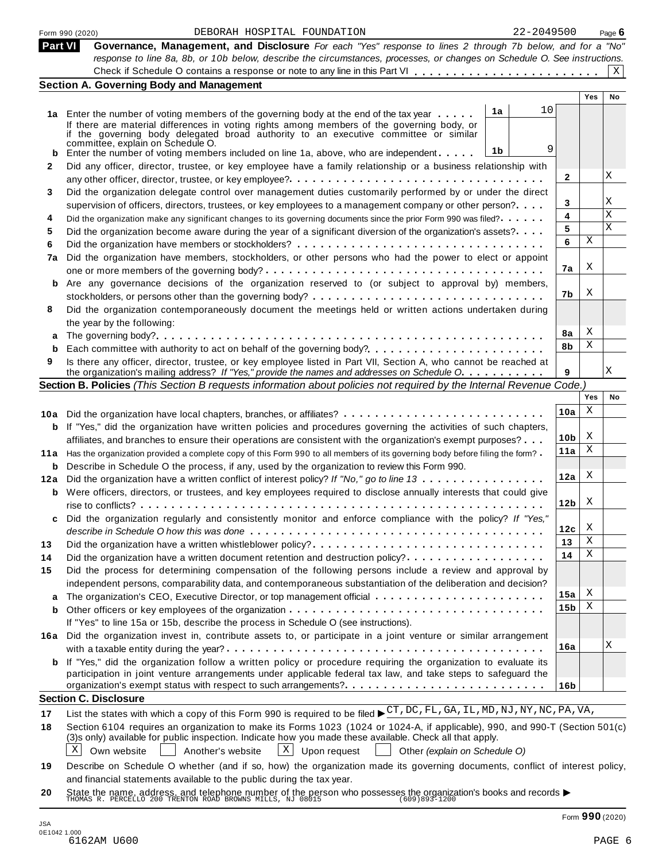|                | 22-2049500<br>DEBORAH HOSPITAL FOUNDATION<br>Form 990 (2020)                                                                                                                                                     |                 |            | Page $6$  |
|----------------|------------------------------------------------------------------------------------------------------------------------------------------------------------------------------------------------------------------|-----------------|------------|-----------|
| <b>Part VI</b> | Governance, Management, and Disclosure For each "Yes" response to lines 2 through 7b below, and for a "No"                                                                                                       |                 |            |           |
|                | response to line 8a, 8b, or 10b below, describe the circumstances, processes, or changes on Schedule O. See instructions.                                                                                        |                 |            |           |
|                |                                                                                                                                                                                                                  |                 |            | X         |
|                | <b>Section A. Governing Body and Management</b>                                                                                                                                                                  |                 |            |           |
|                |                                                                                                                                                                                                                  |                 | <b>Yes</b> | <b>No</b> |
|                | 10<br>1a<br>1a Enter the number of voting members of the governing body at the end of the tax year                                                                                                               |                 |            |           |
|                | If there are material differences in voting rights among members of the governing body, or<br>if the governing body delegated broad authority to an executive committee or similar                               |                 |            |           |
|                | committee, explain on Schedule O.                                                                                                                                                                                |                 |            |           |
|                | 9<br>1 <sub>b</sub><br>Enter the number of voting members included on line 1a, above, who are independent                                                                                                        |                 |            |           |
| 2              | Did any officer, director, trustee, or key employee have a family relationship or a business relationship with                                                                                                   |                 |            |           |
|                |                                                                                                                                                                                                                  | 2               |            | Χ         |
| 3              | Did the organization delegate control over management duties customarily performed by or under the direct                                                                                                        |                 |            |           |
|                | supervision of officers, directors, trustees, or key employees to a management company or other person?                                                                                                          | 3               |            | Χ         |
| 4              | Did the organization make any significant changes to its governing documents since the prior Form 990 was filed?                                                                                                 | 4               |            | Χ         |
| 5              | Did the organization become aware during the year of a significant diversion of the organization's assets?                                                                                                       | 5               |            | X         |
| 6              |                                                                                                                                                                                                                  | 6               | Χ          |           |
| 7a             | Did the organization have members, stockholders, or other persons who had the power to elect or appoint                                                                                                          |                 |            |           |
|                |                                                                                                                                                                                                                  | 7a              | X          |           |
| b              | Are any governance decisions of the organization reserved to (or subject to approval by) members,                                                                                                                |                 |            |           |
|                |                                                                                                                                                                                                                  | 7b              | X          |           |
| 8              | Did the organization contemporaneously document the meetings held or written actions undertaken during                                                                                                           |                 |            |           |
|                | the year by the following:                                                                                                                                                                                       |                 |            |           |
|                |                                                                                                                                                                                                                  | 8a              | Χ<br>Χ     |           |
|                |                                                                                                                                                                                                                  | 8b              |            |           |
| 9              | Is there any officer, director, trustee, or key employee listed in Part VII, Section A, who cannot be reached at<br>the organization's mailing address? If "Yes," provide the names and addresses on Schedule O. | 9               |            | Χ         |
|                | Section B. Policies (This Section B requests information about policies not required by the Internal Revenue Code.)                                                                                              |                 |            |           |
|                |                                                                                                                                                                                                                  |                 | Yes        | No        |
|                |                                                                                                                                                                                                                  | 10a             | X          |           |
|                | 10a Did the organization have local chapters, branches, or affiliates?                                                                                                                                           |                 |            |           |
|                | <b>b</b> If "Yes," did the organization have written policies and procedures governing the activities of such chapters,                                                                                          | 10 <sub>b</sub> | X          |           |
|                | affiliates, and branches to ensure their operations are consistent with the organization's exempt purposes?                                                                                                      | 11a             | X          |           |
| 11a            | Has the organization provided a complete copy of this Form 990 to all members of its governing body before filing the form?                                                                                      |                 |            |           |
| b              | Describe in Schedule O the process, if any, used by the organization to review this Form 990.                                                                                                                    | 12a             | X          |           |
| 12a            | Did the organization have a written conflict of interest policy? If "No," go to line 13                                                                                                                          |                 |            |           |
|                | <b>b</b> Were officers, directors, or trustees, and key employees required to disclose annually interests that could give                                                                                        | 12 <sub>b</sub> | X          |           |
|                |                                                                                                                                                                                                                  |                 |            |           |
|                | Did the organization regularly and consistently monitor and enforce compliance with the policy? If "Yes,"                                                                                                        | 12c             | X          |           |
|                | Did the organization have a written whistleblower policy?                                                                                                                                                        | 13              | Χ          |           |
| 13             | Did the organization have a written document retention and destruction policy?                                                                                                                                   | 14              | Χ          |           |
| 14             |                                                                                                                                                                                                                  |                 |            |           |
| 15             | Did the process for determining compensation of the following persons include a review and approval by                                                                                                           |                 |            |           |
|                | independent persons, comparability data, and contemporaneous substantiation of the deliberation and decision?                                                                                                    | 15a             | X          |           |
| a              |                                                                                                                                                                                                                  | 15b             | Χ          |           |
| b              | If "Yes" to line 15a or 15b, describe the process in Schedule O (see instructions).                                                                                                                              |                 |            |           |
|                |                                                                                                                                                                                                                  |                 |            |           |
| 16a            | Did the organization invest in, contribute assets to, or participate in a joint venture or similar arrangement                                                                                                   | 16a             |            | Χ         |
|                | <b>b</b> If "Yes," did the organization follow a written policy or procedure requiring the organization to evaluate its                                                                                          |                 |            |           |
|                | participation in joint venture arrangements under applicable federal tax law, and take steps to safeguard the                                                                                                    |                 |            |           |
|                | organization's exempt status with respect to such arrangements?                                                                                                                                                  | 16 <sub>b</sub> |            |           |
|                | <b>Section C. Disclosure</b>                                                                                                                                                                                     |                 |            |           |
|                | List the states with which a copy of this Form 990 is required to be filed $\blacktriangleright$ CT, DC, FL, GA, IL, MD, NJ, NY, NC, PA, VA,                                                                     |                 |            |           |
| 17             | Section 6104 requires an organization to make its Forms 1023 (1024 or 1024-A, if applicable), 990, and 990-T (Section 501(c)                                                                                     |                 |            |           |
| 18             | (3)s only) available for public inspection. Indicate how you made these available. Check all that apply.                                                                                                         |                 |            |           |
|                | X<br>$\mathbf{X}$<br>Own website<br>Another's website<br>Upon request<br>Other (explain on Schedule O)                                                                                                           |                 |            |           |
|                | Describe on Schedule O whether (and if so, how) the organization made its governing documents, conflict of interest policy,                                                                                      |                 |            |           |
| 19             | and financial statements available to the public during the tax year.                                                                                                                                            |                 |            |           |
|                |                                                                                                                                                                                                                  |                 |            |           |

**20** and infancial statements available to the public during the tax year.<br>State the name, address, and telephone number of the person who possesses the organization's books and records <br>THOMAS R. PERCELLO 200 TRENTON ROAD BROW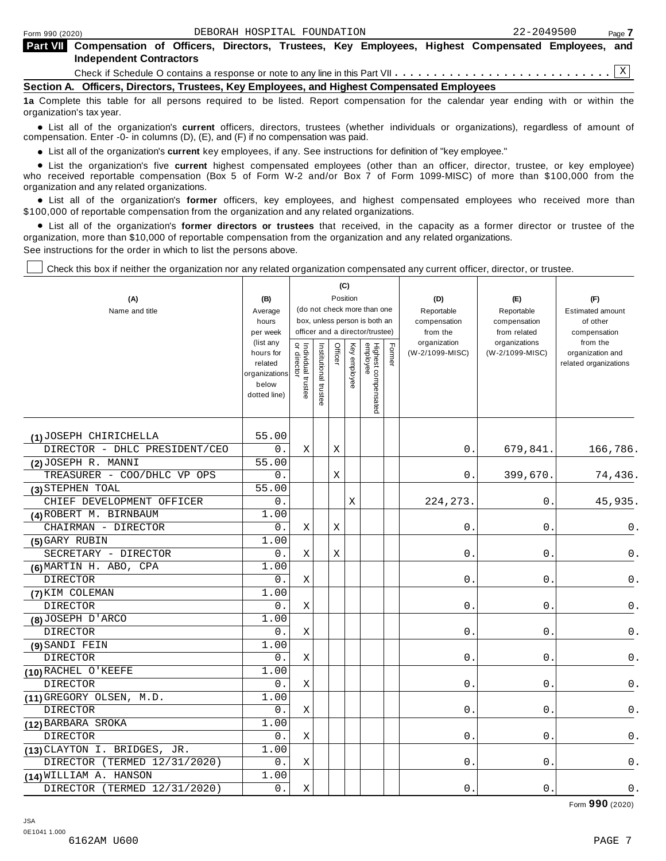| <b>Part VII</b> Compensation of Officers, Directors, Trustees, Key Employees, Highest Compensated Employees, and<br><b>Independent Contractors</b> |  |
|----------------------------------------------------------------------------------------------------------------------------------------------------|--|
|                                                                                                                                                    |  |
| Section A. Officers, Directors, Trustees, Key Employees, and Highest Compensated Employees                                                         |  |

**1a** Complete this table for all persons required to be listed. Report compensation for the calendar year ending with or within the organization's tax year.

anization's lax year.<br>● List all of the organization's **current** officers, directors, trustees (whether individuals or organizations), regardless of amount of<br>nnensation Enter -0- in columns (D) (E) and (E) if no compensa compensation. Enter -0- in columns (D), (E), and (F) if no compensation was paid.

• List all of the organization's current key employees, if any. See instructions for definition of "key employee."

■ List all of the organization's current key employees, if any. See instructions for definition of "key employee."<br>■ List the organization's five current highest compensated employees (other than an officer, director, tru who received reportable compensation (Box 5 of Form W-2 and/or Box 7 of Form 1099-MISC) of more than \$100,000 from the

organization and any related organizations.<br>• List all of the organization's **former** officers, key employees, and highest compensated employees who received more than<br>\$1.00.000 of reportable componention from the erganiza \$100,000 of reportable compensation from the organization and any related organizations.

% List all of the organization's **former directors or trustees** that received, in the capacity as a former director or trustee of the organization, more than \$10,000 of reportable compensation from the organization and any related organizations. See instructions for the order in which to list the persons above.

Check this box if neither the organization nor any related organization compensated any current officer, director, or trustee.

|                               |                          | (C)                                     |                       |         |              |                                 |        |                            |                              |                                     |
|-------------------------------|--------------------------|-----------------------------------------|-----------------------|---------|--------------|---------------------------------|--------|----------------------------|------------------------------|-------------------------------------|
| (A)                           | (B)                      | Position<br>(do not check more than one |                       |         |              |                                 |        | (D)                        | (E)                          | (F)                                 |
| Name and title                | Average                  | box, unless person is both an           |                       |         |              |                                 |        | Reportable<br>compensation | Reportable                   | <b>Estimated amount</b><br>of other |
|                               | hours<br>per week        |                                         |                       |         |              | officer and a director/trustee) |        | from the                   | compensation<br>from related | compensation                        |
|                               | (list any                |                                         |                       |         |              |                                 |        | organization               | organizations                | from the                            |
|                               | hours for                | Individual trustee<br>or director       | Institutional trustee | Officer | Key employee | Highest compensated<br>employee | Former | (W-2/1099-MISC)            | (W-2/1099-MISC)              | organization and                    |
|                               | related<br>organizations |                                         |                       |         |              |                                 |        |                            |                              | related organizations               |
|                               | below                    |                                         |                       |         |              |                                 |        |                            |                              |                                     |
|                               | dotted line)             |                                         |                       |         |              |                                 |        |                            |                              |                                     |
|                               |                          |                                         |                       |         |              |                                 |        |                            |                              |                                     |
|                               |                          |                                         |                       |         |              |                                 |        |                            |                              |                                     |
| (1) JOSEPH CHIRICHELLA        | 55.00                    |                                         |                       |         |              |                                 |        |                            |                              |                                     |
| DIRECTOR - DHLC PRESIDENT/CEO | 0.                       | Χ                                       |                       | Χ       |              |                                 |        | 0.                         | 679,841.                     | 166,786.                            |
| (2) JOSEPH R. MANNI           | 55.00                    |                                         |                       |         |              |                                 |        |                            |                              |                                     |
| TREASURER - COO/DHLC VP OPS   | 0.                       |                                         |                       | Χ       |              |                                 |        | 0                          | 399,670.                     | 74,436.                             |
| (3) STEPHEN TOAL              | 55.00                    |                                         |                       |         |              |                                 |        |                            |                              |                                     |
| CHIEF DEVELOPMENT OFFICER     | 0.                       |                                         |                       |         | $\mathbf X$  |                                 |        | 224,273                    | $\mathsf{O}$ .               | 45,935.                             |
| (4) ROBERT M. BIRNBAUM        | 1.00                     |                                         |                       |         |              |                                 |        |                            |                              |                                     |
| CHAIRMAN - DIRECTOR           | 0.                       | Χ                                       |                       | Χ       |              |                                 |        | 0                          | $0$ .                        | 0.                                  |
| (5) GARY RUBIN                | 1.00                     |                                         |                       |         |              |                                 |        |                            |                              |                                     |
| SECRETARY - DIRECTOR          | 0.                       | Χ                                       |                       | Χ       |              |                                 |        | 0                          | 0.                           | 0.                                  |
| (6) MARTIN H. ABO, CPA        | 1.00                     |                                         |                       |         |              |                                 |        |                            |                              |                                     |
| <b>DIRECTOR</b>               | 0.                       | Χ                                       |                       |         |              |                                 |        | $\mathbf 0$                | 0                            | 0.                                  |
| (7) KIM COLEMAN               | 1.00                     |                                         |                       |         |              |                                 |        |                            |                              |                                     |
| <b>DIRECTOR</b>               | 0.                       | Χ                                       |                       |         |              |                                 |        | 0                          | 0                            | 0.                                  |
| (8) JOSEPH D'ARCO             | 1.00                     |                                         |                       |         |              |                                 |        |                            |                              |                                     |
| <b>DIRECTOR</b>               | 0.                       | $\mathbf X$                             |                       |         |              |                                 |        | 0                          | 0                            | 0.                                  |
| (9) SANDI FEIN                | 1.00                     |                                         |                       |         |              |                                 |        |                            |                              |                                     |
| <b>DIRECTOR</b>               | 0.                       | Χ                                       |                       |         |              |                                 |        | $\mathbf 0$                | 0                            | 0.                                  |
| (10) RACHEL O'KEEFE           | 1.00                     |                                         |                       |         |              |                                 |        |                            |                              |                                     |
| <b>DIRECTOR</b>               | 0.                       | Χ                                       |                       |         |              |                                 |        | 0                          | 0.                           | 0.                                  |
| (11) GREGORY OLSEN, M.D.      | 1.00                     |                                         |                       |         |              |                                 |        |                            |                              |                                     |
| <b>DIRECTOR</b>               | 0.                       | Χ                                       |                       |         |              |                                 |        | 0                          | 0                            | 0.                                  |
| (12) BARBARA SROKA            | 1.00                     |                                         |                       |         |              |                                 |        |                            |                              |                                     |
| <b>DIRECTOR</b>               | 0.                       | Χ                                       |                       |         |              |                                 |        | 0                          | $\mathbf{0}$                 | 0.                                  |
| (13) CLAYTON I. BRIDGES, JR.  | 1.00                     |                                         |                       |         |              |                                 |        |                            |                              |                                     |
| DIRECTOR (TERMED 12/31/2020)  | 0.                       | X                                       |                       |         |              |                                 |        | 0                          | 0                            | $0$ .                               |
| (14) WILLIAM A. HANSON        | 1.00                     |                                         |                       |         |              |                                 |        |                            |                              |                                     |
| DIRECTOR (TERMED 12/31/2020)  | 0.                       | $\mathbf X$                             |                       |         |              |                                 |        | $\mathsf{O}$ .             | 0                            | $0$ .                               |

Form **990** (2020)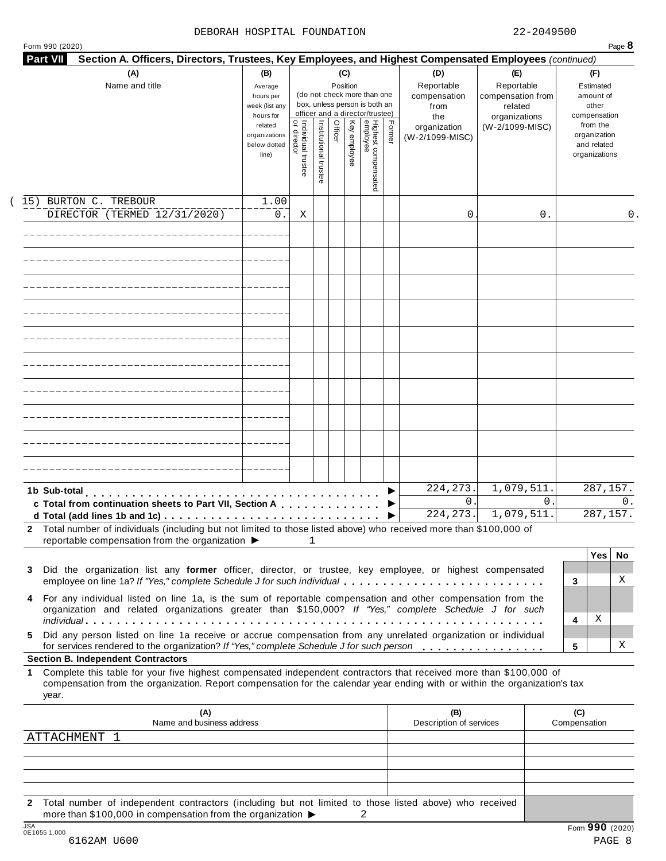#### DEBORAH HOSPITAL FOUNDATION 22-2049500

| 990 (2020) |  |  |
|------------|--|--|

| Name and title                                                                                                                                                                                                                                                 | (B)<br>(C)<br>(D)<br>Reportable<br>Position<br>Average<br>(do not check more than one<br>compensation<br>hours per<br>box, unless person is both an<br>week (list any<br>from<br>officer and a director/trustee)<br>hours for<br>the |                                     |                       |         |              |                                 |        | (E)<br>Reportable<br>compensation from<br>related<br>organizations | (F)<br>Estimated<br>amount of<br>other<br>compensation |                                                          |
|----------------------------------------------------------------------------------------------------------------------------------------------------------------------------------------------------------------------------------------------------------------|--------------------------------------------------------------------------------------------------------------------------------------------------------------------------------------------------------------------------------------|-------------------------------------|-----------------------|---------|--------------|---------------------------------|--------|--------------------------------------------------------------------|--------------------------------------------------------|----------------------------------------------------------|
|                                                                                                                                                                                                                                                                | related<br>organizations<br>below dotted<br>line)                                                                                                                                                                                    | Individual trustee<br>  or director | Institutional trustee | Officer | Key employee | Highest compensated<br>employee | Former | organization<br>(W-2/1099-MISC)                                    | (W-2/1099-MISC)                                        | from the<br>organization<br>and related<br>organizations |
| 15) BURTON C. TREBOUR                                                                                                                                                                                                                                          | 1.00                                                                                                                                                                                                                                 |                                     |                       |         |              |                                 |        |                                                                    |                                                        |                                                          |
| DIRECTOR (TERMED 12/31/2020)                                                                                                                                                                                                                                   | 0.                                                                                                                                                                                                                                   | Χ                                   |                       |         |              |                                 |        | 0                                                                  | 0.                                                     | 0.                                                       |
|                                                                                                                                                                                                                                                                |                                                                                                                                                                                                                                      |                                     |                       |         |              |                                 |        |                                                                    |                                                        |                                                          |
|                                                                                                                                                                                                                                                                |                                                                                                                                                                                                                                      |                                     |                       |         |              |                                 |        |                                                                    |                                                        |                                                          |
|                                                                                                                                                                                                                                                                |                                                                                                                                                                                                                                      |                                     |                       |         |              |                                 |        |                                                                    |                                                        |                                                          |
|                                                                                                                                                                                                                                                                |                                                                                                                                                                                                                                      |                                     |                       |         |              |                                 |        |                                                                    |                                                        |                                                          |
|                                                                                                                                                                                                                                                                |                                                                                                                                                                                                                                      |                                     |                       |         |              |                                 |        |                                                                    |                                                        |                                                          |
|                                                                                                                                                                                                                                                                |                                                                                                                                                                                                                                      |                                     |                       |         |              |                                 |        |                                                                    |                                                        |                                                          |
|                                                                                                                                                                                                                                                                |                                                                                                                                                                                                                                      |                                     |                       |         |              |                                 |        |                                                                    |                                                        |                                                          |
|                                                                                                                                                                                                                                                                |                                                                                                                                                                                                                                      |                                     |                       |         |              |                                 |        |                                                                    |                                                        |                                                          |
| 1b Sub-total<br>c Total from continuation sheets to Part VII, Section A                                                                                                                                                                                        |                                                                                                                                                                                                                                      |                                     |                       |         |              |                                 |        | 224, 273.<br>$\mathbf{0}$ .<br>224, 273.                           | 1,079,511.<br>$\Omega$ .<br>1,079,511.                 | 287,157.<br>0.<br>287,157.                               |
| 2 Total number of individuals (including but not limited to those listed above) who received more than \$100,000 of<br>reportable compensation from the organization ▶                                                                                         |                                                                                                                                                                                                                                      |                                     | $\mathbf{1}$          |         |              |                                 |        |                                                                    |                                                        |                                                          |
| Did the organization list any former officer, director, or trustee, key employee, or highest compensated<br>3                                                                                                                                                  |                                                                                                                                                                                                                                      |                                     |                       |         |              |                                 |        |                                                                    |                                                        | <b>Yes</b><br>No.                                        |
| employee on line 1a? If "Yes," complete Schedule J for such individual<br>For any individual listed on line 1a, is the sum of reportable compensation and other compensation from the<br>4                                                                     |                                                                                                                                                                                                                                      |                                     |                       |         |              |                                 |        |                                                                    |                                                        | X<br>3                                                   |
| organization and related organizations greater than \$150,000? If "Yes," complete Schedule J for such<br>Did any person listed on line 1a receive or accrue compensation from any unrelated organization or individual<br>5.                                   |                                                                                                                                                                                                                                      |                                     |                       |         |              |                                 |        |                                                                    |                                                        | Χ<br>4                                                   |
| for services rendered to the organization? If "Yes," complete Schedule J for such person<br><b>Section B. Independent Contractors</b>                                                                                                                          |                                                                                                                                                                                                                                      |                                     |                       |         |              |                                 |        |                                                                    |                                                        | Χ<br>5                                                   |
| Complete this table for your five highest compensated independent contractors that received more than \$100,000 of<br>1<br>compensation from the organization. Report compensation for the calendar year ending with or within the organization's tax<br>year. |                                                                                                                                                                                                                                      |                                     |                       |         |              |                                 |        |                                                                    |                                                        |                                                          |
| (A)<br>Name and business address                                                                                                                                                                                                                               |                                                                                                                                                                                                                                      |                                     |                       |         |              |                                 |        | (B)<br>Description of services                                     |                                                        | (C)<br>Compensation                                      |
|                                                                                                                                                                                                                                                                |                                                                                                                                                                                                                                      |                                     |                       |         |              |                                 |        |                                                                    |                                                        |                                                          |
| ATTACHMENT 1                                                                                                                                                                                                                                                   |                                                                                                                                                                                                                                      |                                     |                       |         |              |                                 |        |                                                                    |                                                        |                                                          |
|                                                                                                                                                                                                                                                                |                                                                                                                                                                                                                                      |                                     |                       |         |              |                                 |        |                                                                    |                                                        |                                                          |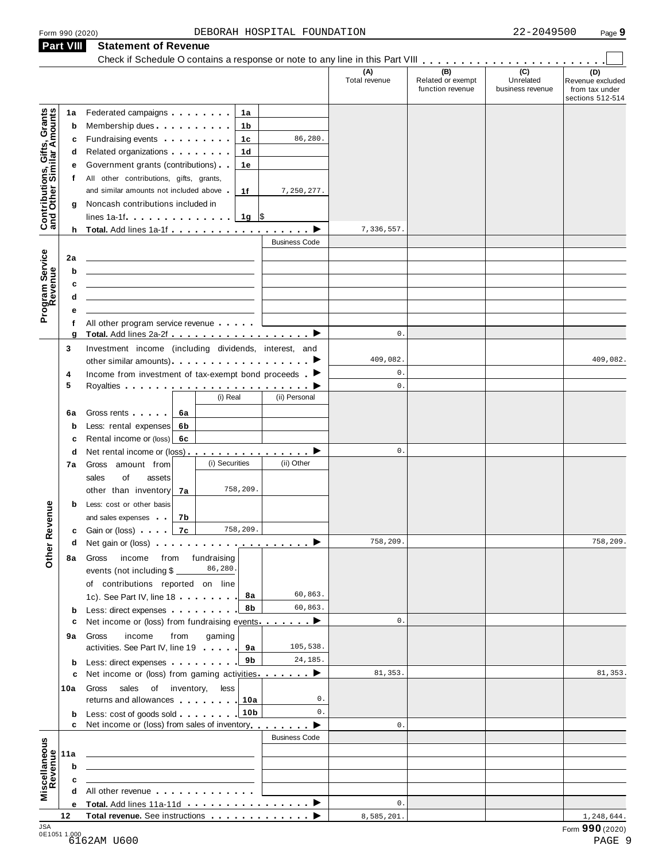### Form <sup>990</sup> (2020) Page **9** DEBORAH HOSPITAL FOUNDATION 22-2049500 **Part VIII Statement of Revenue**

|                                                           | <b>Part VIII</b> | Statement of Revenue                                                                                                                                                                                                                       |                      |                      |                                              |                                                 |                                                               |
|-----------------------------------------------------------|------------------|--------------------------------------------------------------------------------------------------------------------------------------------------------------------------------------------------------------------------------------------|----------------------|----------------------|----------------------------------------------|-------------------------------------------------|---------------------------------------------------------------|
|                                                           |                  |                                                                                                                                                                                                                                            |                      | (A)<br>Total revenue | (B)<br>Related or exempt<br>function revenue | $\overline{C}$<br>Unrelated<br>business revenue | (D)<br>Revenue excluded<br>from tax under<br>sections 512-514 |
|                                                           | 1a               | Federated campaigns <b>Federated</b><br>1a                                                                                                                                                                                                 |                      |                      |                                              |                                                 |                                                               |
| Contributions, Gifts, Grants<br>and Other Similar Amounts | b                | Membership dues <b>All Accords</b> Membership dues<br>1b                                                                                                                                                                                   |                      |                      |                                              |                                                 |                                                               |
|                                                           | c                | Fundraising events <b>Exercises Exercises</b><br>1c                                                                                                                                                                                        | 86,280.              |                      |                                              |                                                 |                                                               |
|                                                           | d                | Related organizations <b>and the set of the set of the set of the set of the set of the set of the set of the set of the set of the set of the set of the set of the set of the set of the set of the set of the set of the set </b><br>1d |                      |                      |                                              |                                                 |                                                               |
|                                                           | е                | Government grants (contributions).<br>1e                                                                                                                                                                                                   |                      |                      |                                              |                                                 |                                                               |
|                                                           | t.               | All other contributions, gifts, grants,                                                                                                                                                                                                    |                      |                      |                                              |                                                 |                                                               |
|                                                           |                  | and similar amounts not included above<br>1f                                                                                                                                                                                               | 7,250,277.           |                      |                                              |                                                 |                                                               |
|                                                           | g                | Noncash contributions included in                                                                                                                                                                                                          |                      |                      |                                              |                                                 |                                                               |
|                                                           |                  | $1g$ \$<br>lines 1a-1f                                                                                                                                                                                                                     |                      |                      |                                              |                                                 |                                                               |
|                                                           |                  | h Total. Add lines 1a-1f $\ldots$ , $\ldots$ , $\ldots$ , $\blacktriangleright$                                                                                                                                                            |                      | 7,336,557.           |                                              |                                                 |                                                               |
|                                                           |                  |                                                                                                                                                                                                                                            | <b>Business Code</b> |                      |                                              |                                                 |                                                               |
| Program Service<br>Revenue                                | 2a               |                                                                                                                                                                                                                                            |                      |                      |                                              |                                                 |                                                               |
|                                                           | b                |                                                                                                                                                                                                                                            |                      |                      |                                              |                                                 |                                                               |
|                                                           | c                |                                                                                                                                                                                                                                            |                      |                      |                                              |                                                 |                                                               |
|                                                           | d                |                                                                                                                                                                                                                                            |                      |                      |                                              |                                                 |                                                               |
|                                                           | е                |                                                                                                                                                                                                                                            |                      |                      |                                              |                                                 |                                                               |
|                                                           | f                | All other program service revenue                                                                                                                                                                                                          |                      |                      |                                              |                                                 |                                                               |
|                                                           | g                |                                                                                                                                                                                                                                            |                      | $\mathbf 0$ .        |                                              |                                                 |                                                               |
|                                                           | 3                | Investment income (including dividends, interest, and                                                                                                                                                                                      |                      |                      |                                              |                                                 |                                                               |
|                                                           |                  |                                                                                                                                                                                                                                            |                      | 409,082.             |                                              |                                                 | 409,082.                                                      |
|                                                           | 4                | Income from investment of tax-exempt bond proceeds $\blacktriangleright$                                                                                                                                                                   |                      | $\mathbf 0$ .        |                                              |                                                 |                                                               |
|                                                           | 5                |                                                                                                                                                                                                                                            |                      | $0$ .                |                                              |                                                 |                                                               |
|                                                           |                  | (i) Real                                                                                                                                                                                                                                   | (ii) Personal        |                      |                                              |                                                 |                                                               |
|                                                           | 6a               | Gross rents<br>6a                                                                                                                                                                                                                          |                      |                      |                                              |                                                 |                                                               |
|                                                           | b                | Less: rental expenses<br>6b                                                                                                                                                                                                                |                      |                      |                                              |                                                 |                                                               |
|                                                           | c                | Rental income or (loss)<br>6с                                                                                                                                                                                                              |                      |                      |                                              |                                                 |                                                               |
|                                                           | d                | Net rental income or (loss) ▶                                                                                                                                                                                                              |                      | $0$ .                |                                              |                                                 |                                                               |
|                                                           | 7а               | (i) Securities<br>Gross amount from                                                                                                                                                                                                        | (ii) Other           |                      |                                              |                                                 |                                                               |
|                                                           |                  | sales<br>of<br>assets                                                                                                                                                                                                                      |                      |                      |                                              |                                                 |                                                               |
|                                                           |                  | 758,209<br>other than inventory<br>7a                                                                                                                                                                                                      |                      |                      |                                              |                                                 |                                                               |
|                                                           | b                | Less: cost or other basis                                                                                                                                                                                                                  |                      |                      |                                              |                                                 |                                                               |
| evenue                                                    |                  | and sales expenses .  <br>7b                                                                                                                                                                                                               |                      |                      |                                              |                                                 |                                                               |
|                                                           |                  | 758,209.<br>7c<br><b>c</b> Gain or (loss) $\qquad$                                                                                                                                                                                         |                      |                      |                                              |                                                 |                                                               |
| Other <sub>R</sub>                                        | d                | Net gain or (loss) $\cdots$ $\cdots$ $\cdots$ $\cdots$ $\cdots$ $\cdots$ $\cdots$                                                                                                                                                          |                      | 758,209.             |                                              |                                                 | 758,209.                                                      |
|                                                           | 8a               | from fundraising<br>income<br>Gross                                                                                                                                                                                                        |                      |                      |                                              |                                                 |                                                               |
|                                                           |                  | 86,280.<br>events (not including \$                                                                                                                                                                                                        |                      |                      |                                              |                                                 |                                                               |
|                                                           |                  | of contributions reported on line                                                                                                                                                                                                          |                      |                      |                                              |                                                 |                                                               |
|                                                           |                  | 8а<br>1c). See Part IV, line 18                                                                                                                                                                                                            | 60,863.              |                      |                                              |                                                 |                                                               |
|                                                           | b                | 8b<br>Less: direct expenses                                                                                                                                                                                                                | 60,863.              |                      |                                              |                                                 |                                                               |
|                                                           | c                | Net income or (loss) from fundraising events ▶                                                                                                                                                                                             |                      | $\mathbf 0$ .        |                                              |                                                 |                                                               |
|                                                           | 9а               | income<br>from<br>gaming<br>Gross                                                                                                                                                                                                          |                      |                      |                                              |                                                 |                                                               |
|                                                           |                  | activities. See Part IV, line 19<br>9а                                                                                                                                                                                                     | 105,538.             |                      |                                              |                                                 |                                                               |
|                                                           | b                | 9b<br>Less: direct expenses                                                                                                                                                                                                                | 24,185.              |                      |                                              |                                                 |                                                               |
|                                                           | c                | Net income or (loss) from gaming activities                                                                                                                                                                                                |                      | 81,353.              |                                              |                                                 | 81, 353.                                                      |
|                                                           | 10a              | sales of inventory,<br>less<br>Gross                                                                                                                                                                                                       |                      |                      |                                              |                                                 |                                                               |
|                                                           |                  | returns and allowances<br>10a                                                                                                                                                                                                              | 0.                   |                      |                                              |                                                 |                                                               |
|                                                           | b                | 10 <sub>b</sub><br>Less: cost of goods sold                                                                                                                                                                                                | 0.                   |                      |                                              |                                                 |                                                               |
|                                                           | c                | Net income or (loss) from sales of inventory                                                                                                                                                                                               |                      | 0.                   |                                              |                                                 |                                                               |
|                                                           |                  |                                                                                                                                                                                                                                            | <b>Business Code</b> |                      |                                              |                                                 |                                                               |
| Miscellaneous<br>Revenue                                  | 11a              |                                                                                                                                                                                                                                            |                      |                      |                                              |                                                 |                                                               |
|                                                           | b                | <u> 1980 - John Stein, mars and de Britain and de Britain and de Britain and de Britain and de Britain and de Br</u>                                                                                                                       |                      |                      |                                              |                                                 |                                                               |
|                                                           | c                |                                                                                                                                                                                                                                            |                      |                      |                                              |                                                 |                                                               |
|                                                           | d                | All other revenue entitled and the state of the state of the state of the state of the state of the state of the state of the state of the state of the state of the state of the state of the state of the state of the state             |                      |                      |                                              |                                                 |                                                               |
|                                                           | е                | Total. Add lines 11a-11d                                                                                                                                                                                                                   | ▸                    | $\mathbf 0$ .        |                                              |                                                 |                                                               |
| 10A                                                       | 12               | Total revenue. See instructions                                                                                                                                                                                                            |                      | 8,585,201.           |                                              |                                                 | 1,248,644.                                                    |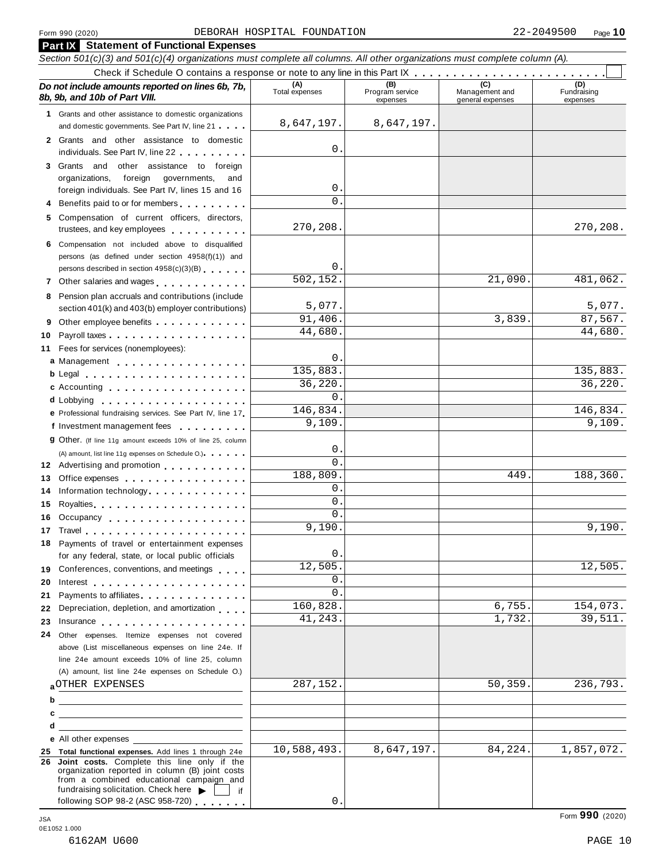|    | <b>Part IX</b> Statement of Functional Expenses                                                                                                                                                                                |                       |                                    |                                           |                                |  |  |  |  |  |  |
|----|--------------------------------------------------------------------------------------------------------------------------------------------------------------------------------------------------------------------------------|-----------------------|------------------------------------|-------------------------------------------|--------------------------------|--|--|--|--|--|--|
|    | Section 501(c)(3) and 501(c)(4) organizations must complete all columns. All other organizations must complete column (A).                                                                                                     |                       |                                    |                                           |                                |  |  |  |  |  |  |
|    |                                                                                                                                                                                                                                |                       |                                    |                                           |                                |  |  |  |  |  |  |
|    | Do not include amounts reported on lines 6b, 7b,<br>8b, 9b, and 10b of Part VIII.                                                                                                                                              | (A)<br>Total expenses | (B)<br>Program service<br>expenses | (C)<br>Management and<br>general expenses | (D)<br>Fundraising<br>expenses |  |  |  |  |  |  |
|    | 1 Grants and other assistance to domestic organizations                                                                                                                                                                        |                       |                                    |                                           |                                |  |  |  |  |  |  |
|    | and domestic governments. See Part IV, line 21                                                                                                                                                                                 | 8,647,197.            | 8,647,197.                         |                                           |                                |  |  |  |  |  |  |
|    | 2 Grants and other assistance to domestic                                                                                                                                                                                      | 0.                    |                                    |                                           |                                |  |  |  |  |  |  |
|    | individuals. See Part IV, line 22                                                                                                                                                                                              |                       |                                    |                                           |                                |  |  |  |  |  |  |
|    | other assistance to foreign<br>3 Grants and<br>foreign governments,<br>organizations,<br>and                                                                                                                                   |                       |                                    |                                           |                                |  |  |  |  |  |  |
|    | foreign individuals. See Part IV, lines 15 and 16                                                                                                                                                                              | $0$ .                 |                                    |                                           |                                |  |  |  |  |  |  |
|    | 4 Benefits paid to or for members                                                                                                                                                                                              | $\Omega$ .            |                                    |                                           |                                |  |  |  |  |  |  |
| 5. | Compensation of current officers, directors,                                                                                                                                                                                   |                       |                                    |                                           |                                |  |  |  |  |  |  |
|    | trustees, and key employees                                                                                                                                                                                                    | 270,208.              |                                    |                                           | 270,208.                       |  |  |  |  |  |  |
|    | 6 Compensation not included above to disqualified                                                                                                                                                                              |                       |                                    |                                           |                                |  |  |  |  |  |  |
|    | persons (as defined under section 4958(f)(1)) and                                                                                                                                                                              |                       |                                    |                                           |                                |  |  |  |  |  |  |
|    | persons described in section 4958(c)(3)(B)                                                                                                                                                                                     | 0.                    |                                    |                                           |                                |  |  |  |  |  |  |
|    | 7 Other salaries and wages                                                                                                                                                                                                     | 502, 152.             |                                    | 21,090                                    | 481,062.                       |  |  |  |  |  |  |
|    | 8 Pension plan accruals and contributions (include                                                                                                                                                                             |                       |                                    |                                           |                                |  |  |  |  |  |  |
|    | section 401(k) and 403(b) employer contributions)                                                                                                                                                                              | 5,077.                |                                    |                                           | 5,077.                         |  |  |  |  |  |  |
| 9  | Other employee benefits entitled and the control of the control of the control of the control of the control of the control of the control of the control of the control of the control of the control of the control of the c | 91,406.               |                                    | 3,839                                     | 87,567.<br>44,680.             |  |  |  |  |  |  |
| 10 |                                                                                                                                                                                                                                | 44,680.               |                                    |                                           |                                |  |  |  |  |  |  |
| 11 | Fees for services (nonemployees):                                                                                                                                                                                              | 0.                    |                                    |                                           |                                |  |  |  |  |  |  |
|    | a Management                                                                                                                                                                                                                   | 135,883.              |                                    |                                           | 135,883.                       |  |  |  |  |  |  |
|    |                                                                                                                                                                                                                                | 36,220.               |                                    |                                           | 36,220.                        |  |  |  |  |  |  |
|    | c Accounting                                                                                                                                                                                                                   | 0.                    |                                    |                                           |                                |  |  |  |  |  |  |
|    | d Lobbying<br>.                                                                                                                                                                                                                | 146,834.              |                                    |                                           | 146,834.                       |  |  |  |  |  |  |
|    | e Professional fundraising services. See Part IV, line 17<br>f Investment management fees                                                                                                                                      | 9,109.                |                                    |                                           | 9,109.                         |  |  |  |  |  |  |
|    | <u>.</u>                                                                                                                                                                                                                       |                       |                                    |                                           |                                |  |  |  |  |  |  |
|    | <b>g</b> Other. (If line 11g amount exceeds 10% of line 25, column                                                                                                                                                             | 0                     |                                    |                                           |                                |  |  |  |  |  |  |
|    | (A) amount, list line 11g expenses on Schedule O.)<br>12 Advertising and promotion                                                                                                                                             | $\Omega$ .            |                                    |                                           |                                |  |  |  |  |  |  |
| 13 | Office expenses example and the set of the set of the set of the set of the set of the set of the set of the set of the set of the set of the set of the set of the set of the set of the set of the set of the set of the set | 188,809.              |                                    | 449                                       | 188,360.                       |  |  |  |  |  |  |
| 14 | Information technology experience and the state of the state of the state of the state of the state of the state of the state of the state of the state of the state of the state of the state of the state of the state of th | 0.                    |                                    |                                           |                                |  |  |  |  |  |  |
| 15 |                                                                                                                                                                                                                                | $\mathbf{0}$ .        |                                    |                                           |                                |  |  |  |  |  |  |
| 16 | Occupancy experience and the set of the set of the set of the set of the set of the set of the set of the set of the set of the set of the set of the set of the set of the set of the set of the set of the set of the set of | 0.                    |                                    |                                           |                                |  |  |  |  |  |  |
|    | 17 Travel <b>17 Travel</b>                                                                                                                                                                                                     | 9,190                 |                                    |                                           | 9,190.                         |  |  |  |  |  |  |
|    | 18 Payments of travel or entertainment expenses                                                                                                                                                                                |                       |                                    |                                           |                                |  |  |  |  |  |  |
|    | for any federal, state, or local public officials                                                                                                                                                                              | 0.                    |                                    |                                           |                                |  |  |  |  |  |  |
| 19 | Conferences, conventions, and meetings                                                                                                                                                                                         | 12,505.               |                                    |                                           | 12,505.                        |  |  |  |  |  |  |
| 20 |                                                                                                                                                                                                                                | 0.                    |                                    |                                           |                                |  |  |  |  |  |  |
| 21 | Payments to affiliates experience and the property of the property of the property of the property of the property of the control of the control of the control of the control of the control of the control of the control of | $\Omega$ .            |                                    |                                           |                                |  |  |  |  |  |  |
| 22 | Depreciation, depletion, and amortization                                                                                                                                                                                      | 160,828.              |                                    | 6,755.                                    | 154,073.                       |  |  |  |  |  |  |
| 23 | Insurance the contract of the contract of the contract of the contract of the contract of the contract of the contract of the contract of the contract of the contract of the contract of the contract of the contract of the  | 41,243.               |                                    | 1,732.                                    | 39,511.                        |  |  |  |  |  |  |
| 24 | Other expenses. Itemize expenses not covered                                                                                                                                                                                   |                       |                                    |                                           |                                |  |  |  |  |  |  |
|    | above (List miscellaneous expenses on line 24e. If                                                                                                                                                                             |                       |                                    |                                           |                                |  |  |  |  |  |  |
|    | line 24e amount exceeds 10% of line 25, column                                                                                                                                                                                 |                       |                                    |                                           |                                |  |  |  |  |  |  |
|    | (A) amount, list line 24e expenses on Schedule O.)<br><b>AOTHER EXPENSES</b>                                                                                                                                                   | 287,152.              |                                    | 50,359.                                   | 236,793.                       |  |  |  |  |  |  |
|    |                                                                                                                                                                                                                                |                       |                                    |                                           |                                |  |  |  |  |  |  |
| b  | <u> 1989 - Johann Stein, mars an de Britannich (b. 1989)</u>                                                                                                                                                                   |                       |                                    |                                           |                                |  |  |  |  |  |  |
| с  | <u> 1980 - Andrea Stadt Britain, amerikan bisa di sebagai personal dan personal dan personal dan personal dan pe</u>                                                                                                           |                       |                                    |                                           |                                |  |  |  |  |  |  |
| d  | <u>and the state of the state of the state of the state of the state of the state of the state of the state of th</u>                                                                                                          |                       |                                    |                                           |                                |  |  |  |  |  |  |
|    | e All other expenses<br>25 Total functional expenses. Add lines 1 through 24e                                                                                                                                                  | 10,588,493.           | 8,647,197.                         | 84,224.                                   | 1,857,072.                     |  |  |  |  |  |  |
|    | 26 Joint costs. Complete this line only if the                                                                                                                                                                                 |                       |                                    |                                           |                                |  |  |  |  |  |  |
|    | organization reported in column (B) joint costs<br>from a combined educational campaign and                                                                                                                                    |                       |                                    |                                           |                                |  |  |  |  |  |  |
|    | fundraising solicitation. Check here<br>if.                                                                                                                                                                                    |                       |                                    |                                           |                                |  |  |  |  |  |  |
|    | following SOP 98-2 (ASC 958-720)                                                                                                                                                                                               | 0.                    |                                    |                                           |                                |  |  |  |  |  |  |

Form **990** (2020) JSA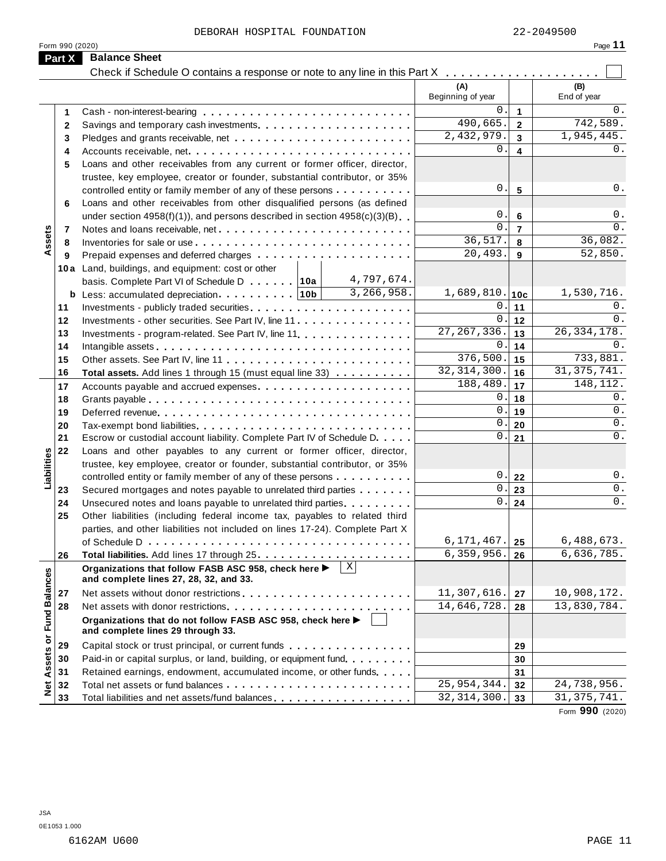|                      |                 | DEBORAH HOSPITAL FOUNDATION                                                                    |                                |              |                          |                | 22-2049500         |
|----------------------|-----------------|------------------------------------------------------------------------------------------------|--------------------------------|--------------|--------------------------|----------------|--------------------|
|                      | Form 990 (2020) |                                                                                                |                                |              |                          |                | Page 11            |
|                      | Part X          | <b>Balance Sheet</b>                                                                           |                                |              |                          |                |                    |
|                      |                 |                                                                                                |                                |              |                          |                |                    |
|                      |                 |                                                                                                |                                |              | (A)<br>Beginning of year |                | (B)<br>End of year |
|                      | 1               |                                                                                                |                                |              | 0.                       | $\mathbf{1}$   | 0.                 |
|                      | $\mathbf{2}$    |                                                                                                |                                |              | 490,665.                 | $\overline{2}$ | 742,589.           |
|                      | 3               |                                                                                                |                                |              | 2,432,979.               | $\mathbf{3}$   | 1,945,445.         |
|                      | 4               |                                                                                                |                                |              | $0$ .                    | 4              | 0.                 |
|                      | 5               | Loans and other receivables from any current or former officer, director,                      |                                |              |                          |                |                    |
|                      |                 | trustee, key employee, creator or founder, substantial contributor, or 35%                     |                                |              |                          |                |                    |
|                      |                 | controlled entity or family member of any of these persons                                     |                                |              | 0.                       | 5              | 0.                 |
|                      | 6               | Loans and other receivables from other disqualified persons (as defined                        |                                |              |                          |                |                    |
|                      |                 | under section $4958(f)(1)$ , and persons described in section $4958(c)(3)(B)$                  |                                |              | 0.                       | 6              | 0.                 |
|                      | 7               |                                                                                                |                                |              | $\mathbf 0$ .            | $\overline{7}$ | 0.                 |
| Assets               | 8               |                                                                                                |                                |              | 36,517.                  | 8              | 36,082.            |
|                      | 9               |                                                                                                |                                |              | 20,493.                  | 9              | 52,850.            |
|                      |                 | 10a Land, buildings, and equipment: cost or other                                              |                                |              |                          |                |                    |
|                      |                 | basis. Complete Part VI of Schedule D 10a                                                      |                                | 4,797,674.   |                          |                |                    |
|                      |                 | <b>b</b> Less: accumulated depreciation $\cdots$ 10b                                           | 3,266,958.<br>$1,689,810.$ 10c |              |                          |                |                    |
|                      | 11              |                                                                                                |                                |              | $\mathbf 0$ .            | 11             | 0.                 |
|                      | 12              | Investments - other securities. See Part IV, line 11                                           |                                |              | $\mathbf 0$ .            | 12             | $0$ .              |
|                      | 13              | Investments - program-related. See Part IV, line 11.                                           |                                |              | 27, 267, 336.            | 13             | 26, 334, 178.      |
|                      | 14              |                                                                                                | $0$ .                          | 14           | 0.                       |                |                    |
|                      | 15              |                                                                                                | 376,500.                       | 15           | 733,881.                 |                |                    |
|                      | 16              | Total assets. Add lines 1 through 15 (must equal line 33)                                      |                                |              | 32, 314, 300.            | 16             | 31, 375, 741.      |
|                      | 17              |                                                                                                |                                |              | 188,489.                 | 17             | 148,112.           |
|                      | 18              |                                                                                                |                                |              | 0.                       | 18             | 0.                 |
|                      | 19              |                                                                                                |                                |              | 0.                       | 19             | 0.                 |
|                      | 20              |                                                                                                |                                |              | 0.                       | 20             | 0.                 |
|                      | 21              | Escrow or custodial account liability. Complete Part IV of Schedule D.                         |                                |              | $0$ .                    | 21             | 0.                 |
|                      | 22              | Loans and other payables to any current or former officer, director,                           |                                |              |                          |                |                    |
|                      |                 | trustee, key employee, creator or founder, substantial contributor, or 35%                     |                                |              |                          |                |                    |
| Liabilities          |                 | controlled entity or family member of any of these persons                                     |                                |              | 0.                       | 22             | 0.                 |
|                      | 23              | Secured mortgages and notes payable to unrelated third parties                                 |                                |              | $0$ .                    | 23             | 0.<br>0.           |
|                      | 24              | Unsecured notes and loans payable to unrelated third parties.                                  |                                |              | $\boldsymbol{0}$ .       | 24             |                    |
|                      | 25              | Other liabilities (including federal income tax, payables to related third                     |                                |              |                          |                |                    |
|                      |                 | parties, and other liabilities not included on lines 17-24). Complete Part X                   |                                |              | 6,171,467.               |                | 6,488,673.         |
|                      |                 |                                                                                                |                                |              | 6,359,956.               | 25             | 6,636,785.         |
|                      | 26              |                                                                                                |                                | $\mathbf{X}$ |                          | 26             |                    |
|                      |                 | Organizations that follow FASB ASC 958, check here ▶<br>and complete lines 27, 28, 32, and 33. |                                |              |                          |                |                    |
|                      | 27              |                                                                                                |                                |              | 11,307,616.              | 27             | 10,908,172.        |
|                      | 28              |                                                                                                | 14,646,728.                    | 28           | 13,830,784.              |                |                    |
| <b>Fund Balances</b> |                 | Organizations that do not follow FASB ASC 958, check here ▶                                    |                                |              |                          |                |                    |
|                      |                 | and complete lines 29 through 33.                                                              |                                |              |                          |                |                    |
| ŏ                    | 29              | Capital stock or trust principal, or current funds                                             |                                |              |                          | 29             |                    |
|                      | 30              | Paid-in or capital surplus, or land, building, or equipment fund.                              |                                |              |                          | 30             |                    |
| Assets               | 31              | Retained earnings, endowment, accumulated income, or other funds                               |                                |              |                          | 31             |                    |
|                      | 32              |                                                                                                |                                |              | 25, 954, 344.            | 32             | 24,738,956.        |
| <b>Net</b>           | 33              | Total liabilities and net assets/fund balances                                                 |                                |              | 32, 314, 300.            | 33             | 31, 375, 741.      |
|                      |                 |                                                                                                |                                |              |                          |                |                    |

Form **990** (2020)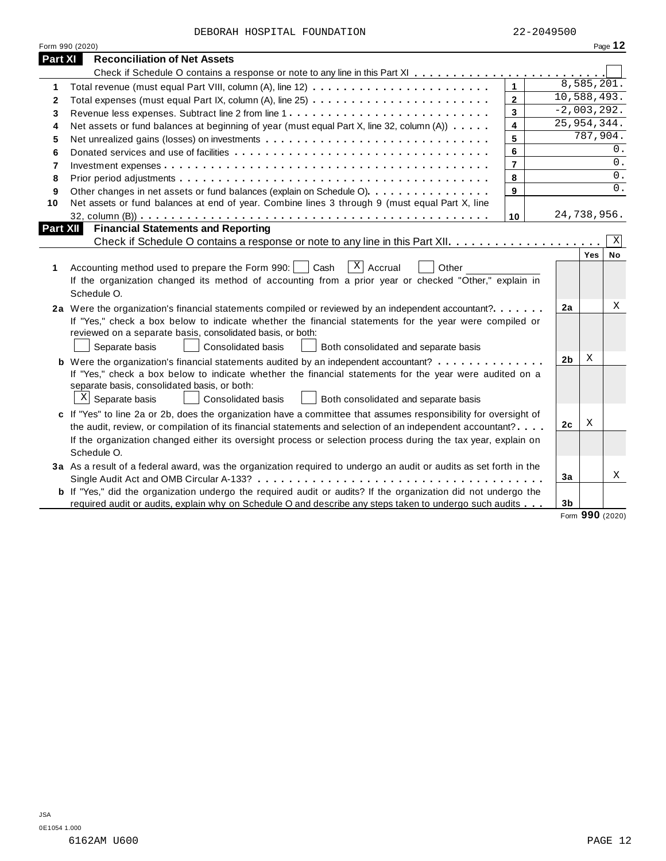| DEBORAH HOSPITAL FOUNDATION |  |
|-----------------------------|--|
|-----------------------------|--|

|              | Form 990 (2020)                                                                                                                                                                                                                                                                                                                                                                                                                                           |                |                      |                        | Page 12 |
|--------------|-----------------------------------------------------------------------------------------------------------------------------------------------------------------------------------------------------------------------------------------------------------------------------------------------------------------------------------------------------------------------------------------------------------------------------------------------------------|----------------|----------------------|------------------------|---------|
| Part XI      | <b>Reconciliation of Net Assets</b>                                                                                                                                                                                                                                                                                                                                                                                                                       |                |                      |                        |         |
|              |                                                                                                                                                                                                                                                                                                                                                                                                                                                           |                |                      |                        |         |
| 1.           |                                                                                                                                                                                                                                                                                                                                                                                                                                                           | $\mathbf{1}$   |                      | 8,585,201.             |         |
| $\mathbf{2}$ |                                                                                                                                                                                                                                                                                                                                                                                                                                                           | $\mathbf{2}$   | 10,588,493.          |                        |         |
| 3            |                                                                                                                                                                                                                                                                                                                                                                                                                                                           | 3              | $-2,003,292.$        |                        |         |
| 4            | Net assets or fund balances at beginning of year (must equal Part X, line 32, column (A))                                                                                                                                                                                                                                                                                                                                                                 | 4              | 25, 954, 344.        |                        |         |
| 5            | Net unrealized gains (losses) on investments                                                                                                                                                                                                                                                                                                                                                                                                              | 5              |                      | $\overline{787,904}$ . |         |
| 6            |                                                                                                                                                                                                                                                                                                                                                                                                                                                           | 6              |                      |                        | 0.      |
| 7            |                                                                                                                                                                                                                                                                                                                                                                                                                                                           | $\overline{7}$ |                      |                        | 0.      |
| 8            |                                                                                                                                                                                                                                                                                                                                                                                                                                                           | 8              |                      |                        | 0.      |
| 9            | Other changes in net assets or fund balances (explain on Schedule O)                                                                                                                                                                                                                                                                                                                                                                                      | 9              |                      |                        | 0.      |
| 10           | Net assets or fund balances at end of year. Combine lines 3 through 9 (must equal Part X, line                                                                                                                                                                                                                                                                                                                                                            |                |                      |                        |         |
|              |                                                                                                                                                                                                                                                                                                                                                                                                                                                           | 10             | 24,738,956.          |                        |         |
| Part XII     | <b>Financial Statements and Reporting</b>                                                                                                                                                                                                                                                                                                                                                                                                                 |                |                      |                        |         |
|              |                                                                                                                                                                                                                                                                                                                                                                                                                                                           |                |                      |                        | X       |
| 1            | $X$ Accrual<br>Accounting method used to prepare the Form 990:  <br>Cash<br>Other<br>If the organization changed its method of accounting from a prior year or checked "Other," explain in<br>Schedule O.                                                                                                                                                                                                                                                 |                |                      | Yes                    | No      |
|              | 2a Were the organization's financial statements compiled or reviewed by an independent accountant?<br>If "Yes," check a box below to indicate whether the financial statements for the year were compiled or<br>reviewed on a separate basis, consolidated basis, or both:<br>Consolidated basis<br>Separate basis<br>Both consolidated and separate basis<br><b>b</b> Were the organization's financial statements audited by an independent accountant? |                | 2a<br>2 <sub>b</sub> | X                      | Χ       |
|              | If "Yes," check a box below to indicate whether the financial statements for the year were audited on a<br>separate basis, consolidated basis, or both:<br>$X$ Separate basis<br>Consolidated basis<br>Both consolidated and separate basis                                                                                                                                                                                                               |                |                      |                        |         |
|              | c If "Yes" to line 2a or 2b, does the organization have a committee that assumes responsibility for oversight of                                                                                                                                                                                                                                                                                                                                          |                |                      | Χ                      |         |
|              | the audit, review, or compilation of its financial statements and selection of an independent accountant?<br>If the organization changed either its oversight process or selection process during the tax year, explain on<br>Schedule O.                                                                                                                                                                                                                 |                | 2c                   |                        |         |
|              | 3a As a result of a federal award, was the organization required to undergo an audit or audits as set forth in the                                                                                                                                                                                                                                                                                                                                        |                |                      |                        |         |
|              |                                                                                                                                                                                                                                                                                                                                                                                                                                                           |                | 3a                   |                        | X       |
|              | <b>b</b> If "Yes," did the organization undergo the required audit or audits? If the organization did not undergo the                                                                                                                                                                                                                                                                                                                                     |                |                      |                        |         |
|              | required audit or audits, explain why on Schedule O and describe any steps taken to undergo such audits                                                                                                                                                                                                                                                                                                                                                   |                | 3 <sub>b</sub>       | $\sim$                 |         |

Form **990** (2020)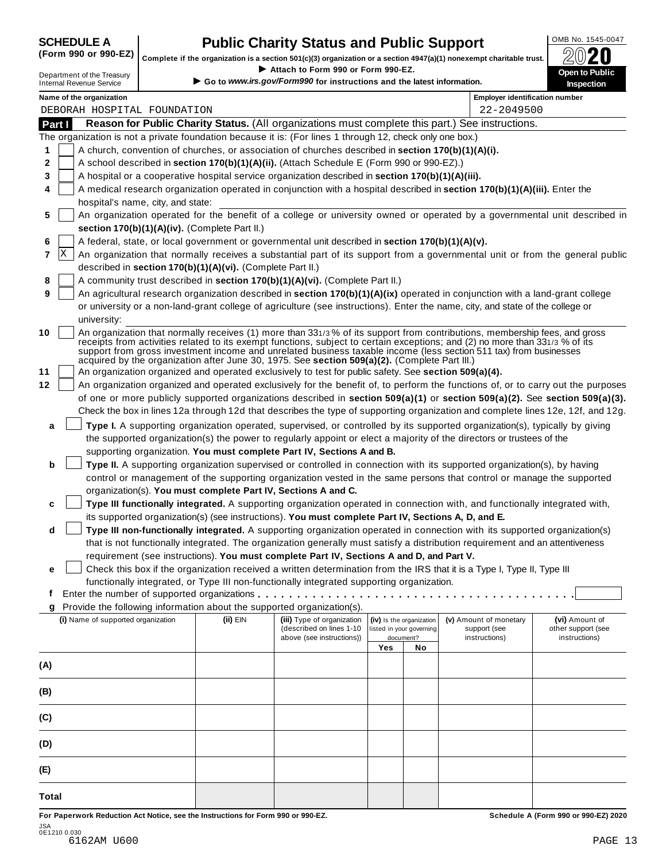SCHEDULE A **Public Charity Status and Public Support** (Form 990 or 990-EZ) complete if the organization is a section 501(c)(3) organization or a section 4947(a)(1) nonexempt charitable trust. (Form 990 or 990-EZ) complete if the organization is a section 501(c)(3) organization or a section 4947(a)(1) nonexempt charitable trust.  $2020$ 

|        |                                                               |                                                            |                                                                                                              |                                 |                          | Complete if the organization is a section 501(c)(3) organization or a section 4947(a)(1) nonexempt charitable trust.                                                                                                                                                                                                                                                           | ZWŁU                                                                                                                             |
|--------|---------------------------------------------------------------|------------------------------------------------------------|--------------------------------------------------------------------------------------------------------------|---------------------------------|--------------------------|--------------------------------------------------------------------------------------------------------------------------------------------------------------------------------------------------------------------------------------------------------------------------------------------------------------------------------------------------------------------------------|----------------------------------------------------------------------------------------------------------------------------------|
|        | Department of the Treasury<br><b>Internal Revenue Service</b> |                                                            | Attach to Form 990 or Form 990-EZ.<br>Go to www.irs.gov/Form990 for instructions and the latest information. |                                 |                          |                                                                                                                                                                                                                                                                                                                                                                                | Open to Public<br><b>Inspection</b>                                                                                              |
|        | Name of the organization                                      |                                                            |                                                                                                              |                                 |                          | <b>Employer identification number</b>                                                                                                                                                                                                                                                                                                                                          |                                                                                                                                  |
|        | DEBORAH HOSPITAL FOUNDATION                                   |                                                            |                                                                                                              |                                 |                          | 22-2049500                                                                                                                                                                                                                                                                                                                                                                     |                                                                                                                                  |
| Part I |                                                               |                                                            |                                                                                                              |                                 |                          | Reason for Public Charity Status. (All organizations must complete this part.) See instructions.                                                                                                                                                                                                                                                                               |                                                                                                                                  |
|        |                                                               |                                                            | The organization is not a private foundation because it is: (For lines 1 through 12, check only one box.)    |                                 |                          |                                                                                                                                                                                                                                                                                                                                                                                |                                                                                                                                  |
| 1      |                                                               |                                                            | A church, convention of churches, or association of churches described in section 170(b)(1)(A)(i).           |                                 |                          |                                                                                                                                                                                                                                                                                                                                                                                |                                                                                                                                  |
| 2      |                                                               |                                                            | A school described in section 170(b)(1)(A)(ii). (Attach Schedule E (Form 990 or 990-EZ).)                    |                                 |                          |                                                                                                                                                                                                                                                                                                                                                                                |                                                                                                                                  |
| 3      |                                                               |                                                            | A hospital or a cooperative hospital service organization described in section 170(b)(1)(A)(iii).            |                                 |                          |                                                                                                                                                                                                                                                                                                                                                                                |                                                                                                                                  |
| 4      |                                                               |                                                            |                                                                                                              |                                 |                          | A medical research organization operated in conjunction with a hospital described in section 170(b)(1)(A)(iii). Enter the                                                                                                                                                                                                                                                      |                                                                                                                                  |
|        | hospital's name, city, and state:                             |                                                            |                                                                                                              |                                 |                          |                                                                                                                                                                                                                                                                                                                                                                                | An organization operated for the benefit of a college or university owned or operated by a governmental unit described in        |
| 5      |                                                               | section 170(b)(1)(A)(iv). (Complete Part II.)              |                                                                                                              |                                 |                          |                                                                                                                                                                                                                                                                                                                                                                                |                                                                                                                                  |
| 6      |                                                               |                                                            | A federal, state, or local government or governmental unit described in section 170(b)(1)(A)(v).             |                                 |                          |                                                                                                                                                                                                                                                                                                                                                                                |                                                                                                                                  |
| 7      | x                                                             |                                                            |                                                                                                              |                                 |                          |                                                                                                                                                                                                                                                                                                                                                                                | An organization that normally receives a substantial part of its support from a governmental unit or from the general public     |
|        |                                                               | described in section 170(b)(1)(A)(vi). (Complete Part II.) |                                                                                                              |                                 |                          |                                                                                                                                                                                                                                                                                                                                                                                |                                                                                                                                  |
| 8      |                                                               |                                                            | A community trust described in section 170(b)(1)(A)(vi). (Complete Part II.)                                 |                                 |                          |                                                                                                                                                                                                                                                                                                                                                                                |                                                                                                                                  |
| 9      |                                                               |                                                            |                                                                                                              |                                 |                          | An agricultural research organization described in section 170(b)(1)(A)(ix) operated in conjunction with a land-grant college                                                                                                                                                                                                                                                  |                                                                                                                                  |
|        |                                                               |                                                            |                                                                                                              |                                 |                          | or university or a non-land-grant college of agriculture (see instructions). Enter the name, city, and state of the college or                                                                                                                                                                                                                                                 |                                                                                                                                  |
|        | university:                                                   |                                                            |                                                                                                              |                                 |                          |                                                                                                                                                                                                                                                                                                                                                                                |                                                                                                                                  |
| 10     |                                                               |                                                            | acquired by the organization after June 30, 1975. See section 509(a)(2). (Complete Part III.)                |                                 |                          | An organization that normally receives (1) more than 331/3% of its support from contributions, membership fees, and gross<br>receipts from activities related to its exempt functions, subject to certain exceptions; and (2) no more than 331/3 % of its<br>support from gross investment income and unrelated business taxable income (less section 511 tax) from businesses |                                                                                                                                  |
| 11     |                                                               |                                                            | An organization organized and operated exclusively to test for public safety. See section 509(a)(4).         |                                 |                          |                                                                                                                                                                                                                                                                                                                                                                                |                                                                                                                                  |
| 12     |                                                               |                                                            |                                                                                                              |                                 |                          |                                                                                                                                                                                                                                                                                                                                                                                | An organization organized and operated exclusively for the benefit of, to perform the functions of, or to carry out the purposes |
|        |                                                               |                                                            |                                                                                                              |                                 |                          |                                                                                                                                                                                                                                                                                                                                                                                | of one or more publicly supported organizations described in section 509(a)(1) or section 509(a)(2). See section 509(a)(3).      |
|        |                                                               |                                                            |                                                                                                              |                                 |                          | Check the box in lines 12a through 12d that describes the type of supporting organization and complete lines 12e, 12f, and 12g.                                                                                                                                                                                                                                                |                                                                                                                                  |
| a      |                                                               |                                                            |                                                                                                              |                                 |                          | Type I. A supporting organization operated, supervised, or controlled by its supported organization(s), typically by giving                                                                                                                                                                                                                                                    |                                                                                                                                  |
|        |                                                               |                                                            |                                                                                                              |                                 |                          | the supported organization(s) the power to regularly appoint or elect a majority of the directors or trustees of the                                                                                                                                                                                                                                                           |                                                                                                                                  |
|        |                                                               |                                                            | supporting organization. You must complete Part IV, Sections A and B.                                        |                                 |                          |                                                                                                                                                                                                                                                                                                                                                                                |                                                                                                                                  |
| b      |                                                               |                                                            |                                                                                                              |                                 |                          | Type II. A supporting organization supervised or controlled in connection with its supported organization(s), by having                                                                                                                                                                                                                                                        |                                                                                                                                  |
|        |                                                               |                                                            |                                                                                                              |                                 |                          | control or management of the supporting organization vested in the same persons that control or manage the supported                                                                                                                                                                                                                                                           |                                                                                                                                  |
|        |                                                               |                                                            | organization(s). You must complete Part IV, Sections A and C.                                                |                                 |                          |                                                                                                                                                                                                                                                                                                                                                                                |                                                                                                                                  |
| c      |                                                               |                                                            |                                                                                                              |                                 |                          | Type III functionally integrated. A supporting organization operated in connection with, and functionally integrated with,                                                                                                                                                                                                                                                     |                                                                                                                                  |
|        |                                                               |                                                            | its supported organization(s) (see instructions). You must complete Part IV, Sections A, D, and E.           |                                 |                          |                                                                                                                                                                                                                                                                                                                                                                                |                                                                                                                                  |
| d      |                                                               |                                                            |                                                                                                              |                                 |                          | Type III non-functionally integrated. A supporting organization operated in connection with its supported organization(s)                                                                                                                                                                                                                                                      |                                                                                                                                  |
|        |                                                               |                                                            |                                                                                                              |                                 |                          | that is not functionally integrated. The organization generally must satisfy a distribution requirement and an attentiveness                                                                                                                                                                                                                                                   |                                                                                                                                  |
|        |                                                               |                                                            | requirement (see instructions). You must complete Part IV, Sections A and D, and Part V.                     |                                 |                          |                                                                                                                                                                                                                                                                                                                                                                                |                                                                                                                                  |
| е      |                                                               |                                                            |                                                                                                              |                                 |                          | Check this box if the organization received a written determination from the IRS that it is a Type I, Type II, Type III                                                                                                                                                                                                                                                        |                                                                                                                                  |
|        |                                                               |                                                            | functionally integrated, or Type III non-functionally integrated supporting organization.                    |                                 |                          |                                                                                                                                                                                                                                                                                                                                                                                |                                                                                                                                  |
| f      |                                                               |                                                            |                                                                                                              |                                 |                          |                                                                                                                                                                                                                                                                                                                                                                                |                                                                                                                                  |
| g      |                                                               |                                                            | Provide the following information about the supported organization(s).                                       |                                 |                          |                                                                                                                                                                                                                                                                                                                                                                                |                                                                                                                                  |
|        | (i) Name of supported organization                            | (ii) EIN                                                   | (iii) Type of organization                                                                                   |                                 | (iv) Is the organization | (v) Amount of monetary                                                                                                                                                                                                                                                                                                                                                         | (vi) Amount of                                                                                                                   |
|        |                                                               |                                                            | (described on lines 1-10<br>above (see instructions))                                                        | listed in your governing<br>Yes | document?<br>No          | support (see<br>instructions)                                                                                                                                                                                                                                                                                                                                                  | other support (see<br>instructions)                                                                                              |
| (A)    |                                                               |                                                            |                                                                                                              |                                 |                          |                                                                                                                                                                                                                                                                                                                                                                                |                                                                                                                                  |
| (B)    |                                                               |                                                            |                                                                                                              |                                 |                          |                                                                                                                                                                                                                                                                                                                                                                                |                                                                                                                                  |
|        |                                                               |                                                            |                                                                                                              |                                 |                          |                                                                                                                                                                                                                                                                                                                                                                                |                                                                                                                                  |
| (C)    |                                                               |                                                            |                                                                                                              |                                 |                          |                                                                                                                                                                                                                                                                                                                                                                                |                                                                                                                                  |
| (D)    |                                                               |                                                            |                                                                                                              |                                 |                          |                                                                                                                                                                                                                                                                                                                                                                                |                                                                                                                                  |
| (E)    |                                                               |                                                            |                                                                                                              |                                 |                          |                                                                                                                                                                                                                                                                                                                                                                                |                                                                                                                                  |
| Total  |                                                               |                                                            |                                                                                                              |                                 |                          |                                                                                                                                                                                                                                                                                                                                                                                |                                                                                                                                  |

For Paperwork Reduction Act Notice, see the Instructions for Form 990 or 990-EZ. Schedule A (Form 990 or 990-EZ) 2020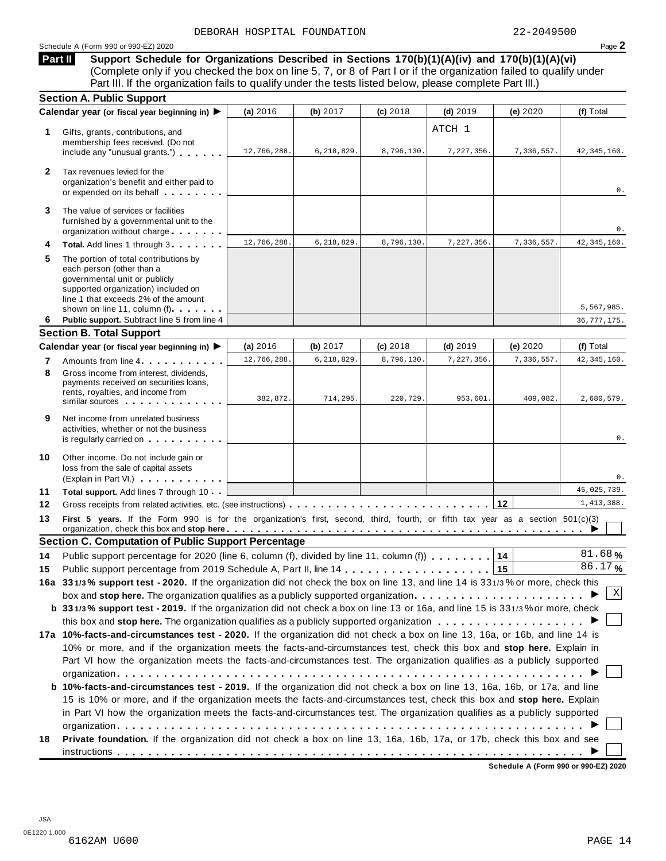#### Schedule <sup>A</sup> (Form <sup>990</sup> or 990-EZ) <sup>2020</sup> Page **2**

**Support Schedule for Organizations Described in Sections 170(b)(1)(A)(iv) and 170(b)(1)(A)(vi)** (Complete only if you checked the box on line 5, 7, or 8 of Part I or if the organization failed to qualify under Part III. If the organization fails to qualify under the tests listed below, please complete Part III.) **Part II**

| <b>Section A. Public Support</b>                                                                                                                                                                                                                                                                                |                                                                                                                                                                                                                                         |                          |                                                                                        |                         |                                                                                                                   |                                                                                                                                                                                                                                                                                                                                                                                                                                                                                                                                                                                                                                                                                                                                                                                                                                                                                                                                                                                                                                                                                                                                                                                                                                                                                                                                                                                                                                      |
|-----------------------------------------------------------------------------------------------------------------------------------------------------------------------------------------------------------------------------------------------------------------------------------------------------------------|-----------------------------------------------------------------------------------------------------------------------------------------------------------------------------------------------------------------------------------------|--------------------------|----------------------------------------------------------------------------------------|-------------------------|-------------------------------------------------------------------------------------------------------------------|--------------------------------------------------------------------------------------------------------------------------------------------------------------------------------------------------------------------------------------------------------------------------------------------------------------------------------------------------------------------------------------------------------------------------------------------------------------------------------------------------------------------------------------------------------------------------------------------------------------------------------------------------------------------------------------------------------------------------------------------------------------------------------------------------------------------------------------------------------------------------------------------------------------------------------------------------------------------------------------------------------------------------------------------------------------------------------------------------------------------------------------------------------------------------------------------------------------------------------------------------------------------------------------------------------------------------------------------------------------------------------------------------------------------------------------|
|                                                                                                                                                                                                                                                                                                                 | (a) 2016                                                                                                                                                                                                                                | (b) $2017$               | $(c)$ 2018                                                                             | $(d)$ 2019              | (e) $2020$                                                                                                        | (f) Total                                                                                                                                                                                                                                                                                                                                                                                                                                                                                                                                                                                                                                                                                                                                                                                                                                                                                                                                                                                                                                                                                                                                                                                                                                                                                                                                                                                                                            |
| Gifts, grants, contributions, and<br>membership fees received. (Do not<br>include any "unusual grants.")                                                                                                                                                                                                        | 12,766,288.                                                                                                                                                                                                                             | 6,218,829.               | 8,796,130.                                                                             | ATCH 1<br>7,227,356.    | 7,336,557.                                                                                                        | 42, 345, 160.                                                                                                                                                                                                                                                                                                                                                                                                                                                                                                                                                                                                                                                                                                                                                                                                                                                                                                                                                                                                                                                                                                                                                                                                                                                                                                                                                                                                                        |
| Tax revenues levied for the<br>organization's benefit and either paid to<br>or expended on its behalf                                                                                                                                                                                                           |                                                                                                                                                                                                                                         |                          |                                                                                        |                         |                                                                                                                   | 0.                                                                                                                                                                                                                                                                                                                                                                                                                                                                                                                                                                                                                                                                                                                                                                                                                                                                                                                                                                                                                                                                                                                                                                                                                                                                                                                                                                                                                                   |
| The value of services or facilities<br>furnished by a governmental unit to the<br>organization without charge                                                                                                                                                                                                   |                                                                                                                                                                                                                                         |                          |                                                                                        |                         |                                                                                                                   | 0.                                                                                                                                                                                                                                                                                                                                                                                                                                                                                                                                                                                                                                                                                                                                                                                                                                                                                                                                                                                                                                                                                                                                                                                                                                                                                                                                                                                                                                   |
| Total. Add lines 1 through 3                                                                                                                                                                                                                                                                                    | 12,766,288.                                                                                                                                                                                                                             | 6,218,829.               | 8,796,130.                                                                             | 7,227,356.              | 7,336,557.                                                                                                        | 42, 345, 160.                                                                                                                                                                                                                                                                                                                                                                                                                                                                                                                                                                                                                                                                                                                                                                                                                                                                                                                                                                                                                                                                                                                                                                                                                                                                                                                                                                                                                        |
| The portion of total contributions by<br>each person (other than a<br>governmental unit or publicly<br>supported organization) included on<br>line 1 that exceeds 2% of the amount                                                                                                                              |                                                                                                                                                                                                                                         |                          |                                                                                        |                         |                                                                                                                   |                                                                                                                                                                                                                                                                                                                                                                                                                                                                                                                                                                                                                                                                                                                                                                                                                                                                                                                                                                                                                                                                                                                                                                                                                                                                                                                                                                                                                                      |
|                                                                                                                                                                                                                                                                                                                 |                                                                                                                                                                                                                                         |                          |                                                                                        |                         |                                                                                                                   | 5,567,985.                                                                                                                                                                                                                                                                                                                                                                                                                                                                                                                                                                                                                                                                                                                                                                                                                                                                                                                                                                                                                                                                                                                                                                                                                                                                                                                                                                                                                           |
|                                                                                                                                                                                                                                                                                                                 |                                                                                                                                                                                                                                         |                          |                                                                                        |                         |                                                                                                                   | 36, 777, 175.                                                                                                                                                                                                                                                                                                                                                                                                                                                                                                                                                                                                                                                                                                                                                                                                                                                                                                                                                                                                                                                                                                                                                                                                                                                                                                                                                                                                                        |
|                                                                                                                                                                                                                                                                                                                 |                                                                                                                                                                                                                                         |                          |                                                                                        |                         |                                                                                                                   | (f) Total                                                                                                                                                                                                                                                                                                                                                                                                                                                                                                                                                                                                                                                                                                                                                                                                                                                                                                                                                                                                                                                                                                                                                                                                                                                                                                                                                                                                                            |
|                                                                                                                                                                                                                                                                                                                 |                                                                                                                                                                                                                                         |                          |                                                                                        |                         |                                                                                                                   | 42, 345, 160.                                                                                                                                                                                                                                                                                                                                                                                                                                                                                                                                                                                                                                                                                                                                                                                                                                                                                                                                                                                                                                                                                                                                                                                                                                                                                                                                                                                                                        |
| Gross income from interest, dividends.<br>payments received on securities loans,<br>rents, royalties, and income from<br>similar sources experiences                                                                                                                                                            | 382,872.                                                                                                                                                                                                                                | 714,295.                 | 220,729.                                                                               | 953,601.                | 409,082.                                                                                                          | 2,680,579.                                                                                                                                                                                                                                                                                                                                                                                                                                                                                                                                                                                                                                                                                                                                                                                                                                                                                                                                                                                                                                                                                                                                                                                                                                                                                                                                                                                                                           |
| Net income from unrelated business<br>activities, whether or not the business<br>is regularly carried on the control of the set of the control of the control of the control of the control of the control of the control of the control of the control of the control of the control of the control of the con |                                                                                                                                                                                                                                         |                          |                                                                                        |                         |                                                                                                                   | 0.                                                                                                                                                                                                                                                                                                                                                                                                                                                                                                                                                                                                                                                                                                                                                                                                                                                                                                                                                                                                                                                                                                                                                                                                                                                                                                                                                                                                                                   |
| Other income. Do not include gain or<br>loss from the sale of capital assets<br>(Explain in Part VI.)                                                                                                                                                                                                           |                                                                                                                                                                                                                                         |                          |                                                                                        |                         |                                                                                                                   | 0.                                                                                                                                                                                                                                                                                                                                                                                                                                                                                                                                                                                                                                                                                                                                                                                                                                                                                                                                                                                                                                                                                                                                                                                                                                                                                                                                                                                                                                   |
| Total support. Add lines 7 through 10                                                                                                                                                                                                                                                                           |                                                                                                                                                                                                                                         |                          |                                                                                        |                         |                                                                                                                   | 45,025,739.                                                                                                                                                                                                                                                                                                                                                                                                                                                                                                                                                                                                                                                                                                                                                                                                                                                                                                                                                                                                                                                                                                                                                                                                                                                                                                                                                                                                                          |
|                                                                                                                                                                                                                                                                                                                 |                                                                                                                                                                                                                                         |                          |                                                                                        |                         |                                                                                                                   | 1,413,388.                                                                                                                                                                                                                                                                                                                                                                                                                                                                                                                                                                                                                                                                                                                                                                                                                                                                                                                                                                                                                                                                                                                                                                                                                                                                                                                                                                                                                           |
|                                                                                                                                                                                                                                                                                                                 |                                                                                                                                                                                                                                         |                          |                                                                                        |                         |                                                                                                                   |                                                                                                                                                                                                                                                                                                                                                                                                                                                                                                                                                                                                                                                                                                                                                                                                                                                                                                                                                                                                                                                                                                                                                                                                                                                                                                                                                                                                                                      |
|                                                                                                                                                                                                                                                                                                                 |                                                                                                                                                                                                                                         |                          |                                                                                        |                         |                                                                                                                   |                                                                                                                                                                                                                                                                                                                                                                                                                                                                                                                                                                                                                                                                                                                                                                                                                                                                                                                                                                                                                                                                                                                                                                                                                                                                                                                                                                                                                                      |
|                                                                                                                                                                                                                                                                                                                 |                                                                                                                                                                                                                                         |                          |                                                                                        |                         |                                                                                                                   | 81.68%                                                                                                                                                                                                                                                                                                                                                                                                                                                                                                                                                                                                                                                                                                                                                                                                                                                                                                                                                                                                                                                                                                                                                                                                                                                                                                                                                                                                                               |
|                                                                                                                                                                                                                                                                                                                 |                                                                                                                                                                                                                                         |                          |                                                                                        |                         |                                                                                                                   | 86.17%                                                                                                                                                                                                                                                                                                                                                                                                                                                                                                                                                                                                                                                                                                                                                                                                                                                                                                                                                                                                                                                                                                                                                                                                                                                                                                                                                                                                                               |
|                                                                                                                                                                                                                                                                                                                 |                                                                                                                                                                                                                                         |                          |                                                                                        |                         |                                                                                                                   |                                                                                                                                                                                                                                                                                                                                                                                                                                                                                                                                                                                                                                                                                                                                                                                                                                                                                                                                                                                                                                                                                                                                                                                                                                                                                                                                                                                                                                      |
|                                                                                                                                                                                                                                                                                                                 |                                                                                                                                                                                                                                         |                          |                                                                                        |                         |                                                                                                                   | Χ                                                                                                                                                                                                                                                                                                                                                                                                                                                                                                                                                                                                                                                                                                                                                                                                                                                                                                                                                                                                                                                                                                                                                                                                                                                                                                                                                                                                                                    |
|                                                                                                                                                                                                                                                                                                                 |                                                                                                                                                                                                                                         |                          |                                                                                        |                         |                                                                                                                   |                                                                                                                                                                                                                                                                                                                                                                                                                                                                                                                                                                                                                                                                                                                                                                                                                                                                                                                                                                                                                                                                                                                                                                                                                                                                                                                                                                                                                                      |
|                                                                                                                                                                                                                                                                                                                 |                                                                                                                                                                                                                                         |                          |                                                                                        |                         |                                                                                                                   |                                                                                                                                                                                                                                                                                                                                                                                                                                                                                                                                                                                                                                                                                                                                                                                                                                                                                                                                                                                                                                                                                                                                                                                                                                                                                                                                                                                                                                      |
|                                                                                                                                                                                                                                                                                                                 |                                                                                                                                                                                                                                         |                          |                                                                                        |                         |                                                                                                                   |                                                                                                                                                                                                                                                                                                                                                                                                                                                                                                                                                                                                                                                                                                                                                                                                                                                                                                                                                                                                                                                                                                                                                                                                                                                                                                                                                                                                                                      |
|                                                                                                                                                                                                                                                                                                                 |                                                                                                                                                                                                                                         |                          |                                                                                        |                         |                                                                                                                   |                                                                                                                                                                                                                                                                                                                                                                                                                                                                                                                                                                                                                                                                                                                                                                                                                                                                                                                                                                                                                                                                                                                                                                                                                                                                                                                                                                                                                                      |
|                                                                                                                                                                                                                                                                                                                 |                                                                                                                                                                                                                                         |                          |                                                                                        |                         |                                                                                                                   |                                                                                                                                                                                                                                                                                                                                                                                                                                                                                                                                                                                                                                                                                                                                                                                                                                                                                                                                                                                                                                                                                                                                                                                                                                                                                                                                                                                                                                      |
|                                                                                                                                                                                                                                                                                                                 |                                                                                                                                                                                                                                         |                          |                                                                                        |                         |                                                                                                                   |                                                                                                                                                                                                                                                                                                                                                                                                                                                                                                                                                                                                                                                                                                                                                                                                                                                                                                                                                                                                                                                                                                                                                                                                                                                                                                                                                                                                                                      |
|                                                                                                                                                                                                                                                                                                                 |                                                                                                                                                                                                                                         |                          |                                                                                        |                         |                                                                                                                   |                                                                                                                                                                                                                                                                                                                                                                                                                                                                                                                                                                                                                                                                                                                                                                                                                                                                                                                                                                                                                                                                                                                                                                                                                                                                                                                                                                                                                                      |
|                                                                                                                                                                                                                                                                                                                 |                                                                                                                                                                                                                                         |                          |                                                                                        |                         |                                                                                                                   |                                                                                                                                                                                                                                                                                                                                                                                                                                                                                                                                                                                                                                                                                                                                                                                                                                                                                                                                                                                                                                                                                                                                                                                                                                                                                                                                                                                                                                      |
|                                                                                                                                                                                                                                                                                                                 |                                                                                                                                                                                                                                         |                          |                                                                                        |                         |                                                                                                                   |                                                                                                                                                                                                                                                                                                                                                                                                                                                                                                                                                                                                                                                                                                                                                                                                                                                                                                                                                                                                                                                                                                                                                                                                                                                                                                                                                                                                                                      |
|                                                                                                                                                                                                                                                                                                                 |                                                                                                                                                                                                                                         |                          |                                                                                        |                         |                                                                                                                   |                                                                                                                                                                                                                                                                                                                                                                                                                                                                                                                                                                                                                                                                                                                                                                                                                                                                                                                                                                                                                                                                                                                                                                                                                                                                                                                                                                                                                                      |
|                                                                                                                                                                                                                                                                                                                 |                                                                                                                                                                                                                                         |                          |                                                                                        |                         |                                                                                                                   |                                                                                                                                                                                                                                                                                                                                                                                                                                                                                                                                                                                                                                                                                                                                                                                                                                                                                                                                                                                                                                                                                                                                                                                                                                                                                                                                                                                                                                      |
|                                                                                                                                                                                                                                                                                                                 |                                                                                                                                                                                                                                         |                          |                                                                                        |                         |                                                                                                                   |                                                                                                                                                                                                                                                                                                                                                                                                                                                                                                                                                                                                                                                                                                                                                                                                                                                                                                                                                                                                                                                                                                                                                                                                                                                                                                                                                                                                                                      |
|                                                                                                                                                                                                                                                                                                                 | Calendar year (or fiscal year beginning in) ▶<br>shown on line 11, column (f)<br>Public support. Subtract line 5 from line 4<br><b>Section B. Total Support</b><br>Calendar year (or fiscal year beginning in) ▶<br>Amounts from line 4 | (a) $2016$<br>12,766,288 | (b) $2017$<br>6,218,829.<br><b>Section C. Computation of Public Support Percentage</b> | $(c)$ 2018<br>8,796,130 | $(d)$ 2019<br>7,227,356<br>Public support percentage for 2020 (line 6, column (f), divided by line 11, column (f) | (e) 2020<br>7,336,557.<br>First 5 years. If the Form 990 is for the organization's first, second, third, fourth, or fifth tax year as a section 501(c)(3)<br>14<br>16a 331/3% support test - 2020. If the organization did not check the box on line 13, and line 14 is 331/3% or more, check this<br>box and stop here. The organization qualifies as a publicly supported organization<br>b 331/3% support test - 2019. If the organization did not check a box on line 13 or 16a, and line 15 is 331/3% or more, check<br>17a 10%-facts-and-circumstances test - 2020. If the organization did not check a box on line 13, 16a, or 16b, and line 14 is<br>10% or more, and if the organization meets the facts-and-circumstances test, check this box and stop here. Explain in<br>Part VI how the organization meets the facts-and-circumstances test. The organization qualifies as a publicly supported<br><b>b 10%-facts-and-circumstances test - 2019.</b> If the organization did not check a box on line 13, 16a, 16b, or 17a, and line<br>15 is 10% or more, and if the organization meets the facts-and-circumstances test, check this box and stop here. Explain<br>in Part VI how the organization meets the facts-and-circumstances test. The organization qualifies as a publicly supported<br>Private foundation. If the organization did not check a box on line 13, 16a, 16b, 17a, or 17b, check this box and see |

**Schedule A (Form 990 or 990-EZ) 2020**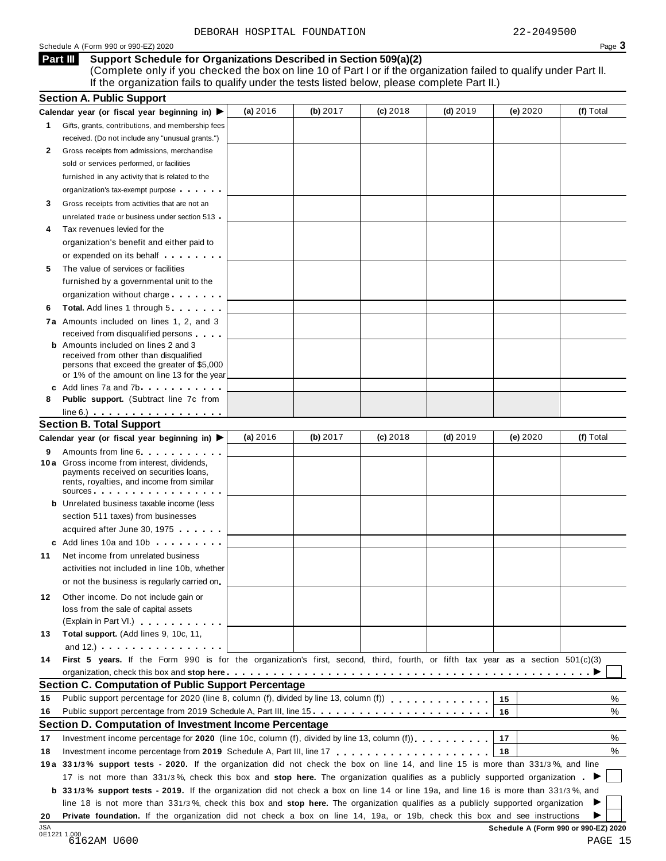#### Schedule <sup>A</sup> (Form <sup>990</sup> or 990-EZ) <sup>2020</sup> Page **3**

## **Support Schedule for Organizations Described in Section 509(a)(2)**

(Complete only if you checked the box on line 10 of Part I or if the organization failed to qualify under Part II. If the organization fails to qualify under the tests listed below, please complete Part II.)

|     | <b>Section A. Public Support</b>                                                                                                                                                                                                                           |          |          |            |            |          |           |
|-----|------------------------------------------------------------------------------------------------------------------------------------------------------------------------------------------------------------------------------------------------------------|----------|----------|------------|------------|----------|-----------|
|     | Calendar year (or fiscal year beginning in) $\blacktriangleright$                                                                                                                                                                                          | (a) 2016 | (b) 2017 | $(c)$ 2018 | $(d)$ 2019 | (e) 2020 | (f) Total |
| 1.  | Gifts, grants, contributions, and membership fees                                                                                                                                                                                                          |          |          |            |            |          |           |
|     | received. (Do not include any "unusual grants.")                                                                                                                                                                                                           |          |          |            |            |          |           |
| 2   | Gross receipts from admissions, merchandise                                                                                                                                                                                                                |          |          |            |            |          |           |
|     | sold or services performed, or facilities                                                                                                                                                                                                                  |          |          |            |            |          |           |
|     | furnished in any activity that is related to the                                                                                                                                                                                                           |          |          |            |            |          |           |
|     | organization's tax-exempt purpose                                                                                                                                                                                                                          |          |          |            |            |          |           |
| 3   | Gross receipts from activities that are not an                                                                                                                                                                                                             |          |          |            |            |          |           |
|     | unrelated trade or business under section 513                                                                                                                                                                                                              |          |          |            |            |          |           |
| 4   | Tax revenues levied for the                                                                                                                                                                                                                                |          |          |            |            |          |           |
|     | organization's benefit and either paid to                                                                                                                                                                                                                  |          |          |            |            |          |           |
|     | or expended on its behalf <b>contained</b> on $\theta$                                                                                                                                                                                                     |          |          |            |            |          |           |
| 5   | The value of services or facilities                                                                                                                                                                                                                        |          |          |            |            |          |           |
|     | furnished by a governmental unit to the                                                                                                                                                                                                                    |          |          |            |            |          |           |
|     | organization without charge                                                                                                                                                                                                                                |          |          |            |            |          |           |
| 6   | <b>Total.</b> Add lines 1 through 5                                                                                                                                                                                                                        |          |          |            |            |          |           |
|     | 7a Amounts included on lines 1, 2, and 3                                                                                                                                                                                                                   |          |          |            |            |          |           |
|     | received from disqualified persons                                                                                                                                                                                                                         |          |          |            |            |          |           |
|     | <b>b</b> Amounts included on lines 2 and 3                                                                                                                                                                                                                 |          |          |            |            |          |           |
|     | received from other than disqualified                                                                                                                                                                                                                      |          |          |            |            |          |           |
|     | persons that exceed the greater of \$5,000<br>or 1% of the amount on line 13 for the year                                                                                                                                                                  |          |          |            |            |          |           |
|     | c Add lines 7a and 7b                                                                                                                                                                                                                                      |          |          |            |            |          |           |
| 8   | <b>Public support.</b> (Subtract line 7c from                                                                                                                                                                                                              |          |          |            |            |          |           |
|     | $line 6.)$                                                                                                                                                                                                                                                 |          |          |            |            |          |           |
|     | <b>Section B. Total Support</b>                                                                                                                                                                                                                            |          |          |            |            |          |           |
|     | Calendar year (or fiscal year beginning in) ▶                                                                                                                                                                                                              | (a) 2016 | (b) 2017 | $(c)$ 2018 | $(d)$ 2019 | (e) 2020 | (f) Total |
| 9   | Amounts from line 6                                                                                                                                                                                                                                        |          |          |            |            |          |           |
|     | 10 a Gross income from interest, dividends,                                                                                                                                                                                                                |          |          |            |            |          |           |
|     | payments received on securities loans,<br>rents, royalties, and income from similar                                                                                                                                                                        |          |          |            |            |          |           |
|     | SOUICES                                                                                                                                                                                                                                                    |          |          |            |            |          |           |
|     | <b>b</b> Unrelated business taxable income (less                                                                                                                                                                                                           |          |          |            |            |          |           |
|     | section 511 taxes) from businesses                                                                                                                                                                                                                         |          |          |            |            |          |           |
|     | acquired after June 30, 1975                                                                                                                                                                                                                               |          |          |            |            |          |           |
|     | c Add lines 10a and 10b                                                                                                                                                                                                                                    |          |          |            |            |          |           |
| 11  | Net income from unrelated business                                                                                                                                                                                                                         |          |          |            |            |          |           |
|     | activities not included in line 10b, whether                                                                                                                                                                                                               |          |          |            |            |          |           |
|     | or not the business is regularly carried on                                                                                                                                                                                                                |          |          |            |            |          |           |
| 12. | Other income. Do not include gain or                                                                                                                                                                                                                       |          |          |            |            |          |           |
|     | loss from the sale of capital assets                                                                                                                                                                                                                       |          |          |            |            |          |           |
|     | (Explain in Part VI.)                                                                                                                                                                                                                                      |          |          |            |            |          |           |
| 13  | Total support. (Add lines 9, 10c, 11,                                                                                                                                                                                                                      |          |          |            |            |          |           |
|     | and $12.$ ) $\ldots$ $\ldots$ $\ldots$ $\ldots$ $\ldots$                                                                                                                                                                                                   |          |          |            |            |          |           |
| 14  | First 5 years. If the Form 990 is for the organization's first, second, third, fourth, or fifth tax year as a section 501(c)(3)                                                                                                                            |          |          |            |            |          |           |
|     |                                                                                                                                                                                                                                                            |          |          |            |            |          |           |
|     | Section C. Computation of Public Support Percentage                                                                                                                                                                                                        |          |          |            |            |          |           |
| 15  | Public support percentage for 2020 (line 8, column (f), divided by line 13, column (f)                                                                                                                                                                     |          |          |            |            | 15       | %         |
| 16  | Public support percentage from 2019 Schedule A, Part III, line 15                                                                                                                                                                                          |          |          |            |            | 16       | %         |
|     | Section D. Computation of Investment Income Percentage                                                                                                                                                                                                     |          |          |            |            |          |           |
| 17  | Investment income percentage for 2020 (line 10c, column (f), divided by line 13, column (f)).                                                                                                                                                              |          |          |            |            | 17       | %         |
| 18  |                                                                                                                                                                                                                                                            |          |          |            |            | 18       | %         |
|     | 19a 331/3% support tests - 2020. If the organization did not check the box on line 14, and line 15 is more than 331/3%, and line                                                                                                                           |          |          |            |            |          |           |
|     | 17 is not more than 331/3%, check this box and stop here. The organization qualifies as a publicly supported organization.                                                                                                                                 |          |          |            |            |          |           |
|     | <b>b</b> 331/3% support tests - 2019. If the organization did not check a box on line 14 or line 19a, and line 16 is more than 331/3%, and                                                                                                                 |          |          |            |            |          |           |
|     |                                                                                                                                                                                                                                                            |          |          |            |            |          |           |
|     |                                                                                                                                                                                                                                                            |          |          |            |            |          |           |
| 20  | line 18 is not more than 331/3%, check this box and stop here. The organization qualifies as a publicly supported organization<br>Private foundation. If the organization did not check a box on line 14, 19a, or 19b, check this box and see instructions |          |          |            |            |          |           |

| 4 III | uppo |
|-------|------|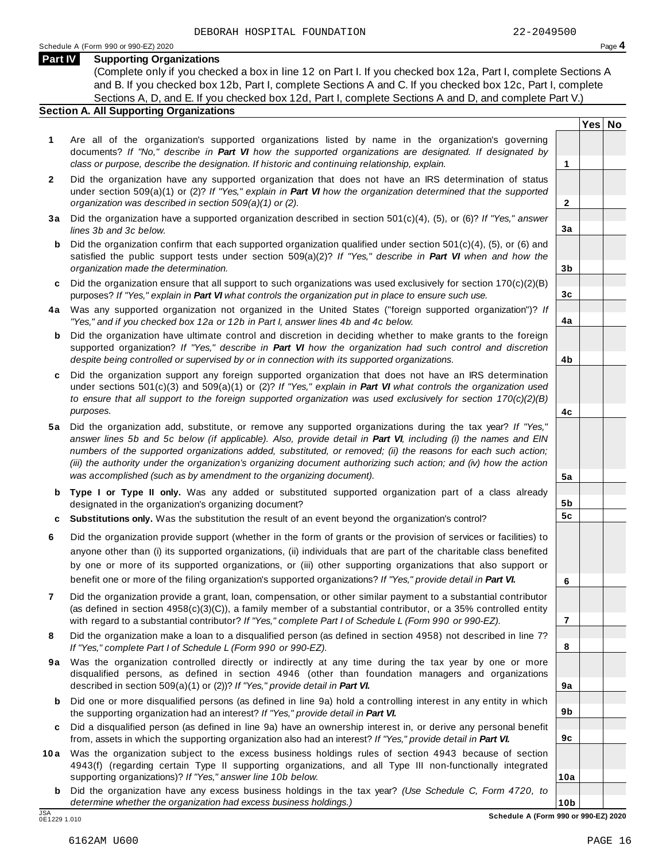**Yes No**

**2**

**3a**

**3b**

**3c**

**4a**

**4b**

**4c**

**5a**

**5b 5c**

**6**

**7**

**8**

**9a**

**9b**

**9c**

**10a**

#### **Part IV Supporting Organizations**

(Complete only if you checked a box in line 12 on Part I. If you checked box 12a, Part I, complete Sections A and B. If you checked box 12b, Part I, complete Sections A and C. If you checked box 12c, Part I, complete Sections A, D, and E. If you checked box 12d, Part I, complete Sections A and D, and complete Part V.)

#### **Section A. All Supporting Organizations**

- **1** Are all of the organization's supported organizations listed by name in the organization's governing documents? *If "No," describe in Part VI how the supported organizations are designated. If designated by class or purpose, describe the designation. If historic and continuing relationship, explain.* **1**
- **2** Did the organization have any supported organization that does not have an IRS determination of status under section 509(a)(1) or (2)? *If"Yes," explain in Part VI how the organization determined that the supported organization was described in section 509(a)(1) or (2).*
- **3 a** Did the organization have a supported organization described in section 501(c)(4), (5), or (6)? *If "Yes," answer lines 3b and 3c below.*
- **b** Did the organization confirm that each supported organization qualified under section 501(c)(4), (5), or (6) and | satisfied the public support tests under section 509(a)(2)? *If "Yes," describe in Part VI when and how the organization made the determination.*
- **c** Did the organization ensure that all support to such organizations was used exclusively for section 170(c)(2)(B) purposes? *If"Yes," explain in Part VI what controls the organization put in place to ensure such use.*
- **4 a** Was any supported organization not organized in the United States ("foreign supported organization")? *If "Yes," and if you checked box 12a or 12b in Part I, answer lines 4b and 4c below.*
- **b** Did the organization have ultimate control and discretion in deciding whether to make grants to the foreign | supported organization? *If "Yes," describe in Part VI how the organization had such control and discretion despite being controlled or supervised by or in connection with its supported organizations.*
- **c** Did the organization support any foreign supported organization that does not have an IRS determination | under sections 501(c)(3) and 509(a)(1) or (2)? *If "Yes," explain in Part VI what controls the organization used to ensure that all support to the foreign supported organization was used exclusively for section 170(c)(2)(B) purposes.*
- **5 a** Did the organization add, substitute, or remove any supported organizations during the tax year? *If "Yes,"* answer lines 5b and 5c below (if applicable). Also, provide detail in Part VI, including (i) the names and EIN *numbers of the supported organizations added, substituted, or removed; (ii) the reasons for each such action;* (iii) the authority under the organization's organizing document authorizing such action; and (iv) how the action *was accomplished (such as by amendment to the organizing document).*
- **b Type I or Type II only.** Was any added or substituted supported organization part of a class already designated in the organization's organizing document?
- **c Substitutions only.** Was the substitution the result of an event beyond the organization's control?
- **6** Did the organization provide support (whether in the form of grants or the provision of services or facilities) to anyone other than (i) its supported organizations, (ii) individuals that are part of the charitable class benefited by one or more of its supported organizations, or (iii) other supporting organizations that also support or benefit one or more of the filing organization's supported organizations? *If"Yes," provide detail in Part VI.*
- **7** Did the organization provide a grant, loan, compensation, or other similar payment to a substantial contributor (as defined in section 4958(c)(3)(C)), a family member of a substantial contributor, or a 35% controlled entity with regard to a substantial contributor? *If"Yes," complete Part I of Schedule L (Form 990 or 990-EZ).*
- **8** Did the organization make a loan to a disqualified person (as defined in section 4958) not described in line 7? *If "Yes," complete Part I of Schedule L (Form 990 or 990-EZ).*
- **9a** Was the organization controlled directly or indirectly at any time during the tax year by one or more | disqualified persons, as defined in section 4946 (other than foundation managers and organizations described in section 509(a)(1) or (2))? *If"Yes," provide detail in Part VI.*
- **b** Did one or more disqualified persons (as defined in line 9a) hold a controlling interest in any entity in which | the supporting organization had an interest? *If"Yes," provide detail in Part VI.*
- **c** Did a disqualified person (as defined in line 9a) have an ownership interest in, or derive any personal benefit from, assets in which the supporting organization also had an interest? *If"Yes," provide detail in Part VI.*
- **10a** Was the organization subject to the excess business holdings rules of section 4943 because of section | 4943(f) (regarding certain Type II supporting organizations, and all Type III non-functionally integrated supporting organizations)? *If"Yes," answer line 10b below.*
	- **b** Did the organization have any excess business holdings in the tax year? *(Use Schedule C, Form 4720, to determine whether the organization had excess business holdings.)*

0E1229 1.010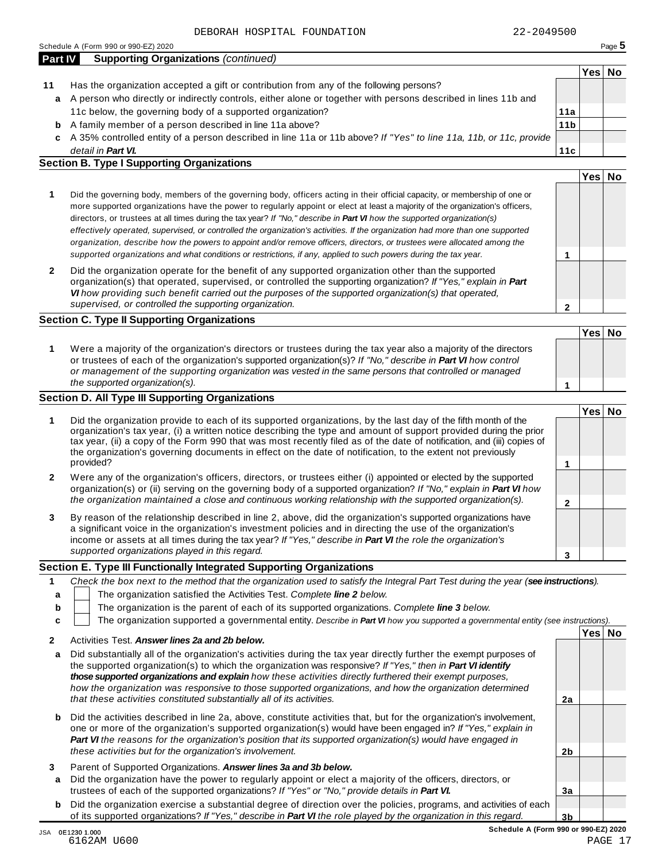| <b>Part IV</b> | <b>Supporting Organizations (continued)</b>                                                                        |                 |      |    |
|----------------|--------------------------------------------------------------------------------------------------------------------|-----------------|------|----|
|                |                                                                                                                    |                 | Yes∣ | NΟ |
| 11             | Has the organization accepted a gift or contribution from any of the following persons?                            |                 |      |    |
| a              | A person who directly or indirectly controls, either alone or together with persons described in lines 11b and     |                 |      |    |
|                | 11c below, the governing body of a supported organization?                                                         | 11a             |      |    |
| b              | A family member of a person described in line 11a above?                                                           | 11 <sub>b</sub> |      |    |
| C.             | A 35% controlled entity of a person described in line 11a or 11b above? If "Yes" to line 11a, 11b, or 11c, provide |                 |      |    |
|                | detail in <b>Part VI.</b>                                                                                          | 11c             |      |    |

## **Section B. Type I Supporting Organizations**

|                                                                                                                                                                                                                                                                                                                                                                                                                                                                                                                                                                                                                                                                                                                                                                                 |   | Yes |  |
|---------------------------------------------------------------------------------------------------------------------------------------------------------------------------------------------------------------------------------------------------------------------------------------------------------------------------------------------------------------------------------------------------------------------------------------------------------------------------------------------------------------------------------------------------------------------------------------------------------------------------------------------------------------------------------------------------------------------------------------------------------------------------------|---|-----|--|
| Did the governing body, members of the governing body, officers acting in their official capacity, or membership of one or<br>more supported organizations have the power to regularly appoint or elect at least a majority of the organization's officers,<br>directors, or trustees at all times during the tax year? If "No," describe in <b>Part VI</b> how the supported organization(s)<br>effectively operated, supervised, or controlled the organization's activities. If the organization had more than one supported<br>organization, describe how the powers to appoint and/or remove officers, directors, or trustees were allocated among the<br>supported organizations and what conditions or restrictions, if any, applied to such powers during the tax year. |   |     |  |
| Did the organization operate for the benefit of any supported organization other than the supported<br>organization(s) that operated, supervised, or controlled the supporting organization? If "Yes," explain in Part<br>VI how providing such benefit carried out the purposes of the supported organization(s) that operated,<br>supervised, or controlled the supporting organization.                                                                                                                                                                                                                                                                                                                                                                                      | ິ |     |  |

### **Section C. Type II Supporting Organizations**

|                                                                                                                                                                                                                                                                                                                                                                               | Yes <sup> </sup> | <b>No</b> |
|-------------------------------------------------------------------------------------------------------------------------------------------------------------------------------------------------------------------------------------------------------------------------------------------------------------------------------------------------------------------------------|------------------|-----------|
| Were a majority of the organization's directors or trustees during the tax year also a majority of the directors<br>or trustees of each of the organization's supported organization(s)? If "No," describe in Part VI how control<br>or management of the supporting organization was vested in the same persons that controlled or managed<br>the supported organization(s). |                  |           |

### **Section D. All Type III Supporting Organizations**

|              |                                                                                                                                                                                                                                                                                                                                                                                                                                                                                          | Yes⊺ |  |
|--------------|------------------------------------------------------------------------------------------------------------------------------------------------------------------------------------------------------------------------------------------------------------------------------------------------------------------------------------------------------------------------------------------------------------------------------------------------------------------------------------------|------|--|
|              | Did the organization provide to each of its supported organizations, by the last day of the fifth month of the<br>organization's tax year, (i) a written notice describing the type and amount of support provided during the prior<br>tax year, (ii) a copy of the Form 990 that was most recently filed as of the date of notification, and (iii) copies of<br>the organization's governing documents in effect on the date of notification, to the extent not previously<br>provided? |      |  |
| $\mathbf{2}$ | Were any of the organization's officers, directors, or trustees either (i) appointed or elected by the supported<br>organization(s) or (ii) serving on the governing body of a supported organization? If "No," explain in <b>Part VI</b> how<br>the organization maintained a close and continuous working relationship with the supported organization(s).                                                                                                                             |      |  |
| 3            | By reason of the relationship described in line 2, above, did the organization's supported organizations have<br>a significant voice in the organization's investment policies and in directing the use of the organization's<br>income or assets at all times during the tax year? If "Yes," describe in Part VI the role the organization's                                                                                                                                            |      |  |
|              | supported organizations played in this regard.                                                                                                                                                                                                                                                                                                                                                                                                                                           |      |  |

## **Section E. Type III Functionally Integrated Supporting Organizations**

|   | Check the box next to the method that the organization used to satisfy the Integral Part Test during the year (see instructions). |      |    |
|---|-----------------------------------------------------------------------------------------------------------------------------------|------|----|
|   | The organization satisfied the Activities Test. Complete line 2 below.                                                            |      |    |
| b | The organization is the parent of each of its supported organizations. Complete line 3 below.                                     |      |    |
|   | The organization supported a governmental entity. Describe in Part VI how you supported a governmental entity (see instructions). |      |    |
|   |                                                                                                                                   | Yesl | No |
|   | Activities Test. Answer lines 2a and 2b below.                                                                                    |      |    |

|   | , www.com. And we must and to below                                                                                                                                                                                                                                                                                                                                                                                                                                                                                                        |    |  |
|---|--------------------------------------------------------------------------------------------------------------------------------------------------------------------------------------------------------------------------------------------------------------------------------------------------------------------------------------------------------------------------------------------------------------------------------------------------------------------------------------------------------------------------------------------|----|--|
| a | Did substantially all of the organization's activities during the tax year directly further the exempt purposes of<br>the supported organization(s) to which the organization was responsive? If "Yes," then in <b>Part VI identify</b><br>those supported organizations and explain how these activities directly furthered their exempt purposes,<br>how the organization was responsive to those supported organizations, and how the organization determined<br>that these activities constituted substantially all of its activities. | 2a |  |
|   |                                                                                                                                                                                                                                                                                                                                                                                                                                                                                                                                            |    |  |
| b | Did the activities described in line 2a, above, constitute activities that, but for the organization's involvement,<br>one or more of the organization's supported organization(s) would have been engaged in? If "Yes," explain in<br><b>Part VI</b> the reasons for the organization's position that its supported organization(s) would have engaged in<br>these activities but for the organization's involvement.                                                                                                                     | 2b |  |
|   |                                                                                                                                                                                                                                                                                                                                                                                                                                                                                                                                            |    |  |
| 3 | Parent of Supported Organizations. Answer lines 3a and 3b below.                                                                                                                                                                                                                                                                                                                                                                                                                                                                           |    |  |
| a | Did the organization have the power to regularly appoint or elect a majority of the officers, directors, or                                                                                                                                                                                                                                                                                                                                                                                                                                |    |  |
|   | trustees of each of the supported organizations? If "Yes" or "No," provide details in Part VI.                                                                                                                                                                                                                                                                                                                                                                                                                                             | 3a |  |
|   |                                                                                                                                                                                                                                                                                                                                                                                                                                                                                                                                            |    |  |
| b | Did the organization exercise a substantial degree of direction over the policies, programs, and activities of each                                                                                                                                                                                                                                                                                                                                                                                                                        |    |  |
|   | of its supported organizations? If "Yes," describe in <b>Part VI</b> the role played by the organization in this regard.                                                                                                                                                                                                                                                                                                                                                                                                                   | 3b |  |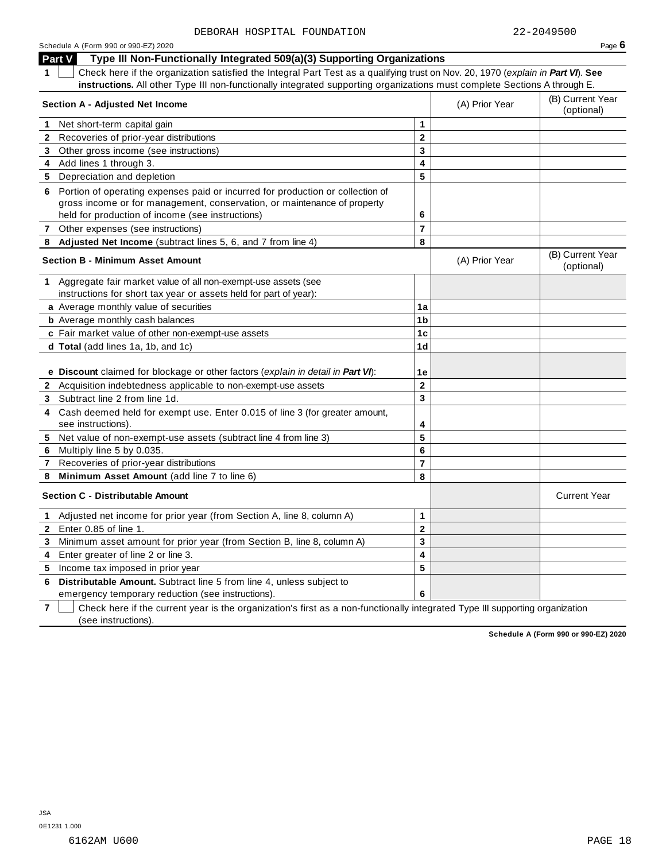| Schedule A (Form 990 or 990-EZ) 2020                                                                                                                                                                                                                                          |                |                | Page $6$                       |
|-------------------------------------------------------------------------------------------------------------------------------------------------------------------------------------------------------------------------------------------------------------------------------|----------------|----------------|--------------------------------|
| Type III Non-Functionally Integrated 509(a)(3) Supporting Organizations<br><b>Part V</b>                                                                                                                                                                                      |                |                |                                |
| Check here if the organization satisfied the Integral Part Test as a qualifying trust on Nov. 20, 1970 (explain in Part VI). See<br>$\mathbf{1}$<br>instructions. All other Type III non-functionally integrated supporting organizations must complete Sections A through E. |                |                |                                |
| <b>Section A - Adjusted Net Income</b>                                                                                                                                                                                                                                        |                | (A) Prior Year | (B) Current Year<br>(optional) |
| Net short-term capital gain<br>1                                                                                                                                                                                                                                              | 1              |                |                                |
| Recoveries of prior-year distributions<br>$\mathbf{2}$                                                                                                                                                                                                                        | $\mathbf{2}$   |                |                                |
| 3 Other gross income (see instructions)                                                                                                                                                                                                                                       | 3              |                |                                |
| 4 Add lines 1 through 3.                                                                                                                                                                                                                                                      | 4              |                |                                |
| 5 Depreciation and depletion                                                                                                                                                                                                                                                  | 5              |                |                                |
| 6 Portion of operating expenses paid or incurred for production or collection of                                                                                                                                                                                              |                |                |                                |
| gross income or for management, conservation, or maintenance of property                                                                                                                                                                                                      | 6              |                |                                |
| held for production of income (see instructions)                                                                                                                                                                                                                              |                |                |                                |
| 7 Other expenses (see instructions)                                                                                                                                                                                                                                           | $\overline{7}$ |                |                                |
| Adjusted Net Income (subtract lines 5, 6, and 7 from line 4)                                                                                                                                                                                                                  | 8              |                |                                |
| <b>Section B - Minimum Asset Amount</b>                                                                                                                                                                                                                                       |                | (A) Prior Year | (B) Current Year<br>(optional) |
| 1 Aggregate fair market value of all non-exempt-use assets (see                                                                                                                                                                                                               |                |                |                                |
| instructions for short tax year or assets held for part of year):                                                                                                                                                                                                             |                |                |                                |
| a Average monthly value of securities                                                                                                                                                                                                                                         | 1a             |                |                                |
| <b>b</b> Average monthly cash balances                                                                                                                                                                                                                                        | 1 <sub>b</sub> |                |                                |
| c Fair market value of other non-exempt-use assets                                                                                                                                                                                                                            | 1 <sub>c</sub> |                |                                |
| d Total (add lines 1a, 1b, and 1c)                                                                                                                                                                                                                                            | 1 <sub>d</sub> |                |                                |
| e Discount claimed for blockage or other factors (explain in detail in Part VI):                                                                                                                                                                                              | 1e             |                |                                |
| 2 Acquisition indebtedness applicable to non-exempt-use assets                                                                                                                                                                                                                | $\mathbf 2$    |                |                                |
| 3 Subtract line 2 from line 1d.                                                                                                                                                                                                                                               | 3              |                |                                |
| Cash deemed held for exempt use. Enter 0.015 of line 3 (for greater amount,<br>4                                                                                                                                                                                              |                |                |                                |
| see instructions).                                                                                                                                                                                                                                                            | 4              |                |                                |
| 5 Net value of non-exempt-use assets (subtract line 4 from line 3)                                                                                                                                                                                                            | 5              |                |                                |
| 6 Multiply line 5 by 0.035.                                                                                                                                                                                                                                                   | 6              |                |                                |
| Recoveries of prior-year distributions<br>$\mathbf{7}$                                                                                                                                                                                                                        | $\overline{7}$ |                |                                |
| Minimum Asset Amount (add line 7 to line 6)<br>8                                                                                                                                                                                                                              | 8              |                |                                |
|                                                                                                                                                                                                                                                                               |                |                |                                |
| <b>Section C - Distributable Amount</b>                                                                                                                                                                                                                                       |                |                | <b>Current Year</b>            |
| 1 Adjusted net income for prior year (from Section A, line 8, column A)                                                                                                                                                                                                       | $\mathbf{1}$   |                |                                |
| Enter 0.85 of line 1.<br>$\mathbf{2}$                                                                                                                                                                                                                                         | $\mathbf 2$    |                |                                |
| Minimum asset amount for prior year (from Section B, line 8, column A)<br>3                                                                                                                                                                                                   | 3              |                |                                |
| Enter greater of line 2 or line 3.<br>4                                                                                                                                                                                                                                       | 4              |                |                                |
| Income tax imposed in prior year<br>5                                                                                                                                                                                                                                         | 5              |                |                                |
| Distributable Amount. Subtract line 5 from line 4, unless subject to<br>6                                                                                                                                                                                                     |                |                |                                |

emergency temporary reduction (see instructions).

**7**  $\Box$  Check here if the current year is the organization's first as a non-functionally integrated Type III supporting organization (see instructions).

**6**

**Schedule A (Form 990 or 990-EZ) 2020**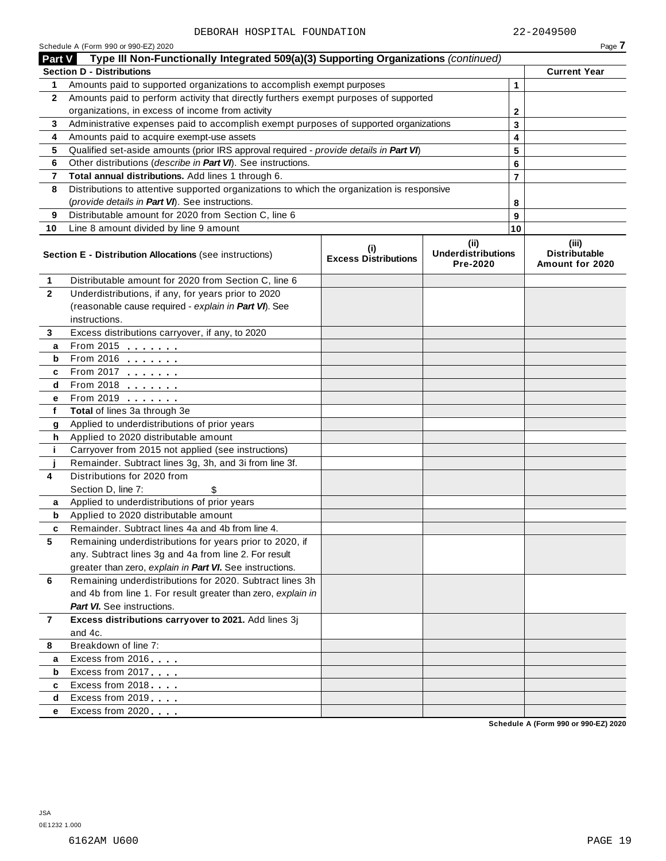| Type III Non-Functionally Integrated 509(a)(3) Supporting Organizations (continued)<br><b>Part V</b><br><b>Section D - Distributions</b><br>Amounts paid to supported organizations to accomplish exempt purposes<br>1<br>Amounts paid to perform activity that directly furthers exempt purposes of supported<br>$\mathbf{2}$<br>organizations, in excess of income from activity<br>Administrative expenses paid to accomplish exempt purposes of supported organizations<br>3<br>Amounts paid to acquire exempt-use assets<br>4<br>Qualified set-aside amounts (prior IRS approval required - provide details in Part VI)<br>5<br>Other distributions (describe in Part VI). See instructions.<br>6<br>Total annual distributions. Add lines 1 through 6.<br>7<br>Distributions to attentive supported organizations to which the organization is responsive<br>8<br>(provide details in Part VI). See instructions.<br>Distributable amount for 2020 from Section C, line 6<br>9<br>Line 8 amount divided by line 9 amount<br>10<br>(ii)<br>(i) |    | Page 7                                           |
|-----------------------------------------------------------------------------------------------------------------------------------------------------------------------------------------------------------------------------------------------------------------------------------------------------------------------------------------------------------------------------------------------------------------------------------------------------------------------------------------------------------------------------------------------------------------------------------------------------------------------------------------------------------------------------------------------------------------------------------------------------------------------------------------------------------------------------------------------------------------------------------------------------------------------------------------------------------------------------------------------------------------------------------------------------|----|--------------------------------------------------|
|                                                                                                                                                                                                                                                                                                                                                                                                                                                                                                                                                                                                                                                                                                                                                                                                                                                                                                                                                                                                                                                     |    |                                                  |
|                                                                                                                                                                                                                                                                                                                                                                                                                                                                                                                                                                                                                                                                                                                                                                                                                                                                                                                                                                                                                                                     |    | <b>Current Year</b>                              |
|                                                                                                                                                                                                                                                                                                                                                                                                                                                                                                                                                                                                                                                                                                                                                                                                                                                                                                                                                                                                                                                     | 1  |                                                  |
|                                                                                                                                                                                                                                                                                                                                                                                                                                                                                                                                                                                                                                                                                                                                                                                                                                                                                                                                                                                                                                                     |    |                                                  |
|                                                                                                                                                                                                                                                                                                                                                                                                                                                                                                                                                                                                                                                                                                                                                                                                                                                                                                                                                                                                                                                     | 2  |                                                  |
|                                                                                                                                                                                                                                                                                                                                                                                                                                                                                                                                                                                                                                                                                                                                                                                                                                                                                                                                                                                                                                                     | 3  |                                                  |
|                                                                                                                                                                                                                                                                                                                                                                                                                                                                                                                                                                                                                                                                                                                                                                                                                                                                                                                                                                                                                                                     | 4  |                                                  |
|                                                                                                                                                                                                                                                                                                                                                                                                                                                                                                                                                                                                                                                                                                                                                                                                                                                                                                                                                                                                                                                     | 5  |                                                  |
|                                                                                                                                                                                                                                                                                                                                                                                                                                                                                                                                                                                                                                                                                                                                                                                                                                                                                                                                                                                                                                                     | 6  |                                                  |
|                                                                                                                                                                                                                                                                                                                                                                                                                                                                                                                                                                                                                                                                                                                                                                                                                                                                                                                                                                                                                                                     | 7  |                                                  |
|                                                                                                                                                                                                                                                                                                                                                                                                                                                                                                                                                                                                                                                                                                                                                                                                                                                                                                                                                                                                                                                     |    |                                                  |
|                                                                                                                                                                                                                                                                                                                                                                                                                                                                                                                                                                                                                                                                                                                                                                                                                                                                                                                                                                                                                                                     | 8  |                                                  |
|                                                                                                                                                                                                                                                                                                                                                                                                                                                                                                                                                                                                                                                                                                                                                                                                                                                                                                                                                                                                                                                     | 9  |                                                  |
|                                                                                                                                                                                                                                                                                                                                                                                                                                                                                                                                                                                                                                                                                                                                                                                                                                                                                                                                                                                                                                                     | 10 |                                                  |
| <b>Underdistributions</b><br>Section E - Distribution Allocations (see instructions)<br><b>Excess Distributions</b><br>Pre-2020                                                                                                                                                                                                                                                                                                                                                                                                                                                                                                                                                                                                                                                                                                                                                                                                                                                                                                                     |    | (iii)<br><b>Distributable</b><br>Amount for 2020 |
| Distributable amount for 2020 from Section C, line 6<br>1                                                                                                                                                                                                                                                                                                                                                                                                                                                                                                                                                                                                                                                                                                                                                                                                                                                                                                                                                                                           |    |                                                  |
| $\mathbf{2}$<br>Underdistributions, if any, for years prior to 2020                                                                                                                                                                                                                                                                                                                                                                                                                                                                                                                                                                                                                                                                                                                                                                                                                                                                                                                                                                                 |    |                                                  |
| (reasonable cause required - explain in Part VI). See                                                                                                                                                                                                                                                                                                                                                                                                                                                                                                                                                                                                                                                                                                                                                                                                                                                                                                                                                                                               |    |                                                  |
| instructions.                                                                                                                                                                                                                                                                                                                                                                                                                                                                                                                                                                                                                                                                                                                                                                                                                                                                                                                                                                                                                                       |    |                                                  |
| Excess distributions carryover, if any, to 2020<br>3                                                                                                                                                                                                                                                                                                                                                                                                                                                                                                                                                                                                                                                                                                                                                                                                                                                                                                                                                                                                |    |                                                  |
| From 2015 $\frac{1}{2}$<br>а                                                                                                                                                                                                                                                                                                                                                                                                                                                                                                                                                                                                                                                                                                                                                                                                                                                                                                                                                                                                                        |    |                                                  |
| From 2016 $\frac{2016}{200}$<br>b                                                                                                                                                                                                                                                                                                                                                                                                                                                                                                                                                                                                                                                                                                                                                                                                                                                                                                                                                                                                                   |    |                                                  |
| From 2017 $\frac{1}{2}$<br>c                                                                                                                                                                                                                                                                                                                                                                                                                                                                                                                                                                                                                                                                                                                                                                                                                                                                                                                                                                                                                        |    |                                                  |
| From 2018 $\frac{2018}{200}$<br>d                                                                                                                                                                                                                                                                                                                                                                                                                                                                                                                                                                                                                                                                                                                                                                                                                                                                                                                                                                                                                   |    |                                                  |
| From 2019 <b>Figure 1.1 Figure 1.1</b><br>е                                                                                                                                                                                                                                                                                                                                                                                                                                                                                                                                                                                                                                                                                                                                                                                                                                                                                                                                                                                                         |    |                                                  |
| f<br>Total of lines 3a through 3e                                                                                                                                                                                                                                                                                                                                                                                                                                                                                                                                                                                                                                                                                                                                                                                                                                                                                                                                                                                                                   |    |                                                  |
| Applied to underdistributions of prior years<br>g                                                                                                                                                                                                                                                                                                                                                                                                                                                                                                                                                                                                                                                                                                                                                                                                                                                                                                                                                                                                   |    |                                                  |
| Applied to 2020 distributable amount<br>h                                                                                                                                                                                                                                                                                                                                                                                                                                                                                                                                                                                                                                                                                                                                                                                                                                                                                                                                                                                                           |    |                                                  |
| Carryover from 2015 not applied (see instructions)<br>j.                                                                                                                                                                                                                                                                                                                                                                                                                                                                                                                                                                                                                                                                                                                                                                                                                                                                                                                                                                                            |    |                                                  |
| Remainder. Subtract lines 3g, 3h, and 3i from line 3f.                                                                                                                                                                                                                                                                                                                                                                                                                                                                                                                                                                                                                                                                                                                                                                                                                                                                                                                                                                                              |    |                                                  |
| Distributions for 2020 from<br>4                                                                                                                                                                                                                                                                                                                                                                                                                                                                                                                                                                                                                                                                                                                                                                                                                                                                                                                                                                                                                    |    |                                                  |
| Section D, line 7:<br>\$                                                                                                                                                                                                                                                                                                                                                                                                                                                                                                                                                                                                                                                                                                                                                                                                                                                                                                                                                                                                                            |    |                                                  |
| Applied to underdistributions of prior years<br>a                                                                                                                                                                                                                                                                                                                                                                                                                                                                                                                                                                                                                                                                                                                                                                                                                                                                                                                                                                                                   |    |                                                  |
| Applied to 2020 distributable amount<br>b                                                                                                                                                                                                                                                                                                                                                                                                                                                                                                                                                                                                                                                                                                                                                                                                                                                                                                                                                                                                           |    |                                                  |
| Remainder. Subtract lines 4a and 4b from line 4.<br>c                                                                                                                                                                                                                                                                                                                                                                                                                                                                                                                                                                                                                                                                                                                                                                                                                                                                                                                                                                                               |    |                                                  |
| 5<br>Remaining underdistributions for years prior to 2020, if                                                                                                                                                                                                                                                                                                                                                                                                                                                                                                                                                                                                                                                                                                                                                                                                                                                                                                                                                                                       |    |                                                  |
| any. Subtract lines 3g and 4a from line 2. For result                                                                                                                                                                                                                                                                                                                                                                                                                                                                                                                                                                                                                                                                                                                                                                                                                                                                                                                                                                                               |    |                                                  |
| greater than zero, explain in Part VI. See instructions.                                                                                                                                                                                                                                                                                                                                                                                                                                                                                                                                                                                                                                                                                                                                                                                                                                                                                                                                                                                            |    |                                                  |
| Remaining underdistributions for 2020. Subtract lines 3h<br>6                                                                                                                                                                                                                                                                                                                                                                                                                                                                                                                                                                                                                                                                                                                                                                                                                                                                                                                                                                                       |    |                                                  |
| and 4b from line 1. For result greater than zero, explain in                                                                                                                                                                                                                                                                                                                                                                                                                                                                                                                                                                                                                                                                                                                                                                                                                                                                                                                                                                                        |    |                                                  |
| <b>Part VI.</b> See instructions.                                                                                                                                                                                                                                                                                                                                                                                                                                                                                                                                                                                                                                                                                                                                                                                                                                                                                                                                                                                                                   |    |                                                  |
| Excess distributions carryover to 2021. Add lines 3j<br>$\overline{7}$                                                                                                                                                                                                                                                                                                                                                                                                                                                                                                                                                                                                                                                                                                                                                                                                                                                                                                                                                                              |    |                                                  |
| and 4c.                                                                                                                                                                                                                                                                                                                                                                                                                                                                                                                                                                                                                                                                                                                                                                                                                                                                                                                                                                                                                                             |    |                                                  |
| Breakdown of line 7:<br>8                                                                                                                                                                                                                                                                                                                                                                                                                                                                                                                                                                                                                                                                                                                                                                                                                                                                                                                                                                                                                           |    |                                                  |
| Excess from 2016<br>а                                                                                                                                                                                                                                                                                                                                                                                                                                                                                                                                                                                                                                                                                                                                                                                                                                                                                                                                                                                                                               |    |                                                  |
| Excess from 2017<br>b                                                                                                                                                                                                                                                                                                                                                                                                                                                                                                                                                                                                                                                                                                                                                                                                                                                                                                                                                                                                                               |    |                                                  |
| Excess from 2018<br>c                                                                                                                                                                                                                                                                                                                                                                                                                                                                                                                                                                                                                                                                                                                                                                                                                                                                                                                                                                                                                               |    |                                                  |
| Excess from 2019<br>d                                                                                                                                                                                                                                                                                                                                                                                                                                                                                                                                                                                                                                                                                                                                                                                                                                                                                                                                                                                                                               |    |                                                  |
| Excess from 2020<br>е                                                                                                                                                                                                                                                                                                                                                                                                                                                                                                                                                                                                                                                                                                                                                                                                                                                                                                                                                                                                                               |    |                                                  |

**Schedule A (Form 990 or 990-EZ) 2020**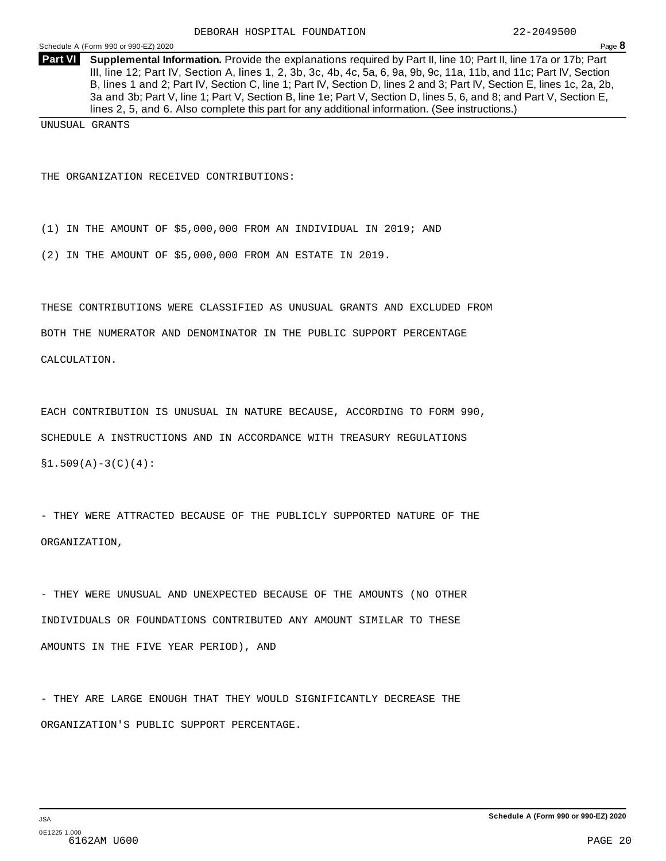**Supplemental Information.** Provide the explanations required by Part II, line 10; Part II, line 17a or 17b; Part **Part VI** III, line 12; Part IV, Section A, lines 1, 2, 3b, 3c, 4b, 4c, 5a, 6, 9a, 9b, 9c, 11a, 11b, and 11c; Part IV, Section B, lines 1 and 2; Part IV, Section C, line 1; Part IV, Section D, lines 2 and 3; Part IV, Section E, lines 1c, 2a, 2b, 3a and 3b; Part V, line 1; Part V, Section B, line 1e; Part V, Section D, lines 5, 6, and 8; and Part V, Section E, lines 2, 5, and 6. Also complete this part for any additional information. (See instructions.)

UNUSUAL GRANTS

THE ORGANIZATION RECEIVED CONTRIBUTIONS:

(1) IN THE AMOUNT OF \$5,000,000 FROM AN INDIVIDUAL IN 2019; AND

(2) IN THE AMOUNT OF \$5,000,000 FROM AN ESTATE IN 2019.

THESE CONTRIBUTIONS WERE CLASSIFIED AS UNUSUAL GRANTS AND EXCLUDED FROM

BOTH THE NUMERATOR AND DENOMINATOR IN THE PUBLIC SUPPORT PERCENTAGE

CALCULATION.

EACH CONTRIBUTION IS UNUSUAL IN NATURE BECAUSE, ACCORDING TO FORM 990, SCHEDULE A INSTRUCTIONS AND IN ACCORDANCE WITH TREASURY REGULATIONS  $$1.509(A)-3(C)(4):$ 

- THEY WERE ATTRACTED BECAUSE OF THE PUBLICLY SUPPORTED NATURE OF THE ORGANIZATION,

- THEY WERE UNUSUAL AND UNEXPECTED BECAUSE OF THE AMOUNTS (NO OTHER INDIVIDUALS OR FOUNDATIONS CONTRIBUTED ANY AMOUNT SIMILAR TO THESE AMOUNTS IN THE FIVE YEAR PERIOD), AND

- THEY ARE LARGE ENOUGH THAT THEY WOULD SIGNIFICANTLY DECREASE THE ORGANIZATION'S PUBLIC SUPPORT PERCENTAGE.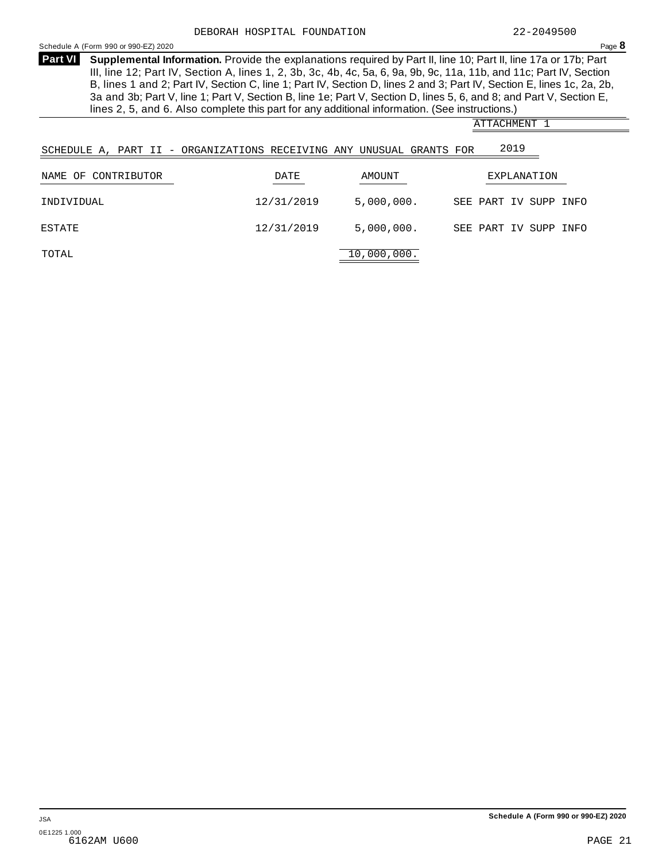ATTACHMENT 1

<span id="page-21-0"></span>Schedule <sup>A</sup> (Form <sup>990</sup> or 990-EZ) <sup>2020</sup> Page **8**

**Supplemental Information.** Provide the explanations required by Part II, line 10; Part II, line 17a or 17b; Part **Part VI** III, line 12; Part IV, Section A, lines 1, 2, 3b, 3c, 4b, 4c, 5a, 6, 9a, 9b, 9c, 11a, 11b, and 11c; Part IV, Section B, lines 1 and 2; Part IV, Section C, line 1; Part IV, Section D, lines 2 and 3; Part IV, Section E, lines 1c, 2a, 2b, 3a and 3b; Part V, line 1; Part V, Section B, line 1e; Part V, Section D, lines 5, 6, and 8; and Part V, Section E, lines 2, 5, and 6. Also complete this part for any additional information. (See instructions.)

|                           | SCHEDULE A, PART II - ORGANIZATIONS RECEIVING ANY UNUSUAL GRANTS FOR |             | 2019                  |  |
|---------------------------|----------------------------------------------------------------------|-------------|-----------------------|--|
| CONTRIBUTOR<br>OF<br>NAME | DATE                                                                 | AMOUNT      | EXPLANATION           |  |
| INDIVIDUAL                | 12/31/2019                                                           | 5,000,000.  | SEE PART IV SUPP INFO |  |
| ESTATE                    | 12/31/2019                                                           | 5,000,000.  | SEE PART IV SUPP INFO |  |
| TOTAL                     |                                                                      | 10,000,000. |                       |  |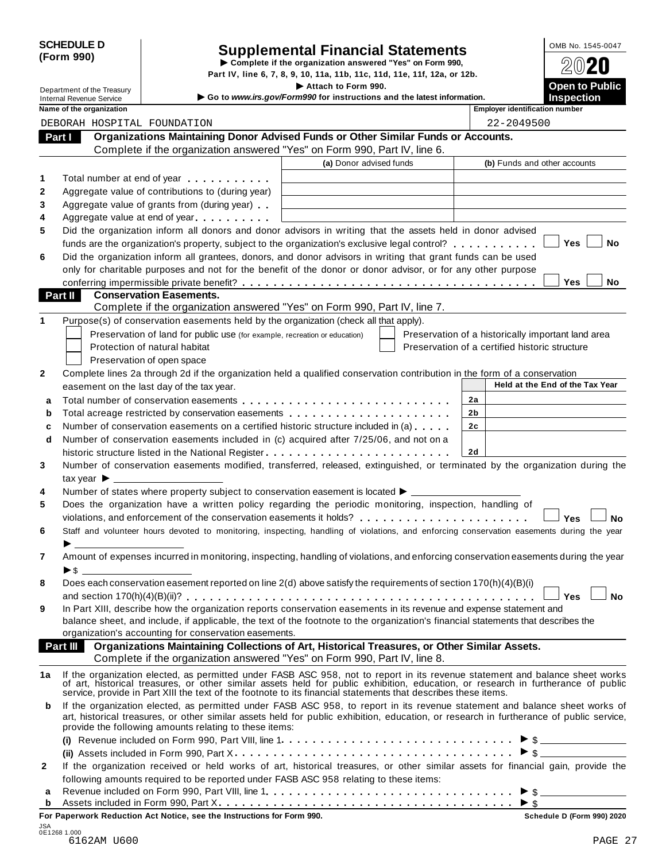| <b>SCHEDULE D</b> |  |
|-------------------|--|
| (Form 990)        |  |

# SCHEDULE D<br>
Supplemental Financial Statements<br>
Form 990)<br>
Part IV, line 6, 7, 8, 9, 10, 11a, 11b, 11c, 11d, 11e, 11f, 12a, or 12b.<br>
Part IV, line 6, 7, 8, 9, 10, 11a, 11b, 11c, 11d, 11e, 11f, 12a, or 12b.

|        |                                            |                                                        |                                                                                                                                                                                                                                                                                                                                                     | Part IV, line 6, 7, 8, 9, 10, 11a, 11b, 11c, 11d, 11e, 11f, 12a, or 12b.                      |                                                |                |                                       |                                                    |           |
|--------|--------------------------------------------|--------------------------------------------------------|-----------------------------------------------------------------------------------------------------------------------------------------------------------------------------------------------------------------------------------------------------------------------------------------------------------------------------------------------------|-----------------------------------------------------------------------------------------------|------------------------------------------------|----------------|---------------------------------------|----------------------------------------------------|-----------|
|        | <b>Internal Revenue Service</b>            | Department of the Treasury<br>Name of the organization |                                                                                                                                                                                                                                                                                                                                                     | Attach to Form 990.<br>Go to www.irs.gov/Form990 for instructions and the latest information. |                                                |                | <b>Employer identification number</b> | <b>Open to Public</b><br><b>Inspection</b>         |           |
|        |                                            |                                                        | DEBORAH HOSPITAL FOUNDATION                                                                                                                                                                                                                                                                                                                         |                                                                                               |                                                |                | 22-2049500                            |                                                    |           |
|        | Part I                                     |                                                        | Organizations Maintaining Donor Advised Funds or Other Similar Funds or Accounts.                                                                                                                                                                                                                                                                   |                                                                                               |                                                |                |                                       |                                                    |           |
|        |                                            |                                                        | Complete if the organization answered "Yes" on Form 990, Part IV, line 6.                                                                                                                                                                                                                                                                           |                                                                                               |                                                |                |                                       |                                                    |           |
|        |                                            |                                                        |                                                                                                                                                                                                                                                                                                                                                     | (a) Donor advised funds                                                                       |                                                |                | (b) Funds and other accounts          |                                                    |           |
|        |                                            |                                                        |                                                                                                                                                                                                                                                                                                                                                     |                                                                                               |                                                |                |                                       |                                                    |           |
| 1      |                                            |                                                        | Total number at end of year entitled as a set of the set of the set of the set of the set of the set of the set of the set of the set of the set of the set of the set of the set of the set of the set of the set of the set                                                                                                                       |                                                                                               |                                                |                |                                       |                                                    |           |
| 2      |                                            |                                                        | Aggregate value of contributions to (during year)                                                                                                                                                                                                                                                                                                   |                                                                                               |                                                |                |                                       |                                                    |           |
| 3      |                                            |                                                        | Aggregate value of grants from (during year)                                                                                                                                                                                                                                                                                                        |                                                                                               |                                                |                |                                       |                                                    |           |
| 4      |                                            |                                                        | Aggregate value at end of year                                                                                                                                                                                                                                                                                                                      |                                                                                               |                                                |                |                                       |                                                    |           |
| 5      |                                            |                                                        | Did the organization inform all donors and donor advisors in writing that the assets held in donor advised                                                                                                                                                                                                                                          |                                                                                               |                                                |                |                                       | Yes                                                | No        |
|        |                                            |                                                        | funds are the organization's property, subject to the organization's exclusive legal control?                                                                                                                                                                                                                                                       |                                                                                               |                                                |                |                                       |                                                    |           |
| 6      |                                            |                                                        | Did the organization inform all grantees, donors, and donor advisors in writing that grant funds can be used                                                                                                                                                                                                                                        |                                                                                               |                                                |                |                                       |                                                    |           |
|        |                                            |                                                        | only for charitable purposes and not for the benefit of the donor or donor advisor, or for any other purpose                                                                                                                                                                                                                                        |                                                                                               |                                                |                |                                       |                                                    |           |
|        |                                            |                                                        |                                                                                                                                                                                                                                                                                                                                                     |                                                                                               |                                                |                |                                       | <b>Yes</b>                                         | No.       |
|        | <b>Part II</b>                             |                                                        | <b>Conservation Easements.</b><br>Complete if the organization answered "Yes" on Form 990, Part IV, line 7.                                                                                                                                                                                                                                         |                                                                                               |                                                |                |                                       |                                                    |           |
| 1      |                                            |                                                        | Purpose(s) of conservation easements held by the organization (check all that apply).                                                                                                                                                                                                                                                               |                                                                                               |                                                |                |                                       |                                                    |           |
|        |                                            |                                                        | Preservation of land for public use (for example, recreation or education)                                                                                                                                                                                                                                                                          |                                                                                               |                                                |                |                                       |                                                    |           |
|        |                                            |                                                        | Protection of natural habitat                                                                                                                                                                                                                                                                                                                       |                                                                                               | Preservation of a certified historic structure |                |                                       | Preservation of a historically important land area |           |
|        |                                            |                                                        |                                                                                                                                                                                                                                                                                                                                                     |                                                                                               |                                                |                |                                       |                                                    |           |
| 2      |                                            |                                                        | Preservation of open space<br>Complete lines 2a through 2d if the organization held a qualified conservation contribution in the form of a conservation                                                                                                                                                                                             |                                                                                               |                                                |                |                                       |                                                    |           |
|        |                                            |                                                        | easement on the last day of the tax year.                                                                                                                                                                                                                                                                                                           |                                                                                               |                                                |                |                                       | Held at the End of the Tax Year                    |           |
|        |                                            |                                                        |                                                                                                                                                                                                                                                                                                                                                     |                                                                                               |                                                | 2a             |                                       |                                                    |           |
| a      |                                            |                                                        |                                                                                                                                                                                                                                                                                                                                                     |                                                                                               |                                                | 2b             |                                       |                                                    |           |
| b      |                                            |                                                        | Total acreage restricted by conservation easements                                                                                                                                                                                                                                                                                                  |                                                                                               |                                                | 2 <sub>c</sub> |                                       |                                                    |           |
| c      |                                            |                                                        | Number of conservation easements on a certified historic structure included in (a)                                                                                                                                                                                                                                                                  |                                                                                               |                                                |                |                                       |                                                    |           |
| d      |                                            |                                                        | Number of conservation easements included in (c) acquired after 7/25/06, and not on a                                                                                                                                                                                                                                                               |                                                                                               |                                                | 2d             |                                       |                                                    |           |
|        |                                            |                                                        |                                                                                                                                                                                                                                                                                                                                                     |                                                                                               |                                                |                |                                       |                                                    |           |
| 3      |                                            |                                                        | Number of conservation easements modified, transferred, released, extinguished, or terminated by the organization during the                                                                                                                                                                                                                        |                                                                                               |                                                |                |                                       |                                                    |           |
|        | tax year $\blacktriangleright$ $\lrcorner$ |                                                        |                                                                                                                                                                                                                                                                                                                                                     |                                                                                               |                                                |                |                                       |                                                    |           |
| 4<br>5 |                                            |                                                        | Number of states where property subject to conservation easement is located ▶ __________                                                                                                                                                                                                                                                            |                                                                                               |                                                |                |                                       |                                                    |           |
|        |                                            |                                                        | Does the organization have a written policy regarding the periodic monitoring, inspection, handling of                                                                                                                                                                                                                                              |                                                                                               |                                                |                |                                       |                                                    |           |
|        |                                            |                                                        | violations, and enforcement of the conservation easements it holds?                                                                                                                                                                                                                                                                                 |                                                                                               |                                                |                |                                       | Yes                                                | <b>No</b> |
| 6      |                                            |                                                        | Staff and volunteer hours devoted to monitoring, inspecting, handling of violations, and enforcing conservation easements during the year                                                                                                                                                                                                           |                                                                                               |                                                |                |                                       |                                                    |           |
| 7      |                                            |                                                        |                                                                                                                                                                                                                                                                                                                                                     |                                                                                               |                                                |                |                                       |                                                    |           |
|        |                                            |                                                        | Amount of expenses incurred in monitoring, inspecting, handling of violations, and enforcing conservation easements during the year                                                                                                                                                                                                                 |                                                                                               |                                                |                |                                       |                                                    |           |
| 8      |                                            |                                                        | Does each conservation easement reported on line 2(d) above satisfy the requirements of section 170(h)(4)(B)(i)                                                                                                                                                                                                                                     |                                                                                               |                                                |                |                                       |                                                    |           |
|        |                                            |                                                        |                                                                                                                                                                                                                                                                                                                                                     |                                                                                               |                                                |                |                                       | <b>Yes</b>                                         | <b>No</b> |
| 9      |                                            |                                                        | In Part XIII, describe how the organization reports conservation easements in its revenue and expense statement and                                                                                                                                                                                                                                 |                                                                                               |                                                |                |                                       |                                                    |           |
|        |                                            |                                                        | balance sheet, and include, if applicable, the text of the footnote to the organization's financial statements that describes the                                                                                                                                                                                                                   |                                                                                               |                                                |                |                                       |                                                    |           |
|        |                                            |                                                        | organization's accounting for conservation easements.                                                                                                                                                                                                                                                                                               |                                                                                               |                                                |                |                                       |                                                    |           |
|        | Part III                                   |                                                        | Organizations Maintaining Collections of Art, Historical Treasures, or Other Similar Assets.                                                                                                                                                                                                                                                        |                                                                                               |                                                |                |                                       |                                                    |           |
|        |                                            |                                                        | Complete if the organization answered "Yes" on Form 990, Part IV, line 8.                                                                                                                                                                                                                                                                           |                                                                                               |                                                |                |                                       |                                                    |           |
|        |                                            |                                                        |                                                                                                                                                                                                                                                                                                                                                     |                                                                                               |                                                |                |                                       |                                                    |           |
| 1a     |                                            |                                                        | If the organization elected, as permitted under FASB ASC 958, not to report in its revenue statement and balance sheet works<br>of art, historical treasures, or other similar assets held for public exhibition, education, or r<br>service, provide in Part XIII the text of the footnote to its financial statements that describes these items. |                                                                                               |                                                |                |                                       |                                                    |           |
| b      |                                            |                                                        | If the organization elected, as permitted under FASB ASC 958, to report in its revenue statement and balance sheet works of<br>art, historical treasures, or other similar assets held for public exhibition, education, or research in furtherance of public service,<br>provide the following amounts relating to these items:                    |                                                                                               |                                                |                |                                       |                                                    |           |
|        |                                            |                                                        |                                                                                                                                                                                                                                                                                                                                                     |                                                                                               |                                                |                |                                       | $\triangleright$ \$                                |           |
|        |                                            |                                                        |                                                                                                                                                                                                                                                                                                                                                     |                                                                                               |                                                |                |                                       | $\triangleright$ \$                                |           |
| 2      |                                            |                                                        | If the organization received or held works of art, historical treasures, or other similar assets for financial gain, provide the                                                                                                                                                                                                                    |                                                                                               |                                                |                |                                       |                                                    |           |
|        |                                            |                                                        | following amounts required to be reported under FASB ASC 958 relating to these items:                                                                                                                                                                                                                                                               |                                                                                               |                                                |                |                                       |                                                    |           |
| а      |                                            |                                                        |                                                                                                                                                                                                                                                                                                                                                     |                                                                                               |                                                |                |                                       | $\triangleright$ \$                                |           |
| b      |                                            |                                                        |                                                                                                                                                                                                                                                                                                                                                     |                                                                                               |                                                |                |                                       | $\triangleright$ \$                                |           |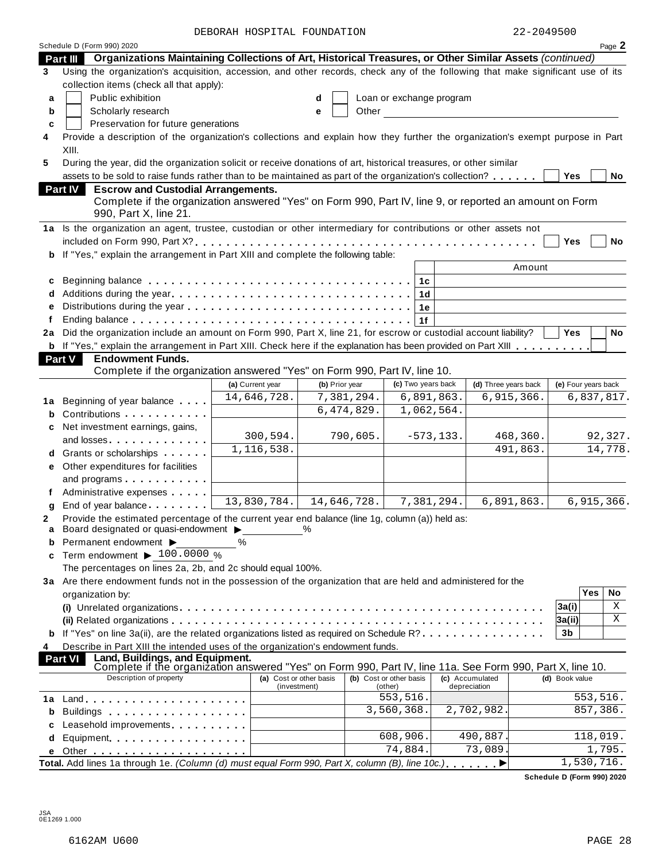| Schedule D (Form 990) 2020<br>Organizations Maintaining Collections of Art, Historical Treasures, or Other Similar Assets (continued)<br>Part III<br>Using the organization's acquisition, accession, and other records, check any of the following that make significant use of its<br>3<br>collection items (check all that apply):<br>Public exhibition<br>Loan or exchange program<br>a<br>Other and the control of the control of the control of the control of the control of the control of the control of the control of the control of the control of the control of the control of the control of the control of th<br>Scholarly research<br>b<br>e<br>Preservation for future generations<br>c<br>Provide a description of the organization's collections and explain how they further the organization's exempt purpose in Part<br>4<br>XIII.<br>5<br>During the year, did the organization solicit or receive donations of art, historical treasures, or other similar<br>assets to be sold to raise funds rather than to be maintained as part of the organization's collection?<br>Yes<br><b>Escrow and Custodial Arrangements.</b><br><b>Part IV</b><br>Complete if the organization answered "Yes" on Form 990, Part IV, line 9, or reported an amount on Form<br>990, Part X, line 21.<br>1a Is the organization an agent, trustee, custodian or other intermediary for contributions or other assets not<br>Yes<br>If "Yes," explain the arrangement in Part XIII and complete the following table:<br>b<br>Amount<br>1c<br>c<br>Additions during the year<br>1 <sub>d</sub><br>1е<br>e<br>1f<br>2a Did the organization include an amount on Form 990, Part X, line 21, for escrow or custodial account liability?<br><b>Yes</b><br>b If "Yes," explain the arrangement in Part XIII. Check here if the explanation has been provided on Part XIII<br><b>Endowment Funds.</b><br><b>Part V</b><br>Complete if the organization answered "Yes" on Form 990, Part IV, line 10.<br>(c) Two years back<br>(d) Three years back<br>(e) Four years back<br>(a) Current year<br>(b) Prior year<br>14,646,728.<br>7,381,294.<br>6,891,863.<br>6,915,366.<br>6,837,817.<br>Beginning of year balance<br>1a<br>6,474,829.<br>1,062,564.<br>Contributions <b>Contributions</b><br>b<br>Net investment earnings, gains,<br>300,594.<br>790,605.<br>$-573, 133.$<br>468,360.<br>92,327.<br>and losses experience and losses<br>1,116,538.<br>491,863.<br>14,778.<br>d Grants or scholarships<br>e Other expenditures for facilities<br>and programs<br>Administrative expenses<br>13,830,784.<br>14,646,728.<br>7,381,294.<br>6,891,863.<br>6,915,366.<br>End of year balance<br>g<br>Provide the estimated percentage of the current year end balance (line 1g, column (a)) held as:<br>2<br>Board designated or quasi-endowment ><br>$\%$<br>a<br>Permanent endowment ><br>%<br>b<br>Term endowment $\blacktriangleright$ 100.0000 %<br>c<br>The percentages on lines 2a, 2b, and 2c should equal 100%.<br>3a Are there endowment funds not in the possession of the organization that are held and administered for the<br>Yes<br>organization by:<br>3a(i)<br> 3a(ii)<br>If "Yes" on line 3a(ii), are the related organizations listed as required on Schedule R?<br>3b<br>Describe in Part XIII the intended uses of the organization's endowment funds.<br>4<br>Land, Buildings, and Equipment.<br><b>Part VI</b> |  | DEBORAH HOSPITAL FOUNDATION |  | 22-2049500 |        |
|--------------------------------------------------------------------------------------------------------------------------------------------------------------------------------------------------------------------------------------------------------------------------------------------------------------------------------------------------------------------------------------------------------------------------------------------------------------------------------------------------------------------------------------------------------------------------------------------------------------------------------------------------------------------------------------------------------------------------------------------------------------------------------------------------------------------------------------------------------------------------------------------------------------------------------------------------------------------------------------------------------------------------------------------------------------------------------------------------------------------------------------------------------------------------------------------------------------------------------------------------------------------------------------------------------------------------------------------------------------------------------------------------------------------------------------------------------------------------------------------------------------------------------------------------------------------------------------------------------------------------------------------------------------------------------------------------------------------------------------------------------------------------------------------------------------------------------------------------------------------------------------------------------------------------------------------------------------------------------------------------------------------------------------------------------------------------------------------------------------------------------------------------------------------------------------------------------------------------------------------------------------------------------------------------------------------------------------------------------------------------------------------------------------------------------------------------------------------------------------------------------------------------------------------------------------------------------------------------------------------------------------------------------------------------------------------------------------------------------------------------------------------------------------------------------------------------------------------------------------------------------------------------------------------------------------------------------------------------------------------------------------------------------------------------------------------------------------------------------------------------------------------------------------------------------------------------------------------------------------------------------------------------------------------------------------------------------------------------------------------------------------------------------------------------------|--|-----------------------------|--|------------|--------|
|                                                                                                                                                                                                                                                                                                                                                                                                                                                                                                                                                                                                                                                                                                                                                                                                                                                                                                                                                                                                                                                                                                                                                                                                                                                                                                                                                                                                                                                                                                                                                                                                                                                                                                                                                                                                                                                                                                                                                                                                                                                                                                                                                                                                                                                                                                                                                                                                                                                                                                                                                                                                                                                                                                                                                                                                                                                                                                                                                                                                                                                                                                                                                                                                                                                                                                                                                                                                                                |  |                             |  |            | Page 2 |
|                                                                                                                                                                                                                                                                                                                                                                                                                                                                                                                                                                                                                                                                                                                                                                                                                                                                                                                                                                                                                                                                                                                                                                                                                                                                                                                                                                                                                                                                                                                                                                                                                                                                                                                                                                                                                                                                                                                                                                                                                                                                                                                                                                                                                                                                                                                                                                                                                                                                                                                                                                                                                                                                                                                                                                                                                                                                                                                                                                                                                                                                                                                                                                                                                                                                                                                                                                                                                                |  |                             |  |            |        |
|                                                                                                                                                                                                                                                                                                                                                                                                                                                                                                                                                                                                                                                                                                                                                                                                                                                                                                                                                                                                                                                                                                                                                                                                                                                                                                                                                                                                                                                                                                                                                                                                                                                                                                                                                                                                                                                                                                                                                                                                                                                                                                                                                                                                                                                                                                                                                                                                                                                                                                                                                                                                                                                                                                                                                                                                                                                                                                                                                                                                                                                                                                                                                                                                                                                                                                                                                                                                                                |  |                             |  |            |        |
|                                                                                                                                                                                                                                                                                                                                                                                                                                                                                                                                                                                                                                                                                                                                                                                                                                                                                                                                                                                                                                                                                                                                                                                                                                                                                                                                                                                                                                                                                                                                                                                                                                                                                                                                                                                                                                                                                                                                                                                                                                                                                                                                                                                                                                                                                                                                                                                                                                                                                                                                                                                                                                                                                                                                                                                                                                                                                                                                                                                                                                                                                                                                                                                                                                                                                                                                                                                                                                |  |                             |  |            |        |
|                                                                                                                                                                                                                                                                                                                                                                                                                                                                                                                                                                                                                                                                                                                                                                                                                                                                                                                                                                                                                                                                                                                                                                                                                                                                                                                                                                                                                                                                                                                                                                                                                                                                                                                                                                                                                                                                                                                                                                                                                                                                                                                                                                                                                                                                                                                                                                                                                                                                                                                                                                                                                                                                                                                                                                                                                                                                                                                                                                                                                                                                                                                                                                                                                                                                                                                                                                                                                                |  |                             |  |            |        |
|                                                                                                                                                                                                                                                                                                                                                                                                                                                                                                                                                                                                                                                                                                                                                                                                                                                                                                                                                                                                                                                                                                                                                                                                                                                                                                                                                                                                                                                                                                                                                                                                                                                                                                                                                                                                                                                                                                                                                                                                                                                                                                                                                                                                                                                                                                                                                                                                                                                                                                                                                                                                                                                                                                                                                                                                                                                                                                                                                                                                                                                                                                                                                                                                                                                                                                                                                                                                                                |  |                             |  |            |        |
|                                                                                                                                                                                                                                                                                                                                                                                                                                                                                                                                                                                                                                                                                                                                                                                                                                                                                                                                                                                                                                                                                                                                                                                                                                                                                                                                                                                                                                                                                                                                                                                                                                                                                                                                                                                                                                                                                                                                                                                                                                                                                                                                                                                                                                                                                                                                                                                                                                                                                                                                                                                                                                                                                                                                                                                                                                                                                                                                                                                                                                                                                                                                                                                                                                                                                                                                                                                                                                |  |                             |  |            |        |
|                                                                                                                                                                                                                                                                                                                                                                                                                                                                                                                                                                                                                                                                                                                                                                                                                                                                                                                                                                                                                                                                                                                                                                                                                                                                                                                                                                                                                                                                                                                                                                                                                                                                                                                                                                                                                                                                                                                                                                                                                                                                                                                                                                                                                                                                                                                                                                                                                                                                                                                                                                                                                                                                                                                                                                                                                                                                                                                                                                                                                                                                                                                                                                                                                                                                                                                                                                                                                                |  |                             |  |            |        |
|                                                                                                                                                                                                                                                                                                                                                                                                                                                                                                                                                                                                                                                                                                                                                                                                                                                                                                                                                                                                                                                                                                                                                                                                                                                                                                                                                                                                                                                                                                                                                                                                                                                                                                                                                                                                                                                                                                                                                                                                                                                                                                                                                                                                                                                                                                                                                                                                                                                                                                                                                                                                                                                                                                                                                                                                                                                                                                                                                                                                                                                                                                                                                                                                                                                                                                                                                                                                                                |  |                             |  |            |        |
|                                                                                                                                                                                                                                                                                                                                                                                                                                                                                                                                                                                                                                                                                                                                                                                                                                                                                                                                                                                                                                                                                                                                                                                                                                                                                                                                                                                                                                                                                                                                                                                                                                                                                                                                                                                                                                                                                                                                                                                                                                                                                                                                                                                                                                                                                                                                                                                                                                                                                                                                                                                                                                                                                                                                                                                                                                                                                                                                                                                                                                                                                                                                                                                                                                                                                                                                                                                                                                |  |                             |  |            |        |
|                                                                                                                                                                                                                                                                                                                                                                                                                                                                                                                                                                                                                                                                                                                                                                                                                                                                                                                                                                                                                                                                                                                                                                                                                                                                                                                                                                                                                                                                                                                                                                                                                                                                                                                                                                                                                                                                                                                                                                                                                                                                                                                                                                                                                                                                                                                                                                                                                                                                                                                                                                                                                                                                                                                                                                                                                                                                                                                                                                                                                                                                                                                                                                                                                                                                                                                                                                                                                                |  |                             |  |            | No     |
|                                                                                                                                                                                                                                                                                                                                                                                                                                                                                                                                                                                                                                                                                                                                                                                                                                                                                                                                                                                                                                                                                                                                                                                                                                                                                                                                                                                                                                                                                                                                                                                                                                                                                                                                                                                                                                                                                                                                                                                                                                                                                                                                                                                                                                                                                                                                                                                                                                                                                                                                                                                                                                                                                                                                                                                                                                                                                                                                                                                                                                                                                                                                                                                                                                                                                                                                                                                                                                |  |                             |  |            |        |
|                                                                                                                                                                                                                                                                                                                                                                                                                                                                                                                                                                                                                                                                                                                                                                                                                                                                                                                                                                                                                                                                                                                                                                                                                                                                                                                                                                                                                                                                                                                                                                                                                                                                                                                                                                                                                                                                                                                                                                                                                                                                                                                                                                                                                                                                                                                                                                                                                                                                                                                                                                                                                                                                                                                                                                                                                                                                                                                                                                                                                                                                                                                                                                                                                                                                                                                                                                                                                                |  |                             |  |            |        |
|                                                                                                                                                                                                                                                                                                                                                                                                                                                                                                                                                                                                                                                                                                                                                                                                                                                                                                                                                                                                                                                                                                                                                                                                                                                                                                                                                                                                                                                                                                                                                                                                                                                                                                                                                                                                                                                                                                                                                                                                                                                                                                                                                                                                                                                                                                                                                                                                                                                                                                                                                                                                                                                                                                                                                                                                                                                                                                                                                                                                                                                                                                                                                                                                                                                                                                                                                                                                                                |  |                             |  |            |        |
|                                                                                                                                                                                                                                                                                                                                                                                                                                                                                                                                                                                                                                                                                                                                                                                                                                                                                                                                                                                                                                                                                                                                                                                                                                                                                                                                                                                                                                                                                                                                                                                                                                                                                                                                                                                                                                                                                                                                                                                                                                                                                                                                                                                                                                                                                                                                                                                                                                                                                                                                                                                                                                                                                                                                                                                                                                                                                                                                                                                                                                                                                                                                                                                                                                                                                                                                                                                                                                |  |                             |  |            |        |
|                                                                                                                                                                                                                                                                                                                                                                                                                                                                                                                                                                                                                                                                                                                                                                                                                                                                                                                                                                                                                                                                                                                                                                                                                                                                                                                                                                                                                                                                                                                                                                                                                                                                                                                                                                                                                                                                                                                                                                                                                                                                                                                                                                                                                                                                                                                                                                                                                                                                                                                                                                                                                                                                                                                                                                                                                                                                                                                                                                                                                                                                                                                                                                                                                                                                                                                                                                                                                                |  |                             |  |            | No     |
|                                                                                                                                                                                                                                                                                                                                                                                                                                                                                                                                                                                                                                                                                                                                                                                                                                                                                                                                                                                                                                                                                                                                                                                                                                                                                                                                                                                                                                                                                                                                                                                                                                                                                                                                                                                                                                                                                                                                                                                                                                                                                                                                                                                                                                                                                                                                                                                                                                                                                                                                                                                                                                                                                                                                                                                                                                                                                                                                                                                                                                                                                                                                                                                                                                                                                                                                                                                                                                |  |                             |  |            |        |
|                                                                                                                                                                                                                                                                                                                                                                                                                                                                                                                                                                                                                                                                                                                                                                                                                                                                                                                                                                                                                                                                                                                                                                                                                                                                                                                                                                                                                                                                                                                                                                                                                                                                                                                                                                                                                                                                                                                                                                                                                                                                                                                                                                                                                                                                                                                                                                                                                                                                                                                                                                                                                                                                                                                                                                                                                                                                                                                                                                                                                                                                                                                                                                                                                                                                                                                                                                                                                                |  |                             |  |            |        |
|                                                                                                                                                                                                                                                                                                                                                                                                                                                                                                                                                                                                                                                                                                                                                                                                                                                                                                                                                                                                                                                                                                                                                                                                                                                                                                                                                                                                                                                                                                                                                                                                                                                                                                                                                                                                                                                                                                                                                                                                                                                                                                                                                                                                                                                                                                                                                                                                                                                                                                                                                                                                                                                                                                                                                                                                                                                                                                                                                                                                                                                                                                                                                                                                                                                                                                                                                                                                                                |  |                             |  |            |        |
|                                                                                                                                                                                                                                                                                                                                                                                                                                                                                                                                                                                                                                                                                                                                                                                                                                                                                                                                                                                                                                                                                                                                                                                                                                                                                                                                                                                                                                                                                                                                                                                                                                                                                                                                                                                                                                                                                                                                                                                                                                                                                                                                                                                                                                                                                                                                                                                                                                                                                                                                                                                                                                                                                                                                                                                                                                                                                                                                                                                                                                                                                                                                                                                                                                                                                                                                                                                                                                |  |                             |  |            |        |
|                                                                                                                                                                                                                                                                                                                                                                                                                                                                                                                                                                                                                                                                                                                                                                                                                                                                                                                                                                                                                                                                                                                                                                                                                                                                                                                                                                                                                                                                                                                                                                                                                                                                                                                                                                                                                                                                                                                                                                                                                                                                                                                                                                                                                                                                                                                                                                                                                                                                                                                                                                                                                                                                                                                                                                                                                                                                                                                                                                                                                                                                                                                                                                                                                                                                                                                                                                                                                                |  |                             |  |            |        |
|                                                                                                                                                                                                                                                                                                                                                                                                                                                                                                                                                                                                                                                                                                                                                                                                                                                                                                                                                                                                                                                                                                                                                                                                                                                                                                                                                                                                                                                                                                                                                                                                                                                                                                                                                                                                                                                                                                                                                                                                                                                                                                                                                                                                                                                                                                                                                                                                                                                                                                                                                                                                                                                                                                                                                                                                                                                                                                                                                                                                                                                                                                                                                                                                                                                                                                                                                                                                                                |  |                             |  |            |        |
|                                                                                                                                                                                                                                                                                                                                                                                                                                                                                                                                                                                                                                                                                                                                                                                                                                                                                                                                                                                                                                                                                                                                                                                                                                                                                                                                                                                                                                                                                                                                                                                                                                                                                                                                                                                                                                                                                                                                                                                                                                                                                                                                                                                                                                                                                                                                                                                                                                                                                                                                                                                                                                                                                                                                                                                                                                                                                                                                                                                                                                                                                                                                                                                                                                                                                                                                                                                                                                |  |                             |  |            | No     |
|                                                                                                                                                                                                                                                                                                                                                                                                                                                                                                                                                                                                                                                                                                                                                                                                                                                                                                                                                                                                                                                                                                                                                                                                                                                                                                                                                                                                                                                                                                                                                                                                                                                                                                                                                                                                                                                                                                                                                                                                                                                                                                                                                                                                                                                                                                                                                                                                                                                                                                                                                                                                                                                                                                                                                                                                                                                                                                                                                                                                                                                                                                                                                                                                                                                                                                                                                                                                                                |  |                             |  |            |        |
|                                                                                                                                                                                                                                                                                                                                                                                                                                                                                                                                                                                                                                                                                                                                                                                                                                                                                                                                                                                                                                                                                                                                                                                                                                                                                                                                                                                                                                                                                                                                                                                                                                                                                                                                                                                                                                                                                                                                                                                                                                                                                                                                                                                                                                                                                                                                                                                                                                                                                                                                                                                                                                                                                                                                                                                                                                                                                                                                                                                                                                                                                                                                                                                                                                                                                                                                                                                                                                |  |                             |  |            |        |
|                                                                                                                                                                                                                                                                                                                                                                                                                                                                                                                                                                                                                                                                                                                                                                                                                                                                                                                                                                                                                                                                                                                                                                                                                                                                                                                                                                                                                                                                                                                                                                                                                                                                                                                                                                                                                                                                                                                                                                                                                                                                                                                                                                                                                                                                                                                                                                                                                                                                                                                                                                                                                                                                                                                                                                                                                                                                                                                                                                                                                                                                                                                                                                                                                                                                                                                                                                                                                                |  |                             |  |            |        |
|                                                                                                                                                                                                                                                                                                                                                                                                                                                                                                                                                                                                                                                                                                                                                                                                                                                                                                                                                                                                                                                                                                                                                                                                                                                                                                                                                                                                                                                                                                                                                                                                                                                                                                                                                                                                                                                                                                                                                                                                                                                                                                                                                                                                                                                                                                                                                                                                                                                                                                                                                                                                                                                                                                                                                                                                                                                                                                                                                                                                                                                                                                                                                                                                                                                                                                                                                                                                                                |  |                             |  |            |        |
|                                                                                                                                                                                                                                                                                                                                                                                                                                                                                                                                                                                                                                                                                                                                                                                                                                                                                                                                                                                                                                                                                                                                                                                                                                                                                                                                                                                                                                                                                                                                                                                                                                                                                                                                                                                                                                                                                                                                                                                                                                                                                                                                                                                                                                                                                                                                                                                                                                                                                                                                                                                                                                                                                                                                                                                                                                                                                                                                                                                                                                                                                                                                                                                                                                                                                                                                                                                                                                |  |                             |  |            |        |
|                                                                                                                                                                                                                                                                                                                                                                                                                                                                                                                                                                                                                                                                                                                                                                                                                                                                                                                                                                                                                                                                                                                                                                                                                                                                                                                                                                                                                                                                                                                                                                                                                                                                                                                                                                                                                                                                                                                                                                                                                                                                                                                                                                                                                                                                                                                                                                                                                                                                                                                                                                                                                                                                                                                                                                                                                                                                                                                                                                                                                                                                                                                                                                                                                                                                                                                                                                                                                                |  |                             |  |            |        |
|                                                                                                                                                                                                                                                                                                                                                                                                                                                                                                                                                                                                                                                                                                                                                                                                                                                                                                                                                                                                                                                                                                                                                                                                                                                                                                                                                                                                                                                                                                                                                                                                                                                                                                                                                                                                                                                                                                                                                                                                                                                                                                                                                                                                                                                                                                                                                                                                                                                                                                                                                                                                                                                                                                                                                                                                                                                                                                                                                                                                                                                                                                                                                                                                                                                                                                                                                                                                                                |  |                             |  |            |        |
|                                                                                                                                                                                                                                                                                                                                                                                                                                                                                                                                                                                                                                                                                                                                                                                                                                                                                                                                                                                                                                                                                                                                                                                                                                                                                                                                                                                                                                                                                                                                                                                                                                                                                                                                                                                                                                                                                                                                                                                                                                                                                                                                                                                                                                                                                                                                                                                                                                                                                                                                                                                                                                                                                                                                                                                                                                                                                                                                                                                                                                                                                                                                                                                                                                                                                                                                                                                                                                |  |                             |  |            |        |
|                                                                                                                                                                                                                                                                                                                                                                                                                                                                                                                                                                                                                                                                                                                                                                                                                                                                                                                                                                                                                                                                                                                                                                                                                                                                                                                                                                                                                                                                                                                                                                                                                                                                                                                                                                                                                                                                                                                                                                                                                                                                                                                                                                                                                                                                                                                                                                                                                                                                                                                                                                                                                                                                                                                                                                                                                                                                                                                                                                                                                                                                                                                                                                                                                                                                                                                                                                                                                                |  |                             |  |            |        |
|                                                                                                                                                                                                                                                                                                                                                                                                                                                                                                                                                                                                                                                                                                                                                                                                                                                                                                                                                                                                                                                                                                                                                                                                                                                                                                                                                                                                                                                                                                                                                                                                                                                                                                                                                                                                                                                                                                                                                                                                                                                                                                                                                                                                                                                                                                                                                                                                                                                                                                                                                                                                                                                                                                                                                                                                                                                                                                                                                                                                                                                                                                                                                                                                                                                                                                                                                                                                                                |  |                             |  |            |        |
|                                                                                                                                                                                                                                                                                                                                                                                                                                                                                                                                                                                                                                                                                                                                                                                                                                                                                                                                                                                                                                                                                                                                                                                                                                                                                                                                                                                                                                                                                                                                                                                                                                                                                                                                                                                                                                                                                                                                                                                                                                                                                                                                                                                                                                                                                                                                                                                                                                                                                                                                                                                                                                                                                                                                                                                                                                                                                                                                                                                                                                                                                                                                                                                                                                                                                                                                                                                                                                |  |                             |  |            |        |
|                                                                                                                                                                                                                                                                                                                                                                                                                                                                                                                                                                                                                                                                                                                                                                                                                                                                                                                                                                                                                                                                                                                                                                                                                                                                                                                                                                                                                                                                                                                                                                                                                                                                                                                                                                                                                                                                                                                                                                                                                                                                                                                                                                                                                                                                                                                                                                                                                                                                                                                                                                                                                                                                                                                                                                                                                                                                                                                                                                                                                                                                                                                                                                                                                                                                                                                                                                                                                                |  |                             |  |            |        |
|                                                                                                                                                                                                                                                                                                                                                                                                                                                                                                                                                                                                                                                                                                                                                                                                                                                                                                                                                                                                                                                                                                                                                                                                                                                                                                                                                                                                                                                                                                                                                                                                                                                                                                                                                                                                                                                                                                                                                                                                                                                                                                                                                                                                                                                                                                                                                                                                                                                                                                                                                                                                                                                                                                                                                                                                                                                                                                                                                                                                                                                                                                                                                                                                                                                                                                                                                                                                                                |  |                             |  |            |        |
|                                                                                                                                                                                                                                                                                                                                                                                                                                                                                                                                                                                                                                                                                                                                                                                                                                                                                                                                                                                                                                                                                                                                                                                                                                                                                                                                                                                                                                                                                                                                                                                                                                                                                                                                                                                                                                                                                                                                                                                                                                                                                                                                                                                                                                                                                                                                                                                                                                                                                                                                                                                                                                                                                                                                                                                                                                                                                                                                                                                                                                                                                                                                                                                                                                                                                                                                                                                                                                |  |                             |  |            |        |
|                                                                                                                                                                                                                                                                                                                                                                                                                                                                                                                                                                                                                                                                                                                                                                                                                                                                                                                                                                                                                                                                                                                                                                                                                                                                                                                                                                                                                                                                                                                                                                                                                                                                                                                                                                                                                                                                                                                                                                                                                                                                                                                                                                                                                                                                                                                                                                                                                                                                                                                                                                                                                                                                                                                                                                                                                                                                                                                                                                                                                                                                                                                                                                                                                                                                                                                                                                                                                                |  |                             |  |            |        |
|                                                                                                                                                                                                                                                                                                                                                                                                                                                                                                                                                                                                                                                                                                                                                                                                                                                                                                                                                                                                                                                                                                                                                                                                                                                                                                                                                                                                                                                                                                                                                                                                                                                                                                                                                                                                                                                                                                                                                                                                                                                                                                                                                                                                                                                                                                                                                                                                                                                                                                                                                                                                                                                                                                                                                                                                                                                                                                                                                                                                                                                                                                                                                                                                                                                                                                                                                                                                                                |  |                             |  |            |        |
|                                                                                                                                                                                                                                                                                                                                                                                                                                                                                                                                                                                                                                                                                                                                                                                                                                                                                                                                                                                                                                                                                                                                                                                                                                                                                                                                                                                                                                                                                                                                                                                                                                                                                                                                                                                                                                                                                                                                                                                                                                                                                                                                                                                                                                                                                                                                                                                                                                                                                                                                                                                                                                                                                                                                                                                                                                                                                                                                                                                                                                                                                                                                                                                                                                                                                                                                                                                                                                |  |                             |  |            |        |
|                                                                                                                                                                                                                                                                                                                                                                                                                                                                                                                                                                                                                                                                                                                                                                                                                                                                                                                                                                                                                                                                                                                                                                                                                                                                                                                                                                                                                                                                                                                                                                                                                                                                                                                                                                                                                                                                                                                                                                                                                                                                                                                                                                                                                                                                                                                                                                                                                                                                                                                                                                                                                                                                                                                                                                                                                                                                                                                                                                                                                                                                                                                                                                                                                                                                                                                                                                                                                                |  |                             |  |            |        |
|                                                                                                                                                                                                                                                                                                                                                                                                                                                                                                                                                                                                                                                                                                                                                                                                                                                                                                                                                                                                                                                                                                                                                                                                                                                                                                                                                                                                                                                                                                                                                                                                                                                                                                                                                                                                                                                                                                                                                                                                                                                                                                                                                                                                                                                                                                                                                                                                                                                                                                                                                                                                                                                                                                                                                                                                                                                                                                                                                                                                                                                                                                                                                                                                                                                                                                                                                                                                                                |  |                             |  |            |        |
|                                                                                                                                                                                                                                                                                                                                                                                                                                                                                                                                                                                                                                                                                                                                                                                                                                                                                                                                                                                                                                                                                                                                                                                                                                                                                                                                                                                                                                                                                                                                                                                                                                                                                                                                                                                                                                                                                                                                                                                                                                                                                                                                                                                                                                                                                                                                                                                                                                                                                                                                                                                                                                                                                                                                                                                                                                                                                                                                                                                                                                                                                                                                                                                                                                                                                                                                                                                                                                |  |                             |  |            |        |
|                                                                                                                                                                                                                                                                                                                                                                                                                                                                                                                                                                                                                                                                                                                                                                                                                                                                                                                                                                                                                                                                                                                                                                                                                                                                                                                                                                                                                                                                                                                                                                                                                                                                                                                                                                                                                                                                                                                                                                                                                                                                                                                                                                                                                                                                                                                                                                                                                                                                                                                                                                                                                                                                                                                                                                                                                                                                                                                                                                                                                                                                                                                                                                                                                                                                                                                                                                                                                                |  |                             |  |            | No     |
|                                                                                                                                                                                                                                                                                                                                                                                                                                                                                                                                                                                                                                                                                                                                                                                                                                                                                                                                                                                                                                                                                                                                                                                                                                                                                                                                                                                                                                                                                                                                                                                                                                                                                                                                                                                                                                                                                                                                                                                                                                                                                                                                                                                                                                                                                                                                                                                                                                                                                                                                                                                                                                                                                                                                                                                                                                                                                                                                                                                                                                                                                                                                                                                                                                                                                                                                                                                                                                |  |                             |  |            | Χ      |
|                                                                                                                                                                                                                                                                                                                                                                                                                                                                                                                                                                                                                                                                                                                                                                                                                                                                                                                                                                                                                                                                                                                                                                                                                                                                                                                                                                                                                                                                                                                                                                                                                                                                                                                                                                                                                                                                                                                                                                                                                                                                                                                                                                                                                                                                                                                                                                                                                                                                                                                                                                                                                                                                                                                                                                                                                                                                                                                                                                                                                                                                                                                                                                                                                                                                                                                                                                                                                                |  |                             |  |            | Χ      |
|                                                                                                                                                                                                                                                                                                                                                                                                                                                                                                                                                                                                                                                                                                                                                                                                                                                                                                                                                                                                                                                                                                                                                                                                                                                                                                                                                                                                                                                                                                                                                                                                                                                                                                                                                                                                                                                                                                                                                                                                                                                                                                                                                                                                                                                                                                                                                                                                                                                                                                                                                                                                                                                                                                                                                                                                                                                                                                                                                                                                                                                                                                                                                                                                                                                                                                                                                                                                                                |  |                             |  |            |        |
|                                                                                                                                                                                                                                                                                                                                                                                                                                                                                                                                                                                                                                                                                                                                                                                                                                                                                                                                                                                                                                                                                                                                                                                                                                                                                                                                                                                                                                                                                                                                                                                                                                                                                                                                                                                                                                                                                                                                                                                                                                                                                                                                                                                                                                                                                                                                                                                                                                                                                                                                                                                                                                                                                                                                                                                                                                                                                                                                                                                                                                                                                                                                                                                                                                                                                                                                                                                                                                |  |                             |  |            |        |
| Complete if the organization answered "Yes" on Form 990, Part IV, line 11a. See Form 990, Part X, line 10.                                                                                                                                                                                                                                                                                                                                                                                                                                                                                                                                                                                                                                                                                                                                                                                                                                                                                                                                                                                                                                                                                                                                                                                                                                                                                                                                                                                                                                                                                                                                                                                                                                                                                                                                                                                                                                                                                                                                                                                                                                                                                                                                                                                                                                                                                                                                                                                                                                                                                                                                                                                                                                                                                                                                                                                                                                                                                                                                                                                                                                                                                                                                                                                                                                                                                                                     |  |                             |  |            |        |
| Description of property<br>(a) Cost or other basis<br>(b) Cost or other basis<br>(c) Accumulated<br>(d) Book value                                                                                                                                                                                                                                                                                                                                                                                                                                                                                                                                                                                                                                                                                                                                                                                                                                                                                                                                                                                                                                                                                                                                                                                                                                                                                                                                                                                                                                                                                                                                                                                                                                                                                                                                                                                                                                                                                                                                                                                                                                                                                                                                                                                                                                                                                                                                                                                                                                                                                                                                                                                                                                                                                                                                                                                                                                                                                                                                                                                                                                                                                                                                                                                                                                                                                                             |  |                             |  |            |        |
| (investment)<br>(other)<br>depreciation                                                                                                                                                                                                                                                                                                                                                                                                                                                                                                                                                                                                                                                                                                                                                                                                                                                                                                                                                                                                                                                                                                                                                                                                                                                                                                                                                                                                                                                                                                                                                                                                                                                                                                                                                                                                                                                                                                                                                                                                                                                                                                                                                                                                                                                                                                                                                                                                                                                                                                                                                                                                                                                                                                                                                                                                                                                                                                                                                                                                                                                                                                                                                                                                                                                                                                                                                                                        |  |                             |  |            |        |
| 553,516.<br>553,516.<br>$Land.$<br>1 a                                                                                                                                                                                                                                                                                                                                                                                                                                                                                                                                                                                                                                                                                                                                                                                                                                                                                                                                                                                                                                                                                                                                                                                                                                                                                                                                                                                                                                                                                                                                                                                                                                                                                                                                                                                                                                                                                                                                                                                                                                                                                                                                                                                                                                                                                                                                                                                                                                                                                                                                                                                                                                                                                                                                                                                                                                                                                                                                                                                                                                                                                                                                                                                                                                                                                                                                                                                         |  |                             |  |            |        |
| 3,560,368.<br>857,386.<br>2,702,982.<br>b                                                                                                                                                                                                                                                                                                                                                                                                                                                                                                                                                                                                                                                                                                                                                                                                                                                                                                                                                                                                                                                                                                                                                                                                                                                                                                                                                                                                                                                                                                                                                                                                                                                                                                                                                                                                                                                                                                                                                                                                                                                                                                                                                                                                                                                                                                                                                                                                                                                                                                                                                                                                                                                                                                                                                                                                                                                                                                                                                                                                                                                                                                                                                                                                                                                                                                                                                                                      |  |                             |  |            |        |
| Leasehold improvements entitled and the set of the set of the set of the set of the set of the set of the set o<br>с                                                                                                                                                                                                                                                                                                                                                                                                                                                                                                                                                                                                                                                                                                                                                                                                                                                                                                                                                                                                                                                                                                                                                                                                                                                                                                                                                                                                                                                                                                                                                                                                                                                                                                                                                                                                                                                                                                                                                                                                                                                                                                                                                                                                                                                                                                                                                                                                                                                                                                                                                                                                                                                                                                                                                                                                                                                                                                                                                                                                                                                                                                                                                                                                                                                                                                           |  |                             |  |            |        |
| 608,906.<br>490,887<br>118,019.<br>Equipment<br>d                                                                                                                                                                                                                                                                                                                                                                                                                                                                                                                                                                                                                                                                                                                                                                                                                                                                                                                                                                                                                                                                                                                                                                                                                                                                                                                                                                                                                                                                                                                                                                                                                                                                                                                                                                                                                                                                                                                                                                                                                                                                                                                                                                                                                                                                                                                                                                                                                                                                                                                                                                                                                                                                                                                                                                                                                                                                                                                                                                                                                                                                                                                                                                                                                                                                                                                                                                              |  |                             |  |            |        |
| 74,884.<br>73,089.<br>е                                                                                                                                                                                                                                                                                                                                                                                                                                                                                                                                                                                                                                                                                                                                                                                                                                                                                                                                                                                                                                                                                                                                                                                                                                                                                                                                                                                                                                                                                                                                                                                                                                                                                                                                                                                                                                                                                                                                                                                                                                                                                                                                                                                                                                                                                                                                                                                                                                                                                                                                                                                                                                                                                                                                                                                                                                                                                                                                                                                                                                                                                                                                                                                                                                                                                                                                                                                                        |  |                             |  |            | 1,795. |
| Total. Add lines 1a through 1e. (Column (d) must equal Form 990, Part X, column (B), line 10c.).<br>1,530,716.                                                                                                                                                                                                                                                                                                                                                                                                                                                                                                                                                                                                                                                                                                                                                                                                                                                                                                                                                                                                                                                                                                                                                                                                                                                                                                                                                                                                                                                                                                                                                                                                                                                                                                                                                                                                                                                                                                                                                                                                                                                                                                                                                                                                                                                                                                                                                                                                                                                                                                                                                                                                                                                                                                                                                                                                                                                                                                                                                                                                                                                                                                                                                                                                                                                                                                                 |  |                             |  |            |        |

**Schedule D (Form 990) 2020**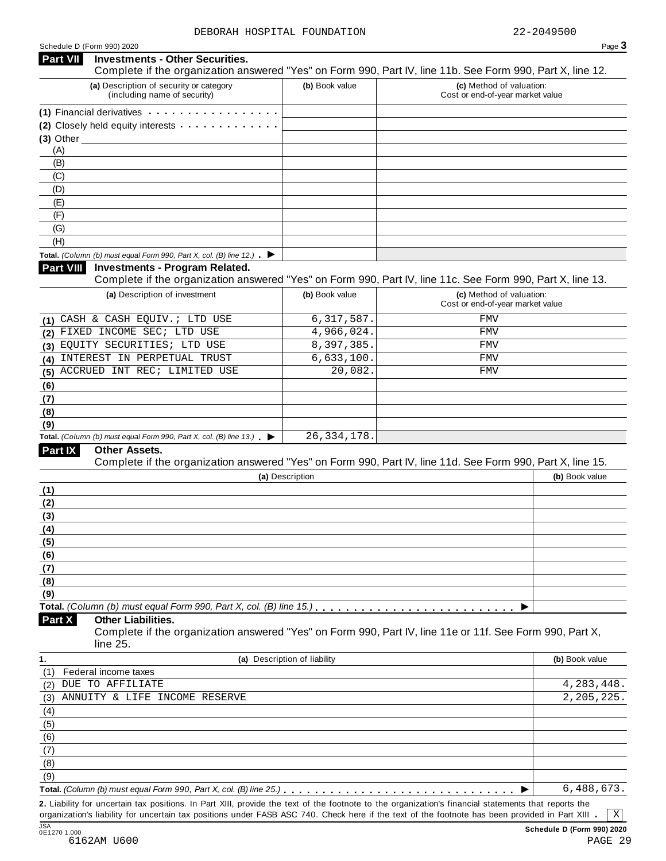#### Schedule <sup>D</sup> (Form 990) <sup>2020</sup> Page **3 Investments - Other Securities. Part VII** Investments - Other Securities.<br>Complete if the organization answered "Yes" on Form 990, Part IV, line 11b. See Form 990, Part X, line 12. **(a)** Description of security or category (including name of security) **(b)** Book value **(c)** Method of valuation: Cost or end-of-year market value (1) Financial derivatives **manual manual manual memory of manual memory of**  $(1)$ **(2)** Closely held equity interests **(3)** Other (A) (B) (C) (D) (E) (F) (G) (H) **Fotal.** *(Column (b) must equal Form 990, Part X, col. (B) line 12.)* **h Part VIII Investments - Program Related. Investments - Program Related.** Complete if the organization answered "Yes" on Form 990, Part IV, line 11c. See Form 990, Part X, line 13. **(a)** Description of investment **(b)** Book value **(c)** Method of valuation: Cost or end-of-year market value **(1) (2) (3) (4) (5) (6) (7) (8) (9) Total.** *(Column (b) must equal Form 990, Part X, col. (B) line 13.)* m I **Other Assets.** Complete if the organization answered "Yes" on Form 990, Part IV, line 11d. See Form 990, Part X, line 15. **Part IX (a)** Description **(b)** Book value **(1) (2) (3) (4) (5) (6) (7) (8) (9) Total.** *(Column (b) must equal Form 990, Part X, col. (B) line 15.)* m m m m m m m m m m m m m m m m m m m m m m m m m m I **Other Liabilities.** Complete if the organization answered "Yes" on Form 990, Part IV, line 11e or 11f. See Form 990, Part X, line 25. **Part X 1. (a)** Description of liability **(b)** Book value (1) (2) (3) (4) (5) (6) (7) (8) (9) Federal income taxes **Total.** *(Column (b) must* equal *Form* 990, *Part*  $X$ , *col.*  $(B)$  *line* 25.) **matrical**  $\cdots$   $\cdots$   $\cdots$   $\cdots$   $\cdots$   $\cdots$   $\cdots$   $\cdots$   $\cdots$   $\cdots$ CASH & CASH EQUIV.; LTD USE 6,317,587. FMV FIXED INCOME SEC; LTD USE  $4,966,024$ . EQUITY SECURITIES; LTD USE 8,397,385. FMV INTEREST IN PERPETUAL TRUST 6,633,100. FMV ACCRUED INT REC; LIMITED USE  $20,082$ . FMV 26,334,178. DUE TO AFFILIATE 4,283,448. ANNUITY & LIFE INCOME RESERVE 2, 205, 225. 6,488,673.

**2.** Liability for uncertain tax positions. In Part XIII, provide the text of the footnote to the organization's financial statements that reports the organization's liability for uncertain tax positions under FASB ASC 740. Check here if the text of the footnote has been provided in Part XIII

X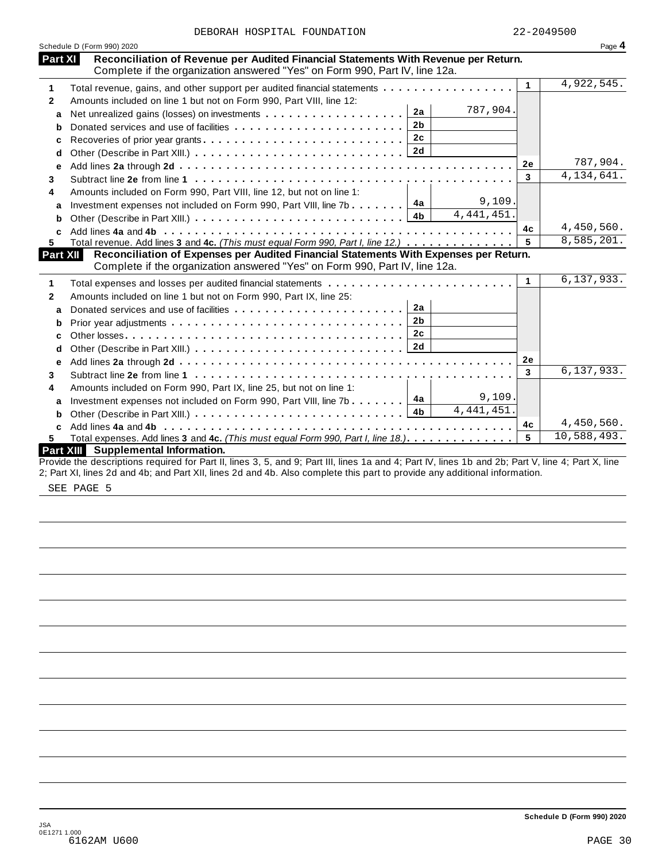| DEBORAH HOSPITAL FOUNDATION |  |  |  |
|-----------------------------|--|--|--|
|-----------------------------|--|--|--|

|                   | Schedule D (Form 990) 2020                                                                                                                                                       |              | Page 4                    |
|-------------------|----------------------------------------------------------------------------------------------------------------------------------------------------------------------------------|--------------|---------------------------|
|                   | Part XI<br>Reconciliation of Revenue per Audited Financial Statements With Revenue per Return.                                                                                   |              |                           |
| 1                 | Complete if the organization answered "Yes" on Form 990, Part IV, line 12a.<br>Total revenue, gains, and other support per audited financial statements                          | $\mathbf{1}$ | 4,922,545.                |
| $\mathbf{2}$      | Amounts included on line 1 but not on Form 990, Part VIII, line 12:                                                                                                              |              |                           |
|                   | 787,904.<br>2a                                                                                                                                                                   |              |                           |
| a                 | Net unrealized gains (losses) on investments<br>2 <sub>b</sub>                                                                                                                   |              |                           |
| b                 | 2c                                                                                                                                                                               |              |                           |
| c                 | Recoveries of prior year grants                                                                                                                                                  |              |                           |
| d                 |                                                                                                                                                                                  |              | 787,904.                  |
| е                 |                                                                                                                                                                                  | 2e           | $\overline{4,134,641}.$   |
| 3                 |                                                                                                                                                                                  | 3            |                           |
| 4                 | Amounts included on Form 990, Part VIII, line 12, but not on line 1:                                                                                                             |              |                           |
| a                 | 9,109.<br>Investment expenses not included on Form 990, Part VIII, line 7b $\boxed{4a}$                                                                                          |              |                           |
| b                 | 4,441,451.<br>4 <sub>b</sub>                                                                                                                                                     |              |                           |
| C                 |                                                                                                                                                                                  | 4c           | 4,450,560.                |
| 5.                | Total revenue. Add lines 3 and 4c. (This must equal Form 990, Part I, line 12.)                                                                                                  | 5            | 8,585,201.                |
|                   | Reconciliation of Expenses per Audited Financial Statements With Expenses per Return.<br>Part XII<br>Complete if the organization answered "Yes" on Form 990, Part IV, line 12a. |              |                           |
| 1                 |                                                                                                                                                                                  | $\mathbf{1}$ | 6, 137, 933.              |
| 2                 | Amounts included on line 1 but not on Form 990, Part IX, line 25:                                                                                                                |              |                           |
| a                 | 2a                                                                                                                                                                               |              |                           |
| b                 | 2 <sub>b</sub>                                                                                                                                                                   |              |                           |
| C                 | 2c                                                                                                                                                                               |              |                           |
| d                 |                                                                                                                                                                                  |              |                           |
| e                 |                                                                                                                                                                                  | 2e           |                           |
|                   |                                                                                                                                                                                  | 3            | 6, 137, 933.              |
|                   |                                                                                                                                                                                  |              |                           |
|                   |                                                                                                                                                                                  |              |                           |
|                   | Amounts included on Form 990, Part IX, line 25, but not on line 1:                                                                                                               |              |                           |
| a                 | 9,109.<br>4a<br>Investment expenses not included on Form 990, Part VIII, line 7b                                                                                                 |              |                           |
| b                 | 4,441,451.                                                                                                                                                                       |              |                           |
| 3<br>4<br>c<br>5. | Total expenses. Add lines 3 and 4c. (This must equal Form 990, Part I, line 18.).                                                                                                | 4c<br>5      | 4,450,560.<br>10,588,493. |

2; Part XI, lines 2d and 4b; and Part XII, lines 2d and 4b. Also complete this part to provide any additional information.

SEE PAGE 5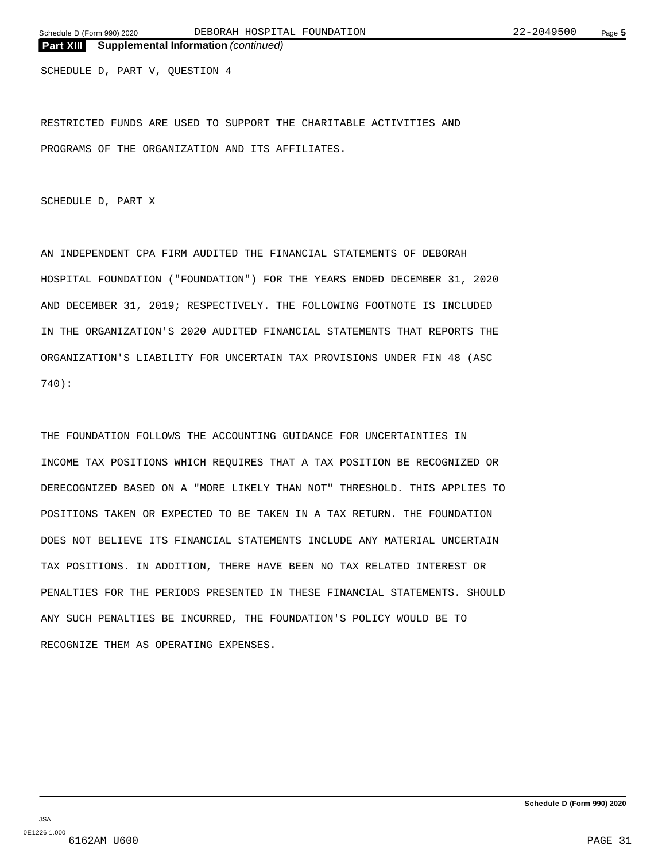SCHEDULE D, PART V, QUESTION 4

RESTRICTED FUNDS ARE USED TO SUPPORT THE CHARITABLE ACTIVITIES AND PROGRAMS OF THE ORGANIZATION AND ITS AFFILIATES.

SCHEDULE D, PART X

AN INDEPENDENT CPA FIRM AUDITED THE FINANCIAL STATEMENTS OF DEBORAH HOSPITAL FOUNDATION ("FOUNDATION") FOR THE YEARS ENDED DECEMBER 31, 2020 AND DECEMBER 31, 2019; RESPECTIVELY. THE FOLLOWING FOOTNOTE IS INCLUDED IN THE ORGANIZATION'S 2020 AUDITED FINANCIAL STATEMENTS THAT REPORTS THE ORGANIZATION'S LIABILITY FOR UNCERTAIN TAX PROVISIONS UNDER FIN 48 (ASC 740):

THE FOUNDATION FOLLOWS THE ACCOUNTING GUIDANCE FOR UNCERTAINTIES IN INCOME TAX POSITIONS WHICH REQUIRES THAT A TAX POSITION BE RECOGNIZED OR DERECOGNIZED BASED ON A "MORE LIKELY THAN NOT" THRESHOLD. THIS APPLIES TO POSITIONS TAKEN OR EXPECTED TO BE TAKEN IN A TAX RETURN. THE FOUNDATION DOES NOT BELIEVE ITS FINANCIAL STATEMENTS INCLUDE ANY MATERIAL UNCERTAIN TAX POSITIONS. IN ADDITION, THERE HAVE BEEN NO TAX RELATED INTEREST OR PENALTIES FOR THE PERIODS PRESENTED IN THESE FINANCIAL STATEMENTS. SHOULD ANY SUCH PENALTIES BE INCURRED, THE FOUNDATION'S POLICY WOULD BE TO RECOGNIZE THEM AS OPERATING EXPENSES.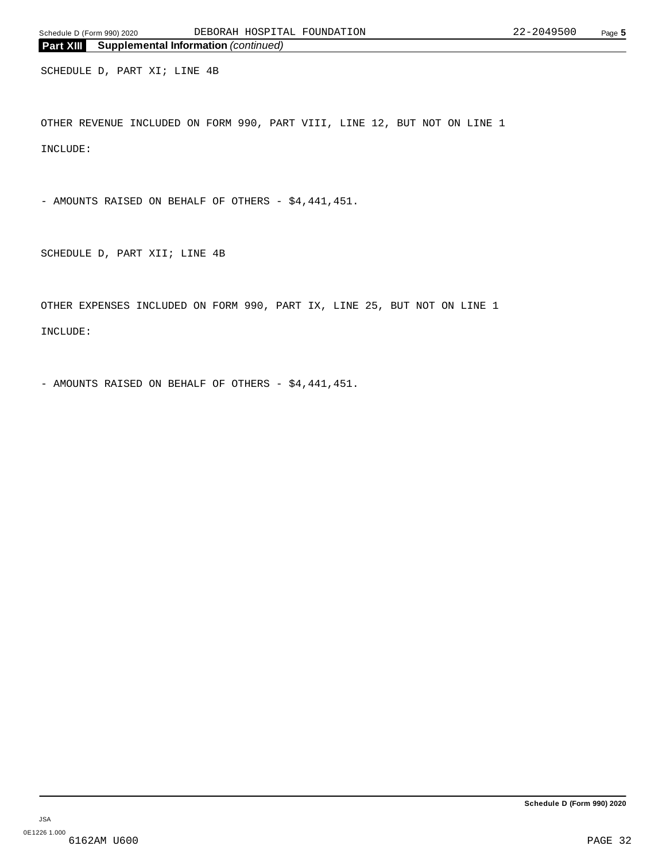SCHEDULE D, PART XI; LINE 4B

OTHER REVENUE INCLUDED ON FORM 990, PART VIII, LINE 12, BUT NOT ON LINE 1 INCLUDE:

- AMOUNTS RAISED ON BEHALF OF OTHERS - \$4,441,451.

SCHEDULE D, PART XII; LINE 4B

OTHER EXPENSES INCLUDED ON FORM 990, PART IX, LINE 25, BUT NOT ON LINE 1 INCLUDE:

- AMOUNTS RAISED ON BEHALF OF OTHERS - \$4,441,451.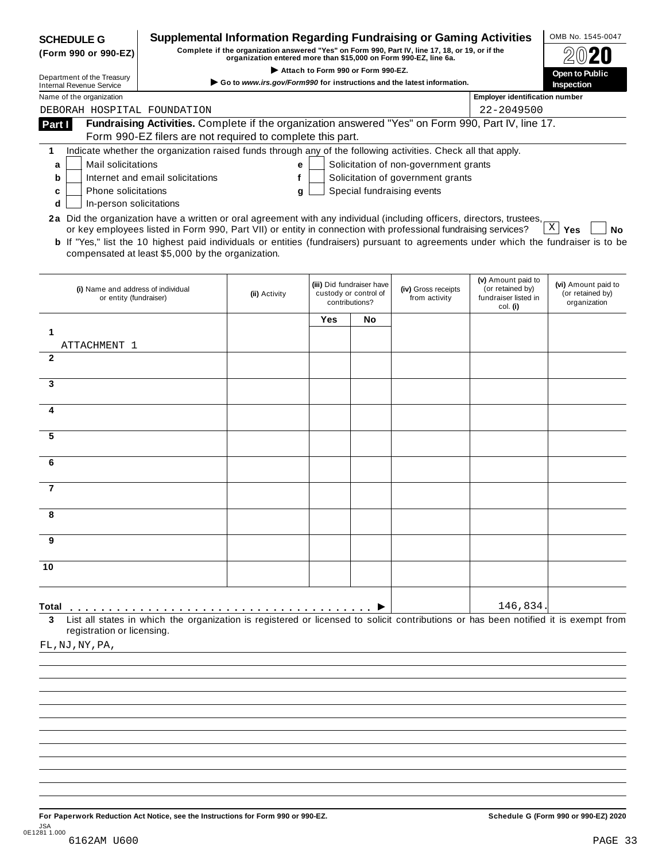| <b>Supplemental Information Regarding Fundraising or Gaming Activities</b><br><b>SCHEDULE G</b><br>Complete if the organization answered "Yes" on Form 990, Part IV, line 17, 18, or 19, or if the<br>(Form 990 or 990-EZ)<br>organization entered more than \$15,000 on Form 990-EZ, line 6a.<br>Attach to Form 990 or Form 990-EZ. |                                                                                                                                              |               |     |                                                                      |                                       |                                                                            | OMB No. 1545-0047                                       |
|--------------------------------------------------------------------------------------------------------------------------------------------------------------------------------------------------------------------------------------------------------------------------------------------------------------------------------------|----------------------------------------------------------------------------------------------------------------------------------------------|---------------|-----|----------------------------------------------------------------------|---------------------------------------|----------------------------------------------------------------------------|---------------------------------------------------------|
| Department of the Treasury<br>Go to www.irs.gov/Form990 for instructions and the latest information.<br><b>Internal Revenue Service</b>                                                                                                                                                                                              |                                                                                                                                              |               |     |                                                                      |                                       |                                                                            | <b>Open to Public</b><br>Inspection                     |
| <b>Employer identification number</b><br>Name of the organization                                                                                                                                                                                                                                                                    |                                                                                                                                              |               |     |                                                                      |                                       |                                                                            |                                                         |
| DEBORAH HOSPITAL FOUNDATION                                                                                                                                                                                                                                                                                                          |                                                                                                                                              |               |     |                                                                      |                                       | 22-2049500                                                                 |                                                         |
| Part I                                                                                                                                                                                                                                                                                                                               | Fundraising Activities. Complete if the organization answered "Yes" on Form 990, Part IV, line 17.                                           |               |     |                                                                      |                                       |                                                                            |                                                         |
|                                                                                                                                                                                                                                                                                                                                      | Form 990-EZ filers are not required to complete this part.                                                                                   |               |     |                                                                      |                                       |                                                                            |                                                         |
| 1                                                                                                                                                                                                                                                                                                                                    | Indicate whether the organization raised funds through any of the following activities. Check all that apply.                                |               |     |                                                                      |                                       |                                                                            |                                                         |
| Mail solicitations<br>a                                                                                                                                                                                                                                                                                                              |                                                                                                                                              | е             |     |                                                                      | Solicitation of non-government grants |                                                                            |                                                         |
| b                                                                                                                                                                                                                                                                                                                                    | Internet and email solicitations                                                                                                             | f             |     |                                                                      | Solicitation of government grants     |                                                                            |                                                         |
| Phone solicitations<br>c                                                                                                                                                                                                                                                                                                             |                                                                                                                                              | g             |     |                                                                      | Special fundraising events            |                                                                            |                                                         |
| In-person solicitations<br>d                                                                                                                                                                                                                                                                                                         |                                                                                                                                              |               |     |                                                                      |                                       |                                                                            |                                                         |
| 2a Did the organization have a written or oral agreement with any individual (including officers, directors, trustees,                                                                                                                                                                                                               | or key employees listed in Form 990, Part VII) or entity in connection with professional fundraising services?                               |               |     |                                                                      |                                       |                                                                            | $\vert X \vert$<br>Yes<br>No                            |
|                                                                                                                                                                                                                                                                                                                                      | <b>b</b> If "Yes," list the 10 highest paid individuals or entities (fundraisers) pursuant to agreements under which the fundraiser is to be |               |     |                                                                      |                                       |                                                                            |                                                         |
|                                                                                                                                                                                                                                                                                                                                      | compensated at least \$5,000 by the organization.                                                                                            |               |     |                                                                      |                                       |                                                                            |                                                         |
|                                                                                                                                                                                                                                                                                                                                      |                                                                                                                                              |               |     |                                                                      |                                       |                                                                            |                                                         |
| (i) Name and address of individual<br>or entity (fundraiser)                                                                                                                                                                                                                                                                         |                                                                                                                                              | (ii) Activity |     | (iii) Did fundraiser have<br>custody or control of<br>contributions? | (iv) Gross receipts<br>from activity  | (v) Amount paid to<br>(or retained by)<br>fundraiser listed in<br>col. (i) | (vi) Amount paid to<br>(or retained by)<br>organization |
|                                                                                                                                                                                                                                                                                                                                      |                                                                                                                                              |               | Yes | No                                                                   |                                       |                                                                            |                                                         |
| 1                                                                                                                                                                                                                                                                                                                                    |                                                                                                                                              |               |     |                                                                      |                                       |                                                                            |                                                         |
| ATTACHMENT 1                                                                                                                                                                                                                                                                                                                         |                                                                                                                                              |               |     |                                                                      |                                       |                                                                            |                                                         |
| $\mathbf{2}$                                                                                                                                                                                                                                                                                                                         |                                                                                                                                              |               |     |                                                                      |                                       |                                                                            |                                                         |
|                                                                                                                                                                                                                                                                                                                                      |                                                                                                                                              |               |     |                                                                      |                                       |                                                                            |                                                         |
| 3                                                                                                                                                                                                                                                                                                                                    |                                                                                                                                              |               |     |                                                                      |                                       |                                                                            |                                                         |
| 4                                                                                                                                                                                                                                                                                                                                    |                                                                                                                                              |               |     |                                                                      |                                       |                                                                            |                                                         |
|                                                                                                                                                                                                                                                                                                                                      |                                                                                                                                              |               |     |                                                                      |                                       |                                                                            |                                                         |
| 5                                                                                                                                                                                                                                                                                                                                    |                                                                                                                                              |               |     |                                                                      |                                       |                                                                            |                                                         |
|                                                                                                                                                                                                                                                                                                                                      |                                                                                                                                              |               |     |                                                                      |                                       |                                                                            |                                                         |
| 6                                                                                                                                                                                                                                                                                                                                    |                                                                                                                                              |               |     |                                                                      |                                       |                                                                            |                                                         |
|                                                                                                                                                                                                                                                                                                                                      |                                                                                                                                              |               |     |                                                                      |                                       |                                                                            |                                                         |
| 7                                                                                                                                                                                                                                                                                                                                    |                                                                                                                                              |               |     |                                                                      |                                       |                                                                            |                                                         |
|                                                                                                                                                                                                                                                                                                                                      |                                                                                                                                              |               |     |                                                                      |                                       |                                                                            |                                                         |
| 8                                                                                                                                                                                                                                                                                                                                    |                                                                                                                                              |               |     |                                                                      |                                       |                                                                            |                                                         |
| 9                                                                                                                                                                                                                                                                                                                                    |                                                                                                                                              |               |     |                                                                      |                                       |                                                                            |                                                         |
|                                                                                                                                                                                                                                                                                                                                      |                                                                                                                                              |               |     |                                                                      |                                       |                                                                            |                                                         |
| 10                                                                                                                                                                                                                                                                                                                                   |                                                                                                                                              |               |     |                                                                      |                                       |                                                                            |                                                         |
|                                                                                                                                                                                                                                                                                                                                      |                                                                                                                                              |               |     |                                                                      |                                       |                                                                            |                                                         |
|                                                                                                                                                                                                                                                                                                                                      |                                                                                                                                              |               |     |                                                                      |                                       |                                                                            |                                                         |
| Total                                                                                                                                                                                                                                                                                                                                |                                                                                                                                              |               |     |                                                                      |                                       | 146,834                                                                    |                                                         |
| 3                                                                                                                                                                                                                                                                                                                                    | List all states in which the organization is registered or licensed to solicit contributions or has been notified it is exempt from          |               |     |                                                                      |                                       |                                                                            |                                                         |
| registration or licensing.                                                                                                                                                                                                                                                                                                           |                                                                                                                                              |               |     |                                                                      |                                       |                                                                            |                                                         |
| FL, NJ, NY, PA,                                                                                                                                                                                                                                                                                                                      |                                                                                                                                              |               |     |                                                                      |                                       |                                                                            |                                                         |
|                                                                                                                                                                                                                                                                                                                                      |                                                                                                                                              |               |     |                                                                      |                                       |                                                                            |                                                         |

For Paperwork Reduction Act Notice, see the Instructions for Form 990 or 990-EZ. Schedule G (Form 990 or 990-EZ) 2020 JSA 0E1281 1.000 6162AM U600 PAGE 33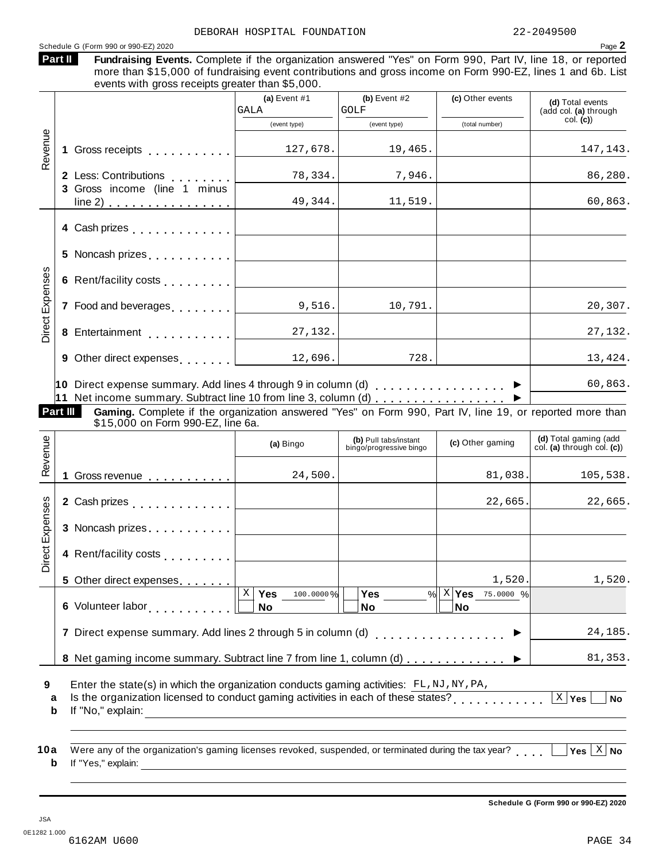Schedule <sup>G</sup> (Form <sup>990</sup> or 990-EZ) <sup>2020</sup> Page **2** Fundraising Events. Complete if the organization answered "Yes" on Form 990, Part IV, line 18, or reported more than \$15,000 of fundraising event contributions and gross income on Form 990-EZ, lines 1 and 6b. List events with gross receipts greater than \$5,000. **Part II (a)** Event #1 **(b)** Event #2 **(c)** Other events **(d)** Total events (add col. **(a)** through col. **(c)**) (event type) (event type) (total number) **1** Gross receipts <sub>.....</sub>...... **2** Less: Contributions **3** Gross income (line 1 minus Less: Contributions<br>Gross income (line 1 minus  $line 2)$   $\ldots$   $\ldots$   $\ldots$   $\ldots$   $\ldots$  . Revenue<br>1<br>1 **4** Cash prizes . . . . . . . . . . . . **5** Noncash prizes  $\ldots \ldots \ldots$ **6** Rent/facility costs m m m m m m m m m enses **7** Food and beverages **manual 8**<br> **8** Entertainment<br> **8** Entertainment **9** Other direct expenses **manual 10** Direct expense summary. Add lines 4 through 9 in column (d) m m m m m m m m m m m m m m m m m I **11** Net income summary. Subtract line 10 from line 3, column (d) m m m m m m m m m m m m m m m m m I xp**Part III Gaming.** Complete if the organization answered "Yes" on Form 990, Part IV, line 19, or reported more than<br>\$15,000 on Form 990-EZ, line 6a. **(d)** Total gaming (add col. **(a)** through col. **(c)**) **(b)** Pull tabs/instant (a) Bingo **(b)** Pull tabs/instant **(c)** Other gaming **(c)** Other gaming  $\mathbb{E}\left[1\right]$  Gross revenue  $\ldots \ldots \ldots \ldots$ **2** Cash prizes **manual** measure in the manual  $\sim$ **3** Noncash prizes . . . . . . . . . . . œ venue **4** Rent/facility costs<br>
5 Other direct expenses....... **5** Other direct expenses **6** Volunteer labor **man m m m m m m m m m m m m m m m m m 7** Direct expense summary. Add lines 2 through 5 in column (d)  $\ldots$  . . . . . . . . . . . . . .  $\blacktriangleright$ 8 Net gaming income summary. Subtract line 7 from line 1, column (d)  $\ldots \ldots \ldots$ xpenses<br>3<br>x<br>3  $X$  **Yes** 100.0000% **No Yes No** <u>X Yes 100.0000% Yes % X Yes 75.0000 %</u> **No 9 10** Enter the state(s) in which the organization conducts gaming activities:  $FL, NJ, NY, PA,$ Erner the state(s) in which the organization conducts gaming activities. FE, NO, NT, PA,<br>a ls the organization licensed to conduct gaming activities in each of these states?<br>**h** m<sup>6</sup> The state of the state of the state of **b** If "No," explain: a Were any of the organization's gaming licenses revoked, suspended, or terminated during the tax year?<br>http://www.wali.in.com/induction/state/induction/state/induction/state/induction/state/induction/state/inductio **b** If "Yes," explain: DEBORAH HOSPITAL FOUNDATION 22-2049500 GALA GOLF 127,678. 19,465. 127,143. 78,334. 7,946. 86,280. 49,344. 11,519. 60,863. 9,516. 10,791. 20,307. 27,132. 27,132.  $12,696.$  728.  $728.$  13,424. 60,863. 24,500. 81,038. 105,538. 22,665. 22,665. 1,520. 1,520. 24,185. 81,353.  $\vert$  X  $\vert$  Yes  $\vert$ 

**Schedule G (Form 990 or 990-EZ) 2020**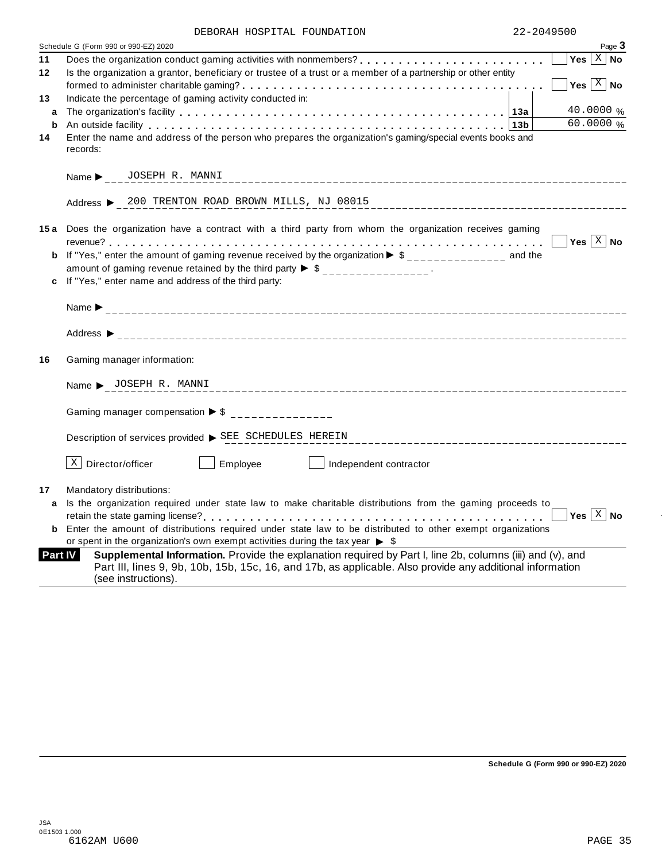| DEBORAH HOSPITAL FOUNDATION |  |
|-----------------------------|--|
|-----------------------------|--|

|    | DEBORAN NOSPIIAL FOUNDAIION                                                                                                                                                                                                   | ムムームい生クコリリ |                           |
|----|-------------------------------------------------------------------------------------------------------------------------------------------------------------------------------------------------------------------------------|------------|---------------------------|
|    | Schedule G (Form 990 or 990-EZ) 2020                                                                                                                                                                                          |            | Page 3                    |
| 11 |                                                                                                                                                                                                                               |            | Yes $\overline{X}$ No     |
| 12 | Is the organization a grantor, beneficiary or trustee of a trust or a member of a partnership or other entity                                                                                                                 |            |                           |
|    |                                                                                                                                                                                                                               |            | Yes $\boxed{\text{X}}$ No |
| 13 | Indicate the percentage of gaming activity conducted in:                                                                                                                                                                      |            |                           |
| a  |                                                                                                                                                                                                                               |            | 40.0000 %                 |
| b  | An outside facility enterpretation of the control of the control of the control of the control of the control of the control of the control of the control of the control of the control of the control of the control of the |            | $60.0000\%$               |
| 14 | Enter the name and address of the person who prepares the organization's gaming/special events books and<br>records:                                                                                                          |            |                           |
|    | Name > JOSEPH R. MANNI                                                                                                                                                                                                        |            |                           |
|    | Address > 200 TRENTON ROAD BROWN MILLS, NJ 08015                                                                                                                                                                              |            |                           |
|    | 15a Does the organization have a contract with a third party from whom the organization receives gaming                                                                                                                       |            |                           |
|    |                                                                                                                                                                                                                               |            |                           |
| b  | If "Yes," enter the amount of gaming revenue received by the organization $\triangleright$ \$______________ and the                                                                                                           |            |                           |
|    | amount of gaming revenue retained by the third party $\triangleright$ \$ _______________.                                                                                                                                     |            |                           |
| c  | If "Yes," enter name and address of the third party:                                                                                                                                                                          |            |                           |
|    |                                                                                                                                                                                                                               |            |                           |
|    | Address $\blacktriangleright$                                                                                                                                                                                                 |            |                           |
| 16 | Gaming manager information:                                                                                                                                                                                                   |            |                           |
|    | Name > JOSEPH R. MANNI                                                                                                                                                                                                        |            |                           |
|    | Gaming manager compensation $\triangleright$ \$ ______________                                                                                                                                                                |            |                           |
|    | Description of services provided > SEE SCHEDULES HEREIN                                                                                                                                                                       |            |                           |
|    | $X$ Director/officer<br>Employee<br>Independent contractor                                                                                                                                                                    |            |                           |
| 17 | Mandatory distributions:                                                                                                                                                                                                      |            |                           |
| a  | Is the organization required under state law to make charitable distributions from the gaming proceeds to                                                                                                                     |            |                           |
|    |                                                                                                                                                                                                                               |            | Yes $X$ No                |
| b  | Enter the amount of distributions required under state law to be distributed to other exempt organizations                                                                                                                    |            |                           |
|    | or spent in the organization's own exempt activities during the tax year $\triangleright$ \$                                                                                                                                  |            |                           |
|    | Part IV<br>Supplemental Information. Provide the explanation required by Part I, line 2b, columns (iii) and (v), and                                                                                                          |            |                           |
|    | Part III, lines 9, 9b, 10b, 15b, 15c, 16, and 17b, as applicable. Also provide any additional information<br>(see instructions).                                                                                              |            |                           |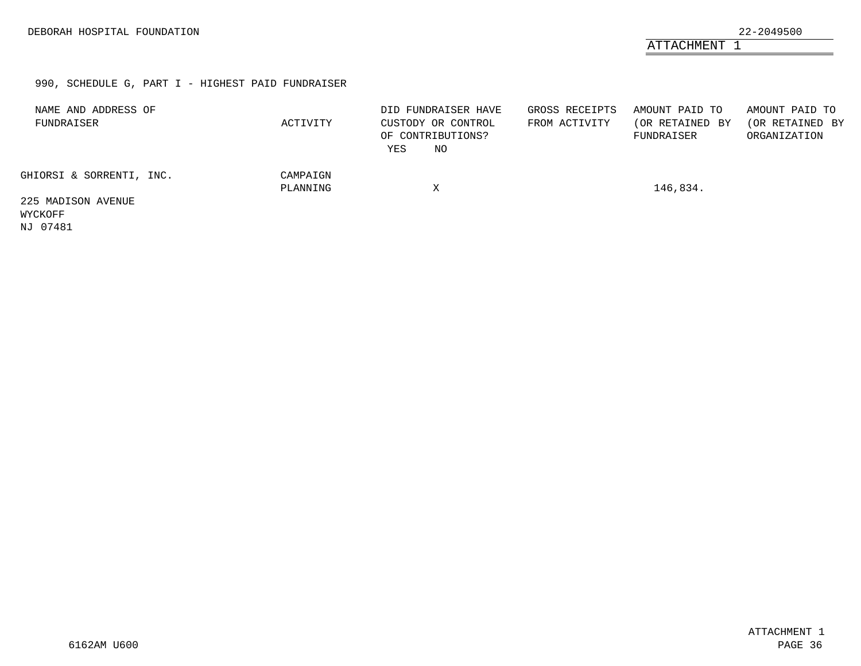ATTACHMENT 1

### 990, SCHEDULE G, PART I - HIGHEST PAID FUNDRAISER

| NAME AND ADDRESS OF<br>FUNDRAISER | ACTIVITY             | DID FUNDRAISER HAVE<br>CUSTODY OR CONTROL<br>OF CONTRIBUTIONS?<br>YES<br>NO. | GROSS RECEIPTS<br>FROM ACTIVITY | AMOUNT PAID TO<br>(OR RETAINED BY<br>FUNDRAISER | AMOUNT PAID TO<br>(OR RETAINED BY<br>ORGANIZATION |
|-----------------------------------|----------------------|------------------------------------------------------------------------------|---------------------------------|-------------------------------------------------|---------------------------------------------------|
| GHIORSI & SORRENTI, INC.          | CAMPAIGN<br>PLANNING | Χ                                                                            |                                 | 146,834.                                        |                                                   |
| 225 MADISON AVENUE<br>WYCKOFF     |                      |                                                                              |                                 |                                                 |                                                   |

<span id="page-31-0"></span>NJ 07481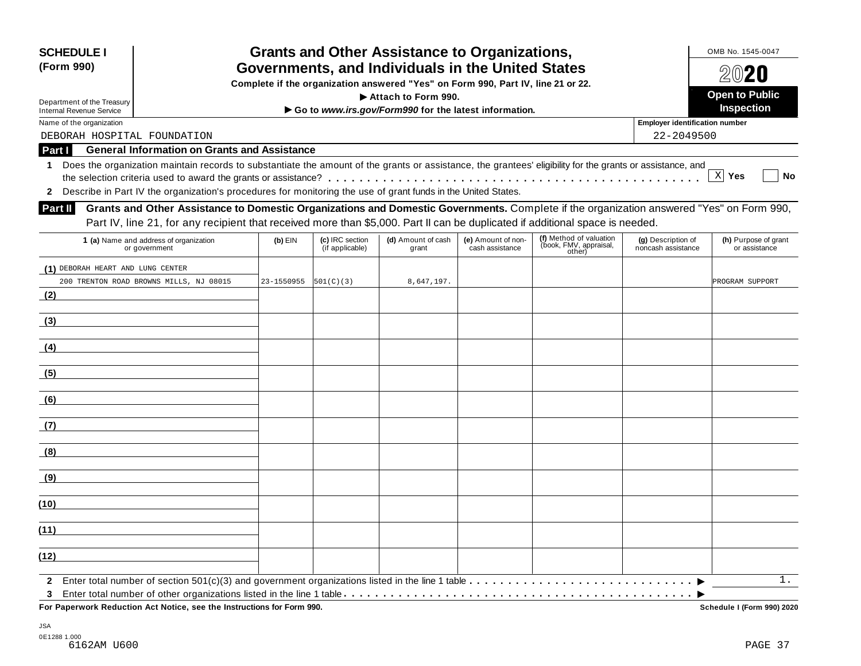| <b>SCHEDULE I</b><br>Governments, and Individuals in the United States<br>(Form 990)                                                                            |            | OMB No. 1545-0047<br>$20$ 20       |                                                                                  |                                       |                                                             |                                          |                                       |
|-----------------------------------------------------------------------------------------------------------------------------------------------------------------|------------|------------------------------------|----------------------------------------------------------------------------------|---------------------------------------|-------------------------------------------------------------|------------------------------------------|---------------------------------------|
|                                                                                                                                                                 |            |                                    | Complete if the organization answered "Yes" on Form 990, Part IV, line 21 or 22. |                                       |                                                             |                                          |                                       |
| Department of the Treasury                                                                                                                                      |            |                                    | Attach to Form 990.                                                              |                                       |                                                             |                                          | <b>Open to Public</b>                 |
| <b>Internal Revenue Service</b>                                                                                                                                 |            |                                    | Go to www.irs.gov/Form990 for the latest information.                            |                                       |                                                             |                                          | <b>Inspection</b>                     |
| Name of the organization                                                                                                                                        |            |                                    |                                                                                  |                                       |                                                             | <b>Employer identification number</b>    |                                       |
| DEBORAH HOSPITAL FOUNDATION                                                                                                                                     |            |                                    |                                                                                  |                                       |                                                             | 22-2049500                               |                                       |
| <b>General Information on Grants and Assistance</b><br>Part I                                                                                                   |            |                                    |                                                                                  |                                       |                                                             |                                          |                                       |
| Does the organization maintain records to substantiate the amount of the grants or assistance, the grantees' eligibility for the grants or assistance, and<br>1 |            |                                    |                                                                                  |                                       |                                                             |                                          | X Yes<br><b>No</b>                    |
|                                                                                                                                                                 |            |                                    |                                                                                  |                                       |                                                             |                                          |                                       |
| 2 Describe in Part IV the organization's procedures for monitoring the use of grant funds in the United States.                                                 |            |                                    |                                                                                  |                                       |                                                             |                                          |                                       |
| Grants and Other Assistance to Domestic Organizations and Domestic Governments. Complete if the organization answered "Yes" on Form 990,<br>Part II             |            |                                    |                                                                                  |                                       |                                                             |                                          |                                       |
| Part IV, line 21, for any recipient that received more than \$5,000. Part II can be duplicated if additional space is needed.                                   |            |                                    |                                                                                  |                                       |                                                             |                                          |                                       |
| 1 (a) Name and address of organization<br>or government                                                                                                         | $(b)$ EIN  | (c) IRC section<br>(if applicable) | (d) Amount of cash<br>grant                                                      | (e) Amount of non-<br>cash assistance | (f) Method of valuation<br>(book, FMV, appraisal,<br>other) | (g) Description of<br>noncash assistance | (h) Purpose of grant<br>or assistance |
| (1) DEBORAH HEART AND LUNG CENTER                                                                                                                               |            |                                    |                                                                                  |                                       |                                                             |                                          |                                       |
| 200 TRENTON ROAD BROWNS MILLS, NJ 08015                                                                                                                         | 23-1550955 | 501(C)(3)                          | 8,647,197.                                                                       |                                       |                                                             |                                          | PROGRAM SUPPORT                       |
| (2)                                                                                                                                                             |            |                                    |                                                                                  |                                       |                                                             |                                          |                                       |
|                                                                                                                                                                 |            |                                    |                                                                                  |                                       |                                                             |                                          |                                       |
| (3)                                                                                                                                                             |            |                                    |                                                                                  |                                       |                                                             |                                          |                                       |
|                                                                                                                                                                 |            |                                    |                                                                                  |                                       |                                                             |                                          |                                       |
| (4)                                                                                                                                                             |            |                                    |                                                                                  |                                       |                                                             |                                          |                                       |
| (5)                                                                                                                                                             |            |                                    |                                                                                  |                                       |                                                             |                                          |                                       |
| (6)                                                                                                                                                             |            |                                    |                                                                                  |                                       |                                                             |                                          |                                       |
|                                                                                                                                                                 |            |                                    |                                                                                  |                                       |                                                             |                                          |                                       |
| (7)                                                                                                                                                             |            |                                    |                                                                                  |                                       |                                                             |                                          |                                       |
| (8)                                                                                                                                                             |            |                                    |                                                                                  |                                       |                                                             |                                          |                                       |
| (9)                                                                                                                                                             |            |                                    |                                                                                  |                                       |                                                             |                                          |                                       |
| (10)                                                                                                                                                            |            |                                    |                                                                                  |                                       |                                                             |                                          |                                       |
| (11)                                                                                                                                                            |            |                                    |                                                                                  |                                       |                                                             |                                          |                                       |
| (12)                                                                                                                                                            |            |                                    |                                                                                  |                                       |                                                             |                                          |                                       |
| $\mathbf{2}$<br>3                                                                                                                                               |            |                                    |                                                                                  |                                       |                                                             |                                          | $1$ .                                 |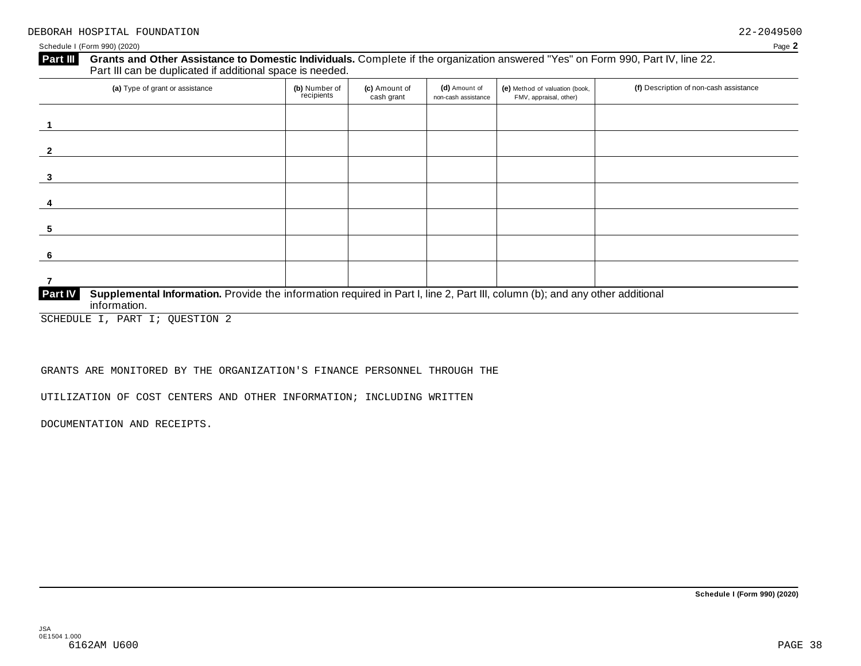#### Grants and Other Assistance to Domestic Individuals. Complete if the organization answered "Yes" on Form 990, Part IV, line 22. **Part III** Grants and Other Assistance to Domestic Individuals<br>Part III can be duplicated if additional space is needed.

| (a) Type of grant or assistance                                                                                                                                | (b) Number of<br>recipients | (c) Amount of<br>cash grant | (d) Amount of<br>non-cash assistance | (e) Method of valuation (book,<br>FMV, appraisal, other) | (f) Description of non-cash assistance |
|----------------------------------------------------------------------------------------------------------------------------------------------------------------|-----------------------------|-----------------------------|--------------------------------------|----------------------------------------------------------|----------------------------------------|
|                                                                                                                                                                |                             |                             |                                      |                                                          |                                        |
|                                                                                                                                                                |                             |                             |                                      |                                                          |                                        |
| 3                                                                                                                                                              |                             |                             |                                      |                                                          |                                        |
| 4                                                                                                                                                              |                             |                             |                                      |                                                          |                                        |
| 5                                                                                                                                                              |                             |                             |                                      |                                                          |                                        |
| 6                                                                                                                                                              |                             |                             |                                      |                                                          |                                        |
|                                                                                                                                                                |                             |                             |                                      |                                                          |                                        |
| <b>Part IV</b><br>Supplemental Information. Provide the information required in Part I, line 2, Part III, column (b); and any other additional<br>information. |                             |                             |                                      |                                                          |                                        |

SCHEDULE I, PART I; QUESTION 2

#### GRANTS ARE MONITORED BY THE ORGANIZATION'S FINANCE PERSONNEL THROUGH THE

UTILIZATION OF COST CENTERS AND OTHER INFORMATION; INCLUDING WRITTEN

DOCUMENTATION AND RECEIPTS.

**Schedule I (Form 990) (2020)**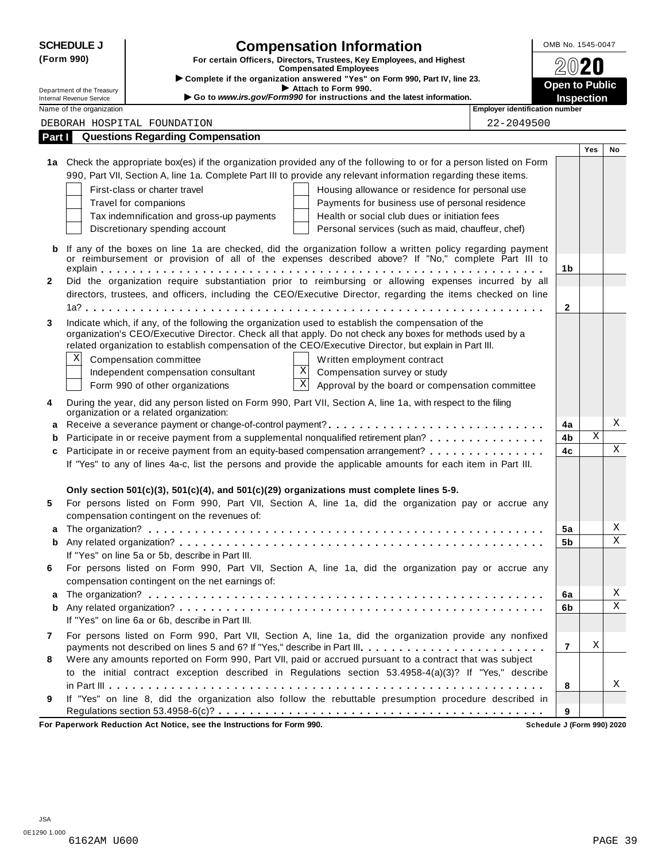|              | <b>SCHEDULE J</b>                                    | <b>Compensation Information</b>                                                                                                                                                                                     | OMB No. 1545-0047     |                   |             |
|--------------|------------------------------------------------------|---------------------------------------------------------------------------------------------------------------------------------------------------------------------------------------------------------------------|-----------------------|-------------------|-------------|
|              | (Form 990)                                           | For certain Officers, Directors, Trustees, Key Employees, and Highest                                                                                                                                               |                       |                   |             |
|              |                                                      | <b>Compensated Employees</b><br>Complete if the organization answered "Yes" on Form 990, Part IV, line 23.                                                                                                          |                       |                   |             |
|              | Department of the Treasury                           | Attach to Form 990.<br>Go to www.irs.gov/Form990 for instructions and the latest information.                                                                                                                       | <b>Open to Public</b> |                   |             |
|              | Internal Revenue Service<br>Name of the organization | <b>Employer identification number</b>                                                                                                                                                                               |                       | <b>Inspection</b> |             |
|              |                                                      | DEBORAH HOSPITAL FOUNDATION<br>22-2049500                                                                                                                                                                           |                       |                   |             |
| Part I       |                                                      | <b>Questions Regarding Compensation</b>                                                                                                                                                                             |                       |                   |             |
|              |                                                      |                                                                                                                                                                                                                     |                       | Yes               | No          |
|              |                                                      | 1a Check the appropriate box(es) if the organization provided any of the following to or for a person listed on Form                                                                                                |                       |                   |             |
|              |                                                      | 990, Part VII, Section A, line 1a. Complete Part III to provide any relevant information regarding these items.                                                                                                     |                       |                   |             |
|              |                                                      | First-class or charter travel<br>Housing allowance or residence for personal use                                                                                                                                    |                       |                   |             |
|              |                                                      | Travel for companions<br>Payments for business use of personal residence                                                                                                                                            |                       |                   |             |
|              |                                                      | Health or social club dues or initiation fees<br>Tax indemnification and gross-up payments                                                                                                                          |                       |                   |             |
|              |                                                      | Discretionary spending account<br>Personal services (such as maid, chauffeur, chef)                                                                                                                                 |                       |                   |             |
| b            |                                                      | If any of the boxes on line 1a are checked, did the organization follow a written policy regarding payment<br>or reimbursement or provision of all of the expenses described above? If "No," complete Part III to   |                       |                   |             |
|              |                                                      |                                                                                                                                                                                                                     | 1b                    |                   |             |
| $\mathbf{2}$ |                                                      | Did the organization require substantiation prior to reimbursing or allowing expenses incurred by all                                                                                                               |                       |                   |             |
|              |                                                      | directors, trustees, and officers, including the CEO/Executive Director, regarding the items checked on line                                                                                                        |                       |                   |             |
|              |                                                      |                                                                                                                                                                                                                     | $\mathbf{2}$          |                   |             |
| 3            |                                                      | Indicate which, if any, of the following the organization used to establish the compensation of the                                                                                                                 |                       |                   |             |
|              |                                                      | organization's CEO/Executive Director. Check all that apply. Do not check any boxes for methods used by a<br>related organization to establish compensation of the CEO/Executive Director, but explain in Part III. |                       |                   |             |
|              | Χ                                                    | Compensation committee<br>Written employment contract                                                                                                                                                               |                       |                   |             |
|              |                                                      | Χ<br>Independent compensation consultant<br>Compensation survey or study                                                                                                                                            |                       |                   |             |
|              |                                                      | $\mathbf X$<br>Approval by the board or compensation committee<br>Form 990 of other organizations                                                                                                                   |                       |                   |             |
|              |                                                      |                                                                                                                                                                                                                     |                       |                   |             |
| 4            |                                                      | During the year, did any person listed on Form 990, Part VII, Section A, line 1a, with respect to the filing<br>organization or a related organization:                                                             |                       |                   |             |
| a            |                                                      |                                                                                                                                                                                                                     | 4a                    |                   | Χ           |
|              |                                                      | Participate in or receive payment from a supplemental nonqualified retirement plan?                                                                                                                                 | 4b                    | X                 |             |
| C            |                                                      | Participate in or receive payment from an equity-based compensation arrangement?                                                                                                                                    | 4c                    |                   | $\mathbf X$ |
|              |                                                      | If "Yes" to any of lines 4a-c, list the persons and provide the applicable amounts for each item in Part III.                                                                                                       |                       |                   |             |
|              |                                                      |                                                                                                                                                                                                                     |                       |                   |             |
| 5            |                                                      | Only section 501(c)(3), 501(c)(4), and 501(c)(29) organizations must complete lines 5-9.<br>For persons listed on Form 990, Part VII, Section A, line 1a, did the organization pay or accrue any                    |                       |                   |             |
|              |                                                      | compensation contingent on the revenues of:                                                                                                                                                                         |                       |                   |             |
| a            |                                                      |                                                                                                                                                                                                                     | 5a                    |                   | Χ           |
| b            |                                                      |                                                                                                                                                                                                                     | 5b                    |                   | $\mathbf X$ |
|              |                                                      | If "Yes" on line 5a or 5b, describe in Part III.                                                                                                                                                                    |                       |                   |             |
| 6            |                                                      | For persons listed on Form 990, Part VII, Section A, line 1a, did the organization pay or accrue any                                                                                                                |                       |                   |             |
|              |                                                      | compensation contingent on the net earnings of:                                                                                                                                                                     |                       |                   |             |
| а            |                                                      |                                                                                                                                                                                                                     | 6a                    |                   | Χ           |
| b            |                                                      |                                                                                                                                                                                                                     | 6b                    |                   | X           |
|              |                                                      | If "Yes" on line 6a or 6b, describe in Part III.                                                                                                                                                                    |                       |                   |             |
| $\mathbf{7}$ |                                                      | For persons listed on Form 990, Part VII, Section A, line 1a, did the organization provide any nonfixed                                                                                                             | $\overline{7}$        | Χ                 |             |
| 8            |                                                      | Were any amounts reported on Form 990, Part VII, paid or accrued pursuant to a contract that was subject                                                                                                            |                       |                   |             |
|              |                                                      | to the initial contract exception described in Regulations section 53.4958-4(a)(3)? If "Yes," describe                                                                                                              |                       |                   |             |
|              |                                                      |                                                                                                                                                                                                                     | 8                     |                   | Χ           |
| 9            |                                                      | If "Yes" on line 8, did the organization also follow the rebuttable presumption procedure described in                                                                                                              |                       |                   |             |
|              |                                                      |                                                                                                                                                                                                                     | 9                     |                   |             |

**For Paperwork Reduction Act Notice, see the Instructions for Form 990. Schedule J (Form 990) 2020**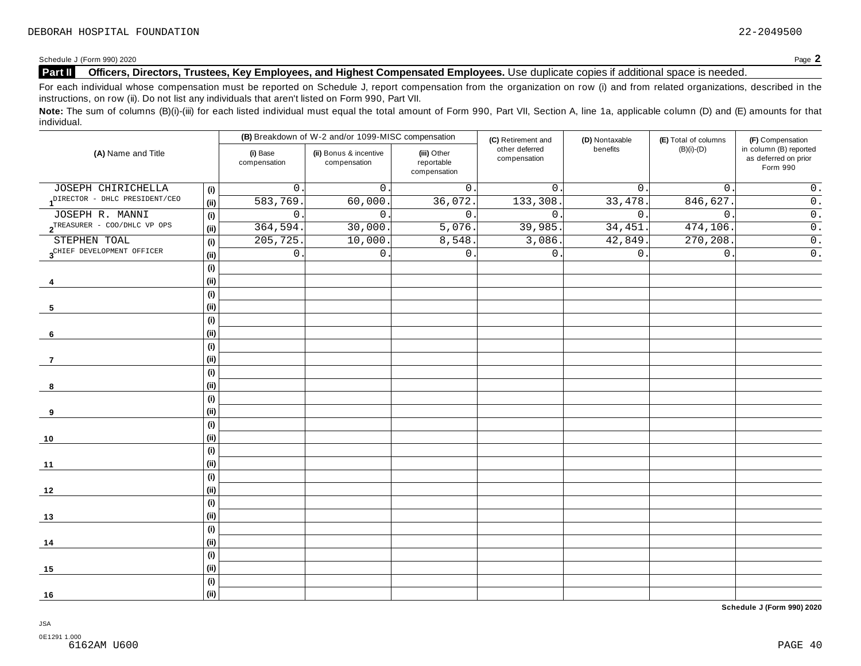#### **Part II Officers, Directors, Trustees, Key Employees, and Highest Compensated Employees.** Use duplicate copies ifadditional space is needed.

For each individual whose compensation must be reported on Schedule J, report compensation from the organization on row (i) and from related organizations, described in the instructions, on row (ii). Do not list any individuals that aren't listed on Form 990, Part VII.

Note: The sum of columns (B)(i)-(iii) for each listed individual must equal the total amount of Form 990, Part VII, Section A, line 1a, applicable column (D) and (E) amounts for that individual.

|                                        |     |                          | (B) Breakdown of W-2 and/or 1099-MISC compensation |                                           | (C) Retirement and             | (D) Nontaxable | (E) Total of columns | (F) Compensation                                           |
|----------------------------------------|-----|--------------------------|----------------------------------------------------|-------------------------------------------|--------------------------------|----------------|----------------------|------------------------------------------------------------|
| (A) Name and Title                     |     | (i) Base<br>compensation | (ii) Bonus & incentive<br>compensation             | (iii) Other<br>reportable<br>compensation | other deferred<br>compensation | benefits       | $(B)(i)-(D)$         | in column (B) reported<br>as deferred on prior<br>Form 990 |
| JOSEPH CHIRICHELLA                     | (i) | 0                        | $\mathbf 0$                                        | 0.                                        | $\mathbf{0}$ .                 | $0$ .          | $\mathbf 0$ .        | $0$ .                                                      |
| DIRECTOR - DHLC PRESIDENT/CEO          | (i) | 583,769                  | 60,000.                                            | 36,072.                                   | 133,308                        | 33,478.        | 846,627.             | $\overline{0}$ .                                           |
| JOSEPH R. MANNI                        | (i) | 0                        | $\mathbf 0$ .                                      | $\mathsf 0$ .                             | 0.                             | $0$ .          | $\mathbf 0$ .        | $\overline{0}$ .                                           |
| $2^{TREASURER}$ - COO/DHLC VP OPS      | (i) | 364,594                  | 30,000                                             | 5,076.                                    | 39,985.                        | 34,451.        | 474,106.             | $\overline{0}$ .                                           |
| STEPHEN TOAL                           | (i) | 205, 725                 | 10,000.                                            | 8,548.                                    | 3,086.                         | 42,849.        | 270,208              | $\overline{0}$ .                                           |
| 3 <sup>CHIEF</sup> DEVELOPMENT OFFICER | (i) | 0                        | $\mathbf 0$ .                                      | $\mathbf{0}$ .                            | 0.                             | $0$ .          | $\mathbf 0$ .        | $\overline{0}$ .                                           |
|                                        | (i) |                          |                                                    |                                           |                                |                |                      |                                                            |
| 4                                      | (i) |                          |                                                    |                                           |                                |                |                      |                                                            |
|                                        | (i) |                          |                                                    |                                           |                                |                |                      |                                                            |
| 5                                      | (i) |                          |                                                    |                                           |                                |                |                      |                                                            |
|                                        | (i) |                          |                                                    |                                           |                                |                |                      |                                                            |
| 6                                      | (i) |                          |                                                    |                                           |                                |                |                      |                                                            |
|                                        | (i) |                          |                                                    |                                           |                                |                |                      |                                                            |
| $\overline{7}$                         | (i) |                          |                                                    |                                           |                                |                |                      |                                                            |
|                                        | (i) |                          |                                                    |                                           |                                |                |                      |                                                            |
| 8                                      | (i) |                          |                                                    |                                           |                                |                |                      |                                                            |
|                                        | (i) |                          |                                                    |                                           |                                |                |                      |                                                            |
| 9                                      | (i) |                          |                                                    |                                           |                                |                |                      |                                                            |
|                                        | (i) |                          |                                                    |                                           |                                |                |                      |                                                            |
| 10                                     | (i) |                          |                                                    |                                           |                                |                |                      |                                                            |
|                                        | (i) |                          |                                                    |                                           |                                |                |                      |                                                            |
| 11                                     | (i) |                          |                                                    |                                           |                                |                |                      |                                                            |
|                                        | (i) |                          |                                                    |                                           |                                |                |                      |                                                            |
| 12                                     | (i) |                          |                                                    |                                           |                                |                |                      |                                                            |
|                                        | (i) |                          |                                                    |                                           |                                |                |                      |                                                            |
| 13                                     | (i) |                          |                                                    |                                           |                                |                |                      |                                                            |
|                                        | (i) |                          |                                                    |                                           |                                |                |                      |                                                            |
| 14                                     | (i) |                          |                                                    |                                           |                                |                |                      |                                                            |
|                                        | (i) |                          |                                                    |                                           |                                |                |                      |                                                            |
| 15                                     | (i) |                          |                                                    |                                           |                                |                |                      |                                                            |
|                                        | (i) |                          |                                                    |                                           |                                |                |                      |                                                            |
| 16                                     | (i) |                          |                                                    |                                           |                                |                |                      |                                                            |

**Schedule J (Form 990) 2020**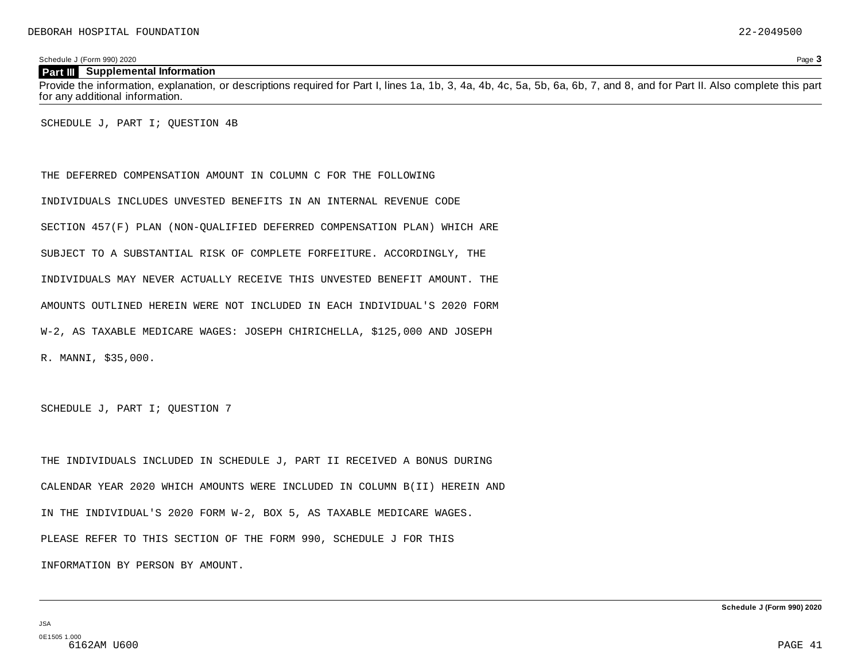#### **Part III Supplemental Information**

Provide the information, explanation, or descriptions required for Part I, lines 1a, 1b, 3, 4a, 4b, 4c, 5a, 5b, 6a, 6b, 7, and 8, and for Part II. Also complete this part for any additional information.

SCHEDULE J, PART I; QUESTION 4B

THE DEFERRED COMPENSATION AMOUNT IN COLUMN C FOR THE FOLLOWING INDIVIDUALS INCLUDES UNVESTED BENEFITS IN AN INTERNAL REVENUE CODE SECTION 457(F) PLAN (NON-QUALIFIED DEFERRED COMPENSATION PLAN) WHICH ARE SUBJECT TO A SUBSTANTIAL RISK OF COMPLETE FORFEITURE. ACCORDINGLY, THE INDIVIDUALS MAY NEVER ACTUALLY RECEIVE THIS UNVESTED BENEFIT AMOUNT. THE AMOUNTS OUTLINED HEREIN WERE NOT INCLUDED IN EACH INDIVIDUAL'S 2020 FORM W-2, AS TAXABLE MEDICARE WAGES: JOSEPH CHIRICHELLA, \$125,000 AND JOSEPH R. MANNI, \$35,000.

SCHEDULE J, PART I; QUESTION 7

THE INDIVIDUALS INCLUDED IN SCHEDULE J, PART II RECEIVED A BONUS DURING CALENDAR YEAR 2020 WHICH AMOUNTS WERE INCLUDED IN COLUMN B(II) HEREIN AND IN THE INDIVIDUAL'S 2020 FORM W-2, BOX 5, AS TAXABLE MEDICARE WAGES. PLEASE REFER TO THIS SECTION OF THE FORM 990, SCHEDULE J FOR THIS INFORMATION BY PERSON BY AMOUNT.

JSA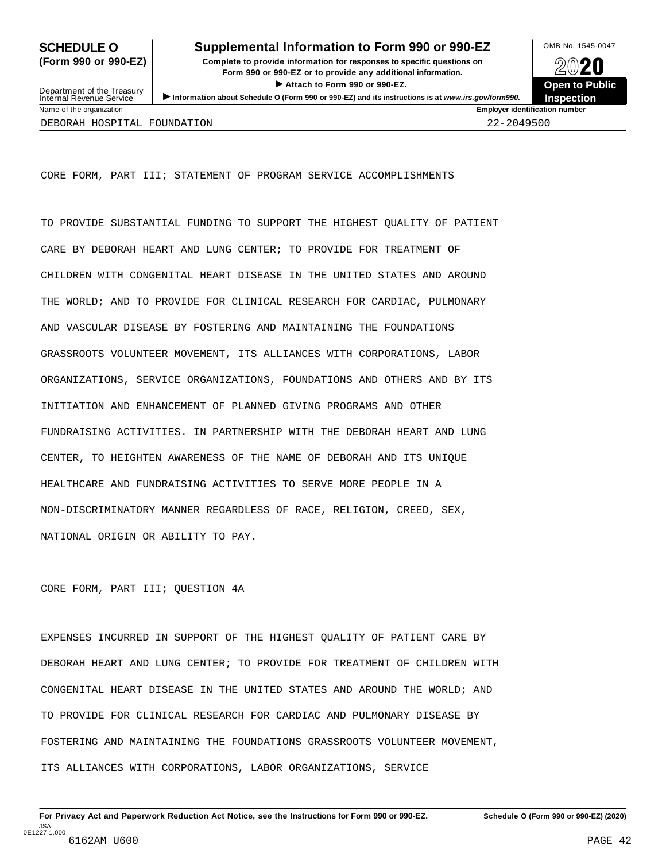## **SCHEDULE O** Supplemental Information to Form 990 or 990-EZ DAMB No. 1545-0047

**(Form 990 or 990-EZ) Complete to provide information for responses to specific questions on** plete to provide information for responses to specific questions on  $\bigotimes_{\mathbb{Z}}\mathbb{Q}$  20 **EVECT**<br>
Attach to Form 990 or 990-EZ.<br>
and the Communication of the Communication of the Communication of the Communication of the Communication of the Communication of the Communication of the Communication of the Commu Department of the Treasury <br>Depen to Public<br>Name of the organization<br>Name of the organization<br>Name of the organization<br>Name of the organization<br>Inspection



Department of the Treasury<br>Internal Revenue Service

DEBORAH HOSPITAL FOUNDATION 22-2049500

CORE FORM, PART III; STATEMENT OF PROGRAM SERVICE ACCOMPLISHMENTS

TO PROVIDE SUBSTANTIAL FUNDING TO SUPPORT THE HIGHEST QUALITY OF PATIENT CARE BY DEBORAH HEART AND LUNG CENTER; TO PROVIDE FOR TREATMENT OF CHILDREN WITH CONGENITAL HEART DISEASE IN THE UNITED STATES AND AROUND THE WORLD; AND TO PROVIDE FOR CLINICAL RESEARCH FOR CARDIAC, PULMONARY AND VASCULAR DISEASE BY FOSTERING AND MAINTAINING THE FOUNDATIONS GRASSROOTS VOLUNTEER MOVEMENT, ITS ALLIANCES WITH CORPORATIONS, LABOR ORGANIZATIONS, SERVICE ORGANIZATIONS, FOUNDATIONS AND OTHERS AND BY ITS INITIATION AND ENHANCEMENT OF PLANNED GIVING PROGRAMS AND OTHER FUNDRAISING ACTIVITIES. IN PARTNERSHIP WITH THE DEBORAH HEART AND LUNG CENTER, TO HEIGHTEN AWARENESS OF THE NAME OF DEBORAH AND ITS UNIQUE HEALTHCARE AND FUNDRAISING ACTIVITIES TO SERVE MORE PEOPLE IN A NON-DISCRIMINATORY MANNER REGARDLESS OF RACE, RELIGION, CREED, SEX, NATIONAL ORIGIN OR ABILITY TO PAY.

#### CORE FORM, PART III; QUESTION 4A

EXPENSES INCURRED IN SUPPORT OF THE HIGHEST QUALITY OF PATIENT CARE BY DEBORAH HEART AND LUNG CENTER; TO PROVIDE FOR TREATMENT OF CHILDREN WITH CONGENITAL HEART DISEASE IN THE UNITED STATES AND AROUND THE WORLD; AND TO PROVIDE FOR CLINICAL RESEARCH FOR CARDIAC AND PULMONARY DISEASE BY FOSTERING AND MAINTAINING THE FOUNDATIONS GRASSROOTS VOLUNTEER MOVEMENT, ITS ALLIANCES WITH CORPORATIONS, LABOR ORGANIZATIONS, SERVICE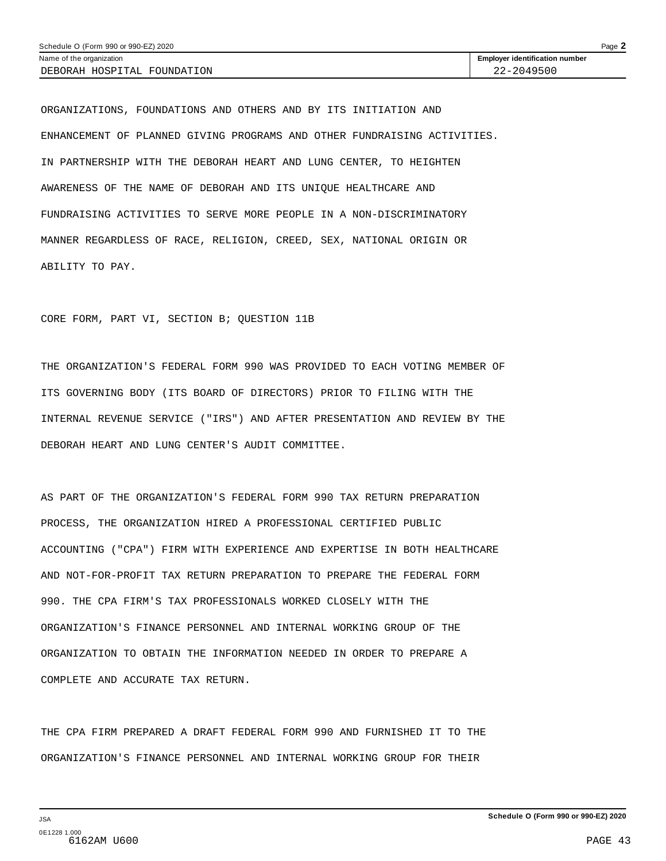ORGANIZATIONS, FOUNDATIONS AND OTHERS AND BY ITS INITIATION AND ENHANCEMENT OF PLANNED GIVING PROGRAMS AND OTHER FUNDRAISING ACTIVITIES. IN PARTNERSHIP WITH THE DEBORAH HEART AND LUNG CENTER, TO HEIGHTEN AWARENESS OF THE NAME OF DEBORAH AND ITS UNIQUE HEALTHCARE AND FUNDRAISING ACTIVITIES TO SERVE MORE PEOPLE IN A NON-DISCRIMINATORY MANNER REGARDLESS OF RACE, RELIGION, CREED, SEX, NATIONAL ORIGIN OR ABILITY TO PAY.

CORE FORM, PART VI, SECTION B; QUESTION 11B

THE ORGANIZATION'S FEDERAL FORM 990 WAS PROVIDED TO EACH VOTING MEMBER OF ITS GOVERNING BODY (ITS BOARD OF DIRECTORS) PRIOR TO FILING WITH THE INTERNAL REVENUE SERVICE ("IRS") AND AFTER PRESENTATION AND REVIEW BY THE DEBORAH HEART AND LUNG CENTER'S AUDIT COMMITTEE.

AS PART OF THE ORGANIZATION'S FEDERAL FORM 990 TAX RETURN PREPARATION PROCESS, THE ORGANIZATION HIRED A PROFESSIONAL CERTIFIED PUBLIC ACCOUNTING ("CPA") FIRM WITH EXPERIENCE AND EXPERTISE IN BOTH HEALTHCARE AND NOT-FOR-PROFIT TAX RETURN PREPARATION TO PREPARE THE FEDERAL FORM 990. THE CPA FIRM'S TAX PROFESSIONALS WORKED CLOSELY WITH THE ORGANIZATION'S FINANCE PERSONNEL AND INTERNAL WORKING GROUP OF THE ORGANIZATION TO OBTAIN THE INFORMATION NEEDED IN ORDER TO PREPARE A COMPLETE AND ACCURATE TAX RETURN.

THE CPA FIRM PREPARED A DRAFT FEDERAL FORM 990 AND FURNISHED IT TO THE ORGANIZATION'S FINANCE PERSONNEL AND INTERNAL WORKING GROUP FOR THEIR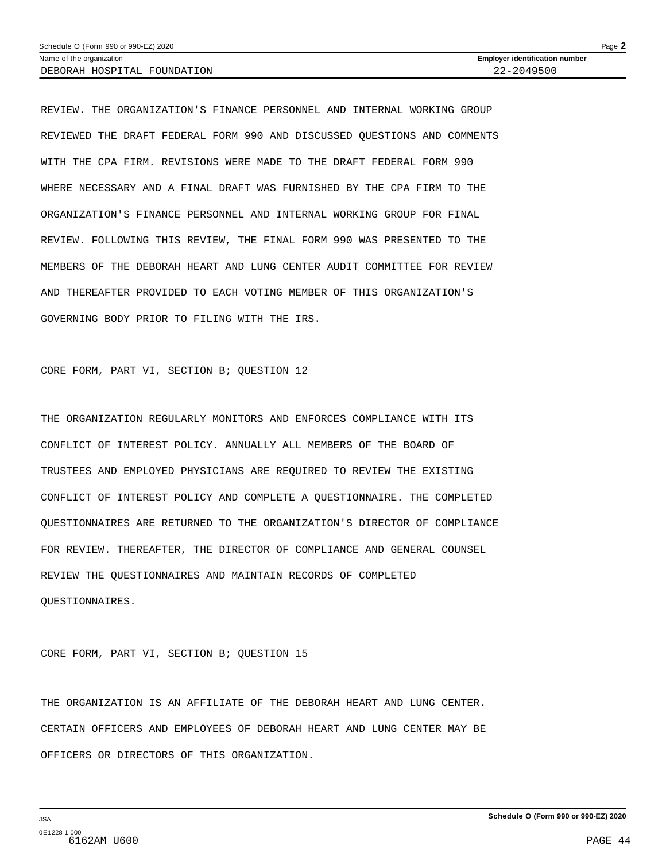| Page $\blacktriangle$<br>Schedule O (Form 990 or 990-EZ) 2020 |                                       |  |  |  |  |
|---------------------------------------------------------------|---------------------------------------|--|--|--|--|
| Name of the organization                                      | <b>Employer identification number</b> |  |  |  |  |
| DEBORAH HOSPITAL FOUNDATION                                   | 22-2049500                            |  |  |  |  |

REVIEW. THE ORGANIZATION'S FINANCE PERSONNEL AND INTERNAL WORKING GROUP REVIEWED THE DRAFT FEDERAL FORM 990 AND DISCUSSED QUESTIONS AND COMMENTS WITH THE CPA FIRM. REVISIONS WERE MADE TO THE DRAFT FEDERAL FORM 990 WHERE NECESSARY AND A FINAL DRAFT WAS FURNISHED BY THE CPA FIRM TO THE ORGANIZATION'S FINANCE PERSONNEL AND INTERNAL WORKING GROUP FOR FINAL REVIEW. FOLLOWING THIS REVIEW, THE FINAL FORM 990 WAS PRESENTED TO THE MEMBERS OF THE DEBORAH HEART AND LUNG CENTER AUDIT COMMITTEE FOR REVIEW AND THEREAFTER PROVIDED TO EACH VOTING MEMBER OF THIS ORGANIZATION'S GOVERNING BODY PRIOR TO FILING WITH THE IRS.

CORE FORM, PART VI, SECTION B; QUESTION 12

THE ORGANIZATION REGULARLY MONITORS AND ENFORCES COMPLIANCE WITH ITS CONFLICT OF INTEREST POLICY. ANNUALLY ALL MEMBERS OF THE BOARD OF TRUSTEES AND EMPLOYED PHYSICIANS ARE REQUIRED TO REVIEW THE EXISTING CONFLICT OF INTEREST POLICY AND COMPLETE A QUESTIONNAIRE. THE COMPLETED QUESTIONNAIRES ARE RETURNED TO THE ORGANIZATION'S DIRECTOR OF COMPLIANCE FOR REVIEW. THEREAFTER, THE DIRECTOR OF COMPLIANCE AND GENERAL COUNSEL REVIEW THE QUESTIONNAIRES AND MAINTAIN RECORDS OF COMPLETED QUESTIONNAIRES.

CORE FORM, PART VI, SECTION B; QUESTION 15

THE ORGANIZATION IS AN AFFILIATE OF THE DEBORAH HEART AND LUNG CENTER. CERTAIN OFFICERS AND EMPLOYEES OF DEBORAH HEART AND LUNG CENTER MAY BE OFFICERS OR DIRECTORS OF THIS ORGANIZATION.

JSA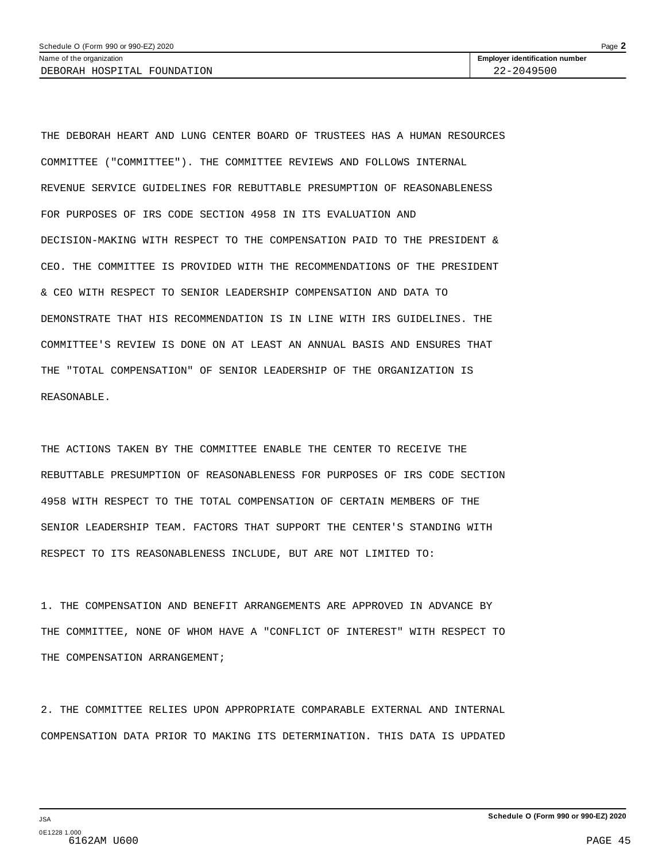THE DEBORAH HEART AND LUNG CENTER BOARD OF TRUSTEES HAS A HUMAN RESOURCES COMMITTEE ("COMMITTEE"). THE COMMITTEE REVIEWS AND FOLLOWS INTERNAL REVENUE SERVICE GUIDELINES FOR REBUTTABLE PRESUMPTION OF REASONABLENESS FOR PURPOSES OF IRS CODE SECTION 4958 IN ITS EVALUATION AND DECISION-MAKING WITH RESPECT TO THE COMPENSATION PAID TO THE PRESIDENT & CEO. THE COMMITTEE IS PROVIDED WITH THE RECOMMENDATIONS OF THE PRESIDENT & CEO WITH RESPECT TO SENIOR LEADERSHIP COMPENSATION AND DATA TO DEMONSTRATE THAT HIS RECOMMENDATION IS IN LINE WITH IRS GUIDELINES. THE COMMITTEE'S REVIEW IS DONE ON AT LEAST AN ANNUAL BASIS AND ENSURES THAT THE "TOTAL COMPENSATION" OF SENIOR LEADERSHIP OF THE ORGANIZATION IS REASONABLE.

THE ACTIONS TAKEN BY THE COMMITTEE ENABLE THE CENTER TO RECEIVE THE REBUTTABLE PRESUMPTION OF REASONABLENESS FOR PURPOSES OF IRS CODE SECTION 4958 WITH RESPECT TO THE TOTAL COMPENSATION OF CERTAIN MEMBERS OF THE SENIOR LEADERSHIP TEAM. FACTORS THAT SUPPORT THE CENTER'S STANDING WITH RESPECT TO ITS REASONABLENESS INCLUDE, BUT ARE NOT LIMITED TO:

1. THE COMPENSATION AND BENEFIT ARRANGEMENTS ARE APPROVED IN ADVANCE BY THE COMMITTEE, NONE OF WHOM HAVE A "CONFLICT OF INTEREST" WITH RESPECT TO THE COMPENSATION ARRANGEMENT;

2. THE COMMITTEE RELIES UPON APPROPRIATE COMPARABLE EXTERNAL AND INTERNAL COMPENSATION DATA PRIOR TO MAKING ITS DETERMINATION. THIS DATA IS UPDATED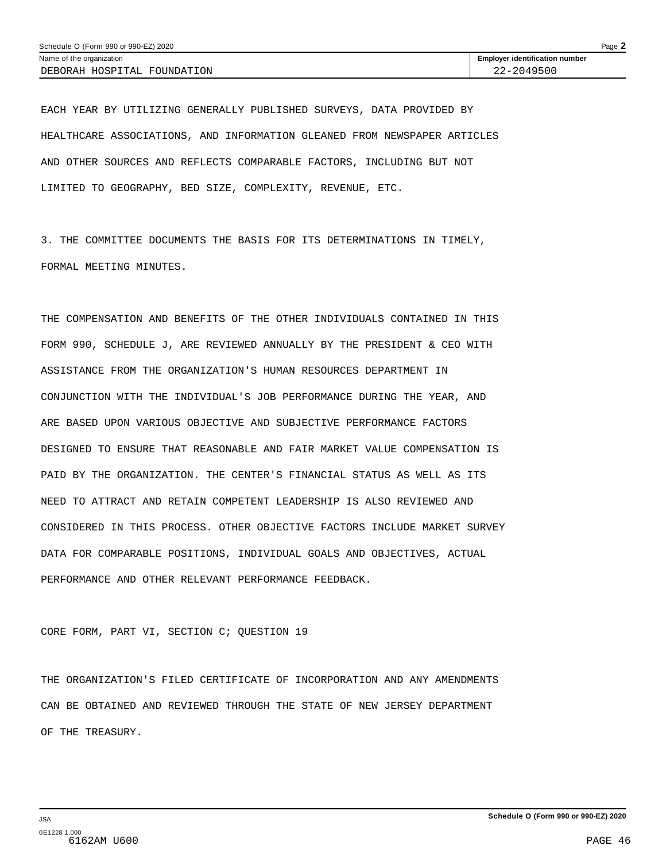EACH YEAR BY UTILIZING GENERALLY PUBLISHED SURVEYS, DATA PROVIDED BY HEALTHCARE ASSOCIATIONS, AND INFORMATION GLEANED FROM NEWSPAPER ARTICLES AND OTHER SOURCES AND REFLECTS COMPARABLE FACTORS, INCLUDING BUT NOT LIMITED TO GEOGRAPHY, BED SIZE, COMPLEXITY, REVENUE, ETC.

3. THE COMMITTEE DOCUMENTS THE BASIS FOR ITS DETERMINATIONS IN TIMELY, FORMAL MEETING MINUTES.

THE COMPENSATION AND BENEFITS OF THE OTHER INDIVIDUALS CONTAINED IN THIS FORM 990, SCHEDULE J, ARE REVIEWED ANNUALLY BY THE PRESIDENT & CEO WITH ASSISTANCE FROM THE ORGANIZATION'S HUMAN RESOURCES DEPARTMENT IN CONJUNCTION WITH THE INDIVIDUAL'S JOB PERFORMANCE DURING THE YEAR, AND ARE BASED UPON VARIOUS OBJECTIVE AND SUBJECTIVE PERFORMANCE FACTORS DESIGNED TO ENSURE THAT REASONABLE AND FAIR MARKET VALUE COMPENSATION IS PAID BY THE ORGANIZATION. THE CENTER'S FINANCIAL STATUS AS WELL AS ITS NEED TO ATTRACT AND RETAIN COMPETENT LEADERSHIP IS ALSO REVIEWED AND CONSIDERED IN THIS PROCESS. OTHER OBJECTIVE FACTORS INCLUDE MARKET SURVEY DATA FOR COMPARABLE POSITIONS, INDIVIDUAL GOALS AND OBJECTIVES, ACTUAL PERFORMANCE AND OTHER RELEVANT PERFORMANCE FEEDBACK.

CORE FORM, PART VI, SECTION C; QUESTION 19

THE ORGANIZATION'S FILED CERTIFICATE OF INCORPORATION AND ANY AMENDMENTS CAN BE OBTAINED AND REVIEWED THROUGH THE STATE OF NEW JERSEY DEPARTMENT OF THE TREASURY.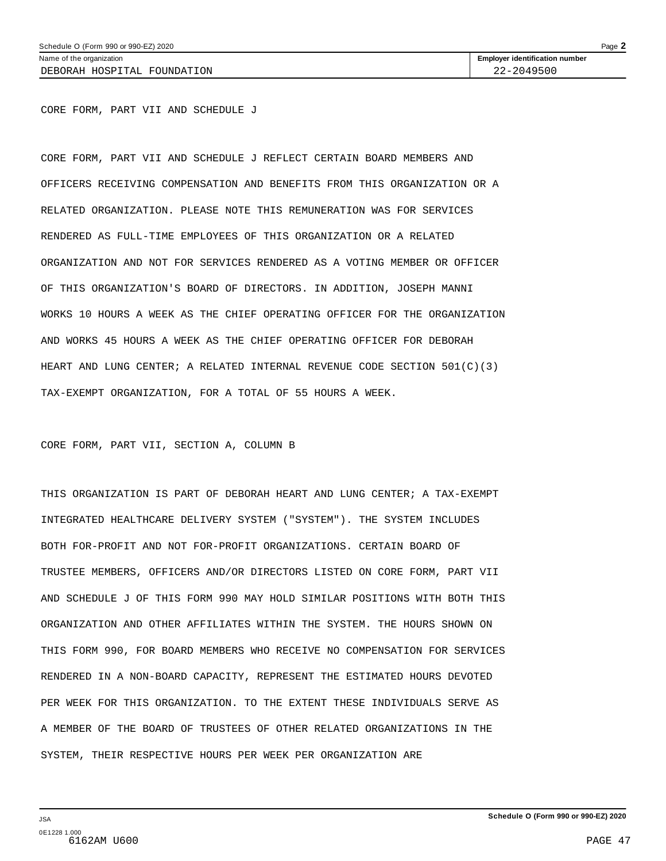DEBORAH HOSPITAL FOUNDATION 22-2049500

CORE FORM, PART VII AND SCHEDULE J

CORE FORM, PART VII AND SCHEDULE J REFLECT CERTAIN BOARD MEMBERS AND OFFICERS RECEIVING COMPENSATION AND BENEFITS FROM THIS ORGANIZATION OR A RELATED ORGANIZATION. PLEASE NOTE THIS REMUNERATION WAS FOR SERVICES RENDERED AS FULL-TIME EMPLOYEES OF THIS ORGANIZATION OR A RELATED ORGANIZATION AND NOT FOR SERVICES RENDERED AS A VOTING MEMBER OR OFFICER OF THIS ORGANIZATION'S BOARD OF DIRECTORS. IN ADDITION, JOSEPH MANNI WORKS 10 HOURS A WEEK AS THE CHIEF OPERATING OFFICER FOR THE ORGANIZATION AND WORKS 45 HOURS A WEEK AS THE CHIEF OPERATING OFFICER FOR DEBORAH HEART AND LUNG CENTER; A RELATED INTERNAL REVENUE CODE SECTION 501(C)(3) TAX-EXEMPT ORGANIZATION, FOR A TOTAL OF 55 HOURS A WEEK.

CORE FORM, PART VII, SECTION A, COLUMN B

THIS ORGANIZATION IS PART OF DEBORAH HEART AND LUNG CENTER; A TAX-EXEMPT INTEGRATED HEALTHCARE DELIVERY SYSTEM ("SYSTEM"). THE SYSTEM INCLUDES BOTH FOR-PROFIT AND NOT FOR-PROFIT ORGANIZATIONS. CERTAIN BOARD OF TRUSTEE MEMBERS, OFFICERS AND/OR DIRECTORS LISTED ON CORE FORM, PART VII AND SCHEDULE J OF THIS FORM 990 MAY HOLD SIMILAR POSITIONS WITH BOTH THIS ORGANIZATION AND OTHER AFFILIATES WITHIN THE SYSTEM. THE HOURS SHOWN ON THIS FORM 990, FOR BOARD MEMBERS WHO RECEIVE NO COMPENSATION FOR SERVICES RENDERED IN A NON-BOARD CAPACITY, REPRESENT THE ESTIMATED HOURS DEVOTED PER WEEK FOR THIS ORGANIZATION. TO THE EXTENT THESE INDIVIDUALS SERVE AS A MEMBER OF THE BOARD OF TRUSTEES OF OTHER RELATED ORGANIZATIONS IN THE SYSTEM, THEIR RESPECTIVE HOURS PER WEEK PER ORGANIZATION ARE

JSA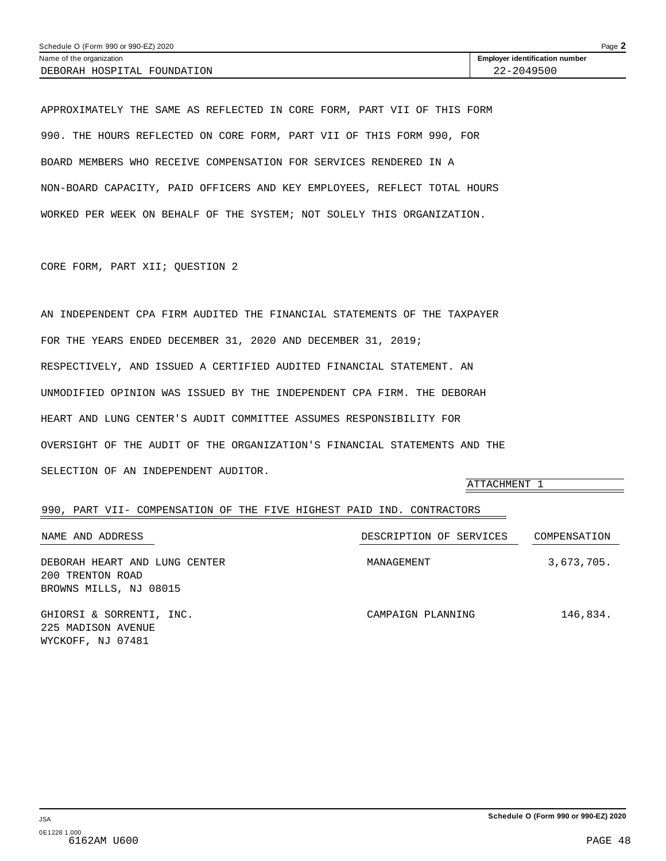<span id="page-43-0"></span>APPROXIMATELY THE SAME AS REFLECTED IN CORE FORM, PART VII OF THIS FORM 990. THE HOURS REFLECTED ON CORE FORM, PART VII OF THIS FORM 990, FOR BOARD MEMBERS WHO RECEIVE COMPENSATION FOR SERVICES RENDERED IN A NON-BOARD CAPACITY, PAID OFFICERS AND KEY EMPLOYEES, REFLECT TOTAL HOURS WORKED PER WEEK ON BEHALF OF THE SYSTEM; NOT SOLELY THIS ORGANIZATION.

CORE FORM, PART XII; QUESTION 2

AN INDEPENDENT CPA FIRM AUDITED THE FINANCIAL STATEMENTS OF THE TAXPAYER FOR THE YEARS ENDED DECEMBER 31, 2020 AND DECEMBER 31, 2019; RESPECTIVELY, AND ISSUED A CERTIFIED AUDITED FINANCIAL STATEMENT. AN UNMODIFIED OPINION WAS ISSUED BY THE INDEPENDENT CPA FIRM. THE DEBORAH HEART AND LUNG CENTER'S AUDIT COMMITTEE ASSUMES RESPONSIBILITY FOR OVERSIGHT OF THE AUDIT OF THE ORGANIZATION'S FINANCIAL STATEMENTS AND THE SELECTION OF AN INDEPENDENT AUDITOR.

|                                                                             | ATTACHMENT 1            |              |
|-----------------------------------------------------------------------------|-------------------------|--------------|
| 990, PART VII- COMPENSATION OF THE FIVE HIGHEST PAID IND. CONTRACTORS       |                         |              |
| NAME AND ADDRESS                                                            | DESCRIPTION OF SERVICES | COMPENSATION |
| DEBORAH HEART AND LUNG CENTER<br>200 TRENTON ROAD<br>BROWNS MILLS, NJ 08015 | MANAGEMENT              | 3,673,705.   |
| GHIORSI & SORRENTI, INC.<br>225 MADISON AVENUE<br>WYCKOFF, NJ 07481         | CAMPAIGN PLANNING       | 146,834.     |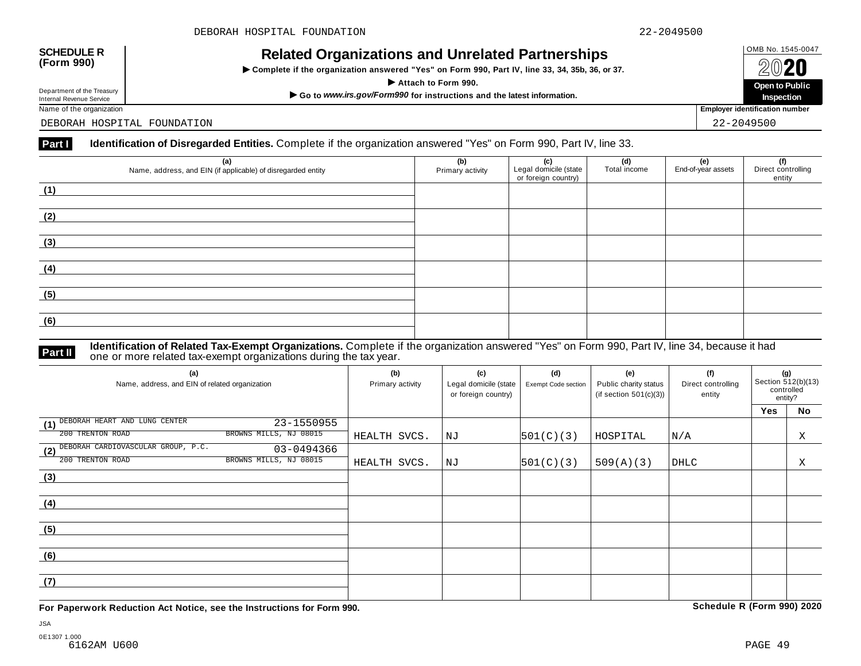## OMB No. 1545-0047 **SCHEDULE R (Form 990) Related Organizations and Unrelated Partnerships**

 $\triangleright$  Complete if the organization answered "Yes" on Form 990, Part IV, line 33, 34, 35b, 36, or 37.



Department of the Treasury<br>Internal Revenue Service

DEBORAH HOSPITAL FOUNDATION 22-2049500

#### **Part I Identification of Disregarded Entities.** Complete if the organization answered "Yes" on Form 990, Part IV, line 33.

| (a)<br>Name, address, and EIN (if applicable) of disregarded entity | (b)<br>Primary activity | (c)<br>Legal domicile (state<br>or foreign country) | (d)<br>Total income | (e)<br>End-of-year assets | (f)<br>Direct controlling<br>entity |
|---------------------------------------------------------------------|-------------------------|-----------------------------------------------------|---------------------|---------------------------|-------------------------------------|
| (1)                                                                 |                         |                                                     |                     |                           |                                     |
| (2)                                                                 |                         |                                                     |                     |                           |                                     |
| (3)                                                                 |                         |                                                     |                     |                           |                                     |
| (4)                                                                 |                         |                                                     |                     |                           |                                     |
| (5)                                                                 |                         |                                                     |                     |                           |                                     |
| (6)                                                                 |                         |                                                     |                     |                           |                                     |

**Identification of Related Tax-Exempt Organizations.** Complete if the organization answered "Yes" on Form 990, Part IV, line 34, because it had **Part II** dentification of Neiated Tax-Exempt organizations during the tax year.

| (a)<br>Name, address, and EIN of related organization   | (b)<br>Primary activity | (c)<br>Legal domicile (state<br>or foreign country) | (d)<br>Exempt Code section | (e)<br>Public charity status<br>(if section $501(c)(3)$ ) | (f)<br>Direct controlling<br>entity | (g)<br>Section 512(b)(13)<br>controlled<br>entity? |    |
|---------------------------------------------------------|-------------------------|-----------------------------------------------------|----------------------------|-----------------------------------------------------------|-------------------------------------|----------------------------------------------------|----|
|                                                         |                         |                                                     |                            |                                                           |                                     | <b>Yes</b>                                         | No |
| DEBORAH HEART AND LUNG CENTER<br>23-1550955<br>(1)      |                         |                                                     |                            |                                                           |                                     |                                                    |    |
| BROWNS MILLS, NJ 08015<br>200 TRENTON ROAD              | HEALTH SVCS.            | NJ                                                  | 501(C)(3)                  | HOSPITAL                                                  | N/A                                 |                                                    | X  |
| DEBORAH CARDIOVASCULAR GROUP, P.C.<br>03-0494366<br>(2) |                         |                                                     |                            |                                                           |                                     |                                                    |    |
| 200 TRENTON ROAD<br>BROWNS MILLS, NJ 08015              | HEALTH SVCS.            | NJ                                                  | 501(C)(3)                  | 509(A)(3)                                                 | <b>DHLC</b>                         |                                                    | Χ  |
| (3)                                                     |                         |                                                     |                            |                                                           |                                     |                                                    |    |
|                                                         |                         |                                                     |                            |                                                           |                                     |                                                    |    |
| (4)                                                     |                         |                                                     |                            |                                                           |                                     |                                                    |    |
|                                                         |                         |                                                     |                            |                                                           |                                     |                                                    |    |
| (5)                                                     |                         |                                                     |                            |                                                           |                                     |                                                    |    |
|                                                         |                         |                                                     |                            |                                                           |                                     |                                                    |    |
| (6)                                                     |                         |                                                     |                            |                                                           |                                     |                                                    |    |
|                                                         |                         |                                                     |                            |                                                           |                                     |                                                    |    |
| (7)                                                     |                         |                                                     |                            |                                                           |                                     |                                                    |    |
|                                                         |                         |                                                     |                            |                                                           |                                     |                                                    |    |

**For Paperwork Reduction Act Notice, see the Instructions for Form 990. Schedule R (Form 990) 2020**

JSA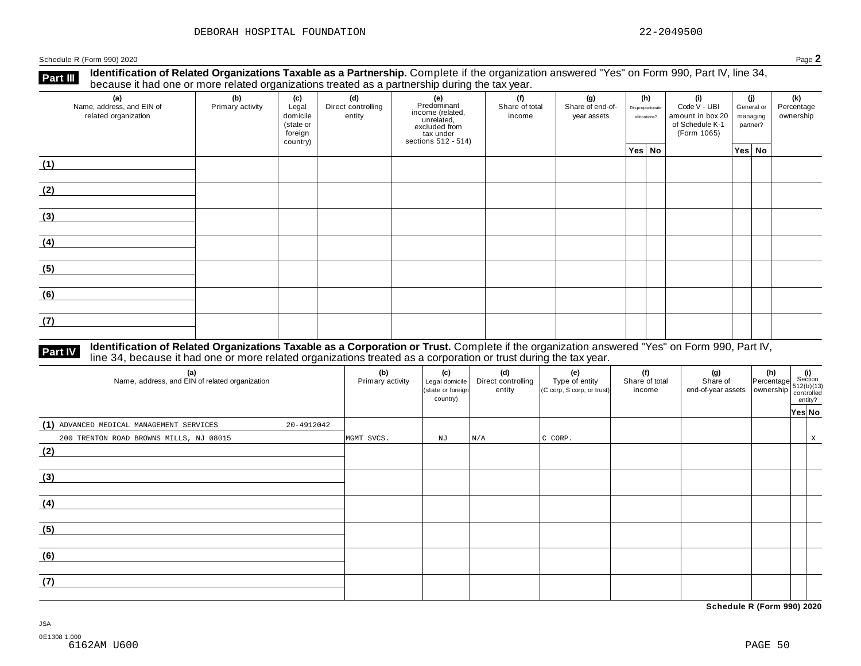**Identification of Related Organizations Taxable as a Partnership.** Complete if the organization answered "Yes" on Form 990, Part IV, line 34, **because it had one or more related organizations Taxable as a Partnership.** Complete if the organization of Related organizations treated as a partnership during the tax year.

| (a)<br>Name, address, and EIN of<br>related organization | ັ<br>(b)<br>Primary activity | (c)<br>Legal<br>domicile<br>(state or<br>foreign<br>country) | .<br>(d)<br>Direct controlling<br>entity | ັ<br>(e)<br>Predominant<br>Frecomman<br>income (related,<br>unrelated,<br>sccluded from<br>sections 512 - 514) | (f)<br>Share of total<br>income | (g)<br>Share of end-of-<br>year assets | (h)<br>Disproportionate<br>allocations? | (i)<br>Code V - UBI<br>amount in box 20<br>of Schedule K-1<br>(Form 1065) | (j)<br>General or<br>managing<br>partner? | (k)<br>Percentage<br>ownership |
|----------------------------------------------------------|------------------------------|--------------------------------------------------------------|------------------------------------------|----------------------------------------------------------------------------------------------------------------|---------------------------------|----------------------------------------|-----------------------------------------|---------------------------------------------------------------------------|-------------------------------------------|--------------------------------|
|                                                          |                              |                                                              |                                          |                                                                                                                |                                 |                                        | Yes No                                  |                                                                           | Yes No                                    |                                |
| (1)                                                      |                              |                                                              |                                          |                                                                                                                |                                 |                                        |                                         |                                                                           |                                           |                                |
| (2)                                                      |                              |                                                              |                                          |                                                                                                                |                                 |                                        |                                         |                                                                           |                                           |                                |
| (3)                                                      |                              |                                                              |                                          |                                                                                                                |                                 |                                        |                                         |                                                                           |                                           |                                |
| (4)                                                      |                              |                                                              |                                          |                                                                                                                |                                 |                                        |                                         |                                                                           |                                           |                                |
| (5)                                                      |                              |                                                              |                                          |                                                                                                                |                                 |                                        |                                         |                                                                           |                                           |                                |
| (6)                                                      |                              |                                                              |                                          |                                                                                                                |                                 |                                        |                                         |                                                                           |                                           |                                |
| (7)                                                      |                              |                                                              |                                          |                                                                                                                |                                 |                                        |                                         |                                                                           |                                           |                                |

# **Part IV** Identification of Related Organizations Taxable as a Corporation or Trust. Complete if the organization answered "Yes" on Form 990, Part IV,<br>line 34, because it had one or more related organizations treated as a

| (a)<br>Name, address, and EIN of related organization  | (b)<br>Primary activity | (c)<br>Legal domicile<br>(state or foreign<br>country) | (d)<br>Direct controlling<br>entity | (e)<br>Type of entity<br>(C corp, S corp, or trust) | (f)<br>Share of total<br>income | (g) (h) $\frac{1}{2}$ (i) $\frac{1}{2}$ (i) $\frac{1}{2}$ (i) $\frac{1}{2}$ (i) $\frac{1}{2}$ (b)(13) end-of-year assets ownership $\frac{1}{2}$ (c)(b)(13) $\frac{1}{2}$ (c)(b)(13) entity? |        |   |
|--------------------------------------------------------|-------------------------|--------------------------------------------------------|-------------------------------------|-----------------------------------------------------|---------------------------------|----------------------------------------------------------------------------------------------------------------------------------------------------------------------------------------------|--------|---|
| (1) ADVANCED MEDICAL MANAGEMENT SERVICES<br>20-4912042 |                         |                                                        |                                     |                                                     |                                 |                                                                                                                                                                                              | Yes No |   |
| 200 TRENTON ROAD BROWNS MILLS, NJ 08015<br>(2)         | MGMT SVCS.              | NJ                                                     | N/A                                 | C CORP.                                             |                                 |                                                                                                                                                                                              |        | X |
|                                                        |                         |                                                        |                                     |                                                     |                                 |                                                                                                                                                                                              |        |   |
| (3)                                                    |                         |                                                        |                                     |                                                     |                                 |                                                                                                                                                                                              |        |   |
| (4)                                                    |                         |                                                        |                                     |                                                     |                                 |                                                                                                                                                                                              |        |   |
| (5)                                                    |                         |                                                        |                                     |                                                     |                                 |                                                                                                                                                                                              |        |   |
| (6)                                                    |                         |                                                        |                                     |                                                     |                                 |                                                                                                                                                                                              |        |   |
| (7)                                                    |                         |                                                        |                                     |                                                     |                                 |                                                                                                                                                                                              |        |   |

**Schedule R (Form 990) 2020**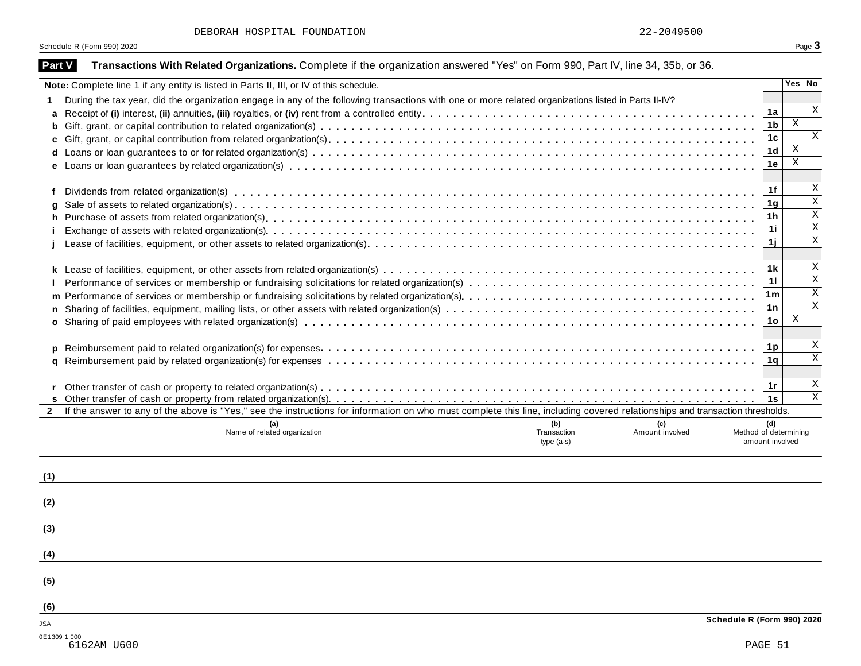|  |  | DEBORAH HOSPITAL FOUNDATION | 22-2049500 |
|--|--|-----------------------------|------------|
|--|--|-----------------------------|------------|

| Part V       | Transactions With Related Organizations. Complete if the organization answered "Yes" on Form 990, Part IV, line 34, 35b, or 36.                                              |                                    |                        |                                                 |                         |
|--------------|------------------------------------------------------------------------------------------------------------------------------------------------------------------------------|------------------------------------|------------------------|-------------------------------------------------|-------------------------|
|              | Note: Complete line 1 if any entity is listed in Parts II, III, or IV of this schedule.                                                                                      |                                    |                        |                                                 | Yes No                  |
| 1.           | During the tax year, did the organization engage in any of the following transactions with one or more related organizations listed in Parts II-IV?                          |                                    |                        |                                                 |                         |
| a            |                                                                                                                                                                              |                                    |                        | 1a                                              | $\mathbf{x}$            |
| b            |                                                                                                                                                                              |                                    |                        | 1 <sub>b</sub>                                  | $\mathbf X$             |
| c            |                                                                                                                                                                              |                                    |                        | 1 <sub>c</sub>                                  | $\mathbf{x}$            |
| d            |                                                                                                                                                                              |                                    |                        | 1 <sub>d</sub>                                  | $\mathbf X$             |
|              |                                                                                                                                                                              |                                    |                        | 1е                                              | $\mathbf X$             |
| f            |                                                                                                                                                                              |                                    |                        | 1f                                              | X                       |
| q            |                                                                                                                                                                              |                                    |                        | 1 <sub>g</sub>                                  | $\overline{\mathbf{x}}$ |
| h.           |                                                                                                                                                                              |                                    |                        | 1 <sub>h</sub>                                  | $\overline{\mathbf{x}}$ |
|              |                                                                                                                                                                              |                                    |                        | 11                                              | $\overline{\mathbf{x}}$ |
|              |                                                                                                                                                                              |                                    |                        | 1j                                              | $\overline{\mathbf{x}}$ |
|              |                                                                                                                                                                              |                                    |                        | 1k                                              | X                       |
|              |                                                                                                                                                                              |                                    |                        | 11                                              | $\overline{\mathbf{x}}$ |
|              |                                                                                                                                                                              |                                    |                        | 1m                                              | $\overline{\mathbf{x}}$ |
| $\mathsf{n}$ |                                                                                                                                                                              |                                    |                        | 1n                                              | X                       |
|              |                                                                                                                                                                              |                                    |                        | 10                                              | X                       |
|              |                                                                                                                                                                              |                                    |                        | 1p                                              | X                       |
| a            |                                                                                                                                                                              |                                    |                        | 1q                                              | $\overline{\mathbf{x}}$ |
|              |                                                                                                                                                                              |                                    |                        | 1r                                              | Χ                       |
|              |                                                                                                                                                                              |                                    |                        | 1s                                              | $\overline{\mathbf{x}}$ |
| $\mathbf{2}$ | If the answer to any of the above is "Yes," see the instructions for information on who must complete this line, including covered relationships and transaction thresholds. |                                    |                        |                                                 |                         |
|              | (a)<br>Name of related organization                                                                                                                                          | (b)<br>Transaction<br>type $(a-s)$ | (c)<br>Amount involved | (d)<br>Method of determining<br>amount involved |                         |
| (1)          |                                                                                                                                                                              |                                    |                        |                                                 |                         |
| (2)          |                                                                                                                                                                              |                                    |                        |                                                 |                         |
| (3)          |                                                                                                                                                                              |                                    |                        |                                                 |                         |
|              |                                                                                                                                                                              |                                    |                        |                                                 |                         |
| (4)          |                                                                                                                                                                              |                                    |                        |                                                 |                         |
| (5)          |                                                                                                                                                                              |                                    |                        |                                                 |                         |
| (6)          |                                                                                                                                                                              |                                    |                        |                                                 |                         |
| <b>JSA</b>   |                                                                                                                                                                              |                                    |                        | Schedule R (Form 990) 2020                      |                         |
| 0E1309 1.000 | 6162AM U600                                                                                                                                                                  |                                    |                        | PAGE 51                                         |                         |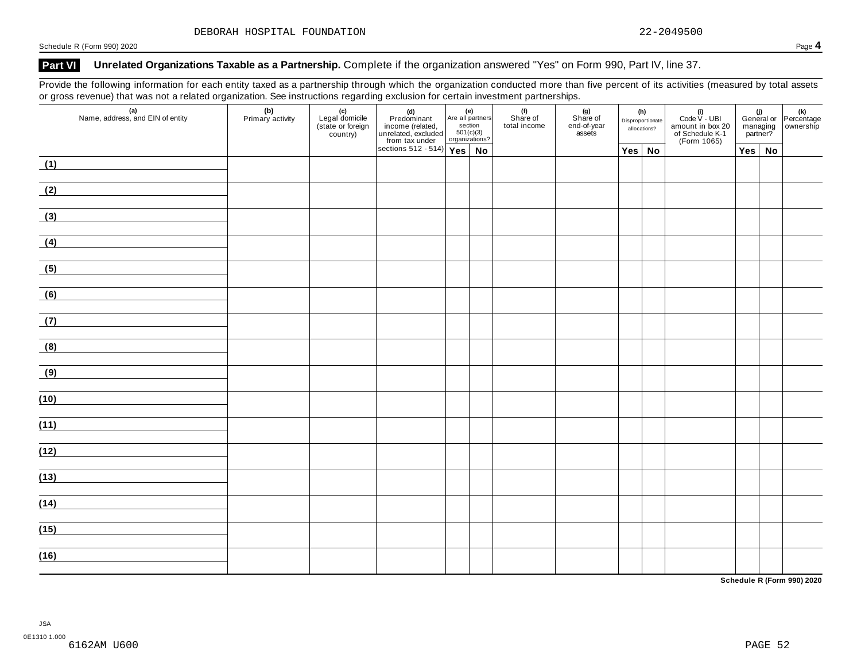### **Part VI Unrelated Organizations Taxable as a Partnership.** Complete if the organization answered "Yes" on Form 990, Part IV, line 37.

Provide the following information for each entity taxed as a partnership through which the organization conducted more than five percent of its activities (measured by total assets or gross revenue) that was not a related organization. See instructions regarding exclusion for certain investment partnerships.

| ັ<br>$\mathbf{z}$<br>(a)<br>Name, address, and EIN of entity | ≚<br>(b)<br>Primary activity | ັ<br>(c)<br>Legal domicile<br>(state or foreign<br>country) | (d)<br>Predominant<br>income (related, action<br>unrelated, excluded $\frac{\text{soft}(c)}{\text{soft}(c)}$<br>sections 512 - 514)<br>Yes | section<br>501(c)(3)<br>organizations? | Are all partners | (f)<br>Share of<br>total income | . .<br>(g)<br>Share of<br>end-of-year<br>assets | (h)<br>Disproportionate<br>allocations? | (i)<br>Code $V - UBI$<br>amount in box 20<br>of Schedule K-1<br>(Form 1065) | managing<br>partner? | (i)<br>General or Percentage<br>managing ownership |
|--------------------------------------------------------------|------------------------------|-------------------------------------------------------------|--------------------------------------------------------------------------------------------------------------------------------------------|----------------------------------------|------------------|---------------------------------|-------------------------------------------------|-----------------------------------------|-----------------------------------------------------------------------------|----------------------|----------------------------------------------------|
|                                                              |                              |                                                             |                                                                                                                                            |                                        | No               |                                 |                                                 | $Yes \mid No$                           |                                                                             | $Yes \mid No$        |                                                    |
| (1)                                                          |                              |                                                             |                                                                                                                                            |                                        |                  |                                 |                                                 |                                         |                                                                             |                      |                                                    |
| (2)                                                          |                              |                                                             |                                                                                                                                            |                                        |                  |                                 |                                                 |                                         |                                                                             |                      |                                                    |
| (3)                                                          |                              |                                                             |                                                                                                                                            |                                        |                  |                                 |                                                 |                                         |                                                                             |                      |                                                    |
| (4)                                                          |                              |                                                             |                                                                                                                                            |                                        |                  |                                 |                                                 |                                         |                                                                             |                      |                                                    |
| (5)                                                          |                              |                                                             |                                                                                                                                            |                                        |                  |                                 |                                                 |                                         |                                                                             |                      |                                                    |
| (6)                                                          |                              |                                                             |                                                                                                                                            |                                        |                  |                                 |                                                 |                                         |                                                                             |                      |                                                    |
| (7)<br><u> 1989 - Andrea Station Barbara (</u>               |                              |                                                             |                                                                                                                                            |                                        |                  |                                 |                                                 |                                         |                                                                             |                      |                                                    |
| (8)                                                          |                              |                                                             |                                                                                                                                            |                                        |                  |                                 |                                                 |                                         |                                                                             |                      |                                                    |
| (9)                                                          |                              |                                                             |                                                                                                                                            |                                        |                  |                                 |                                                 |                                         |                                                                             |                      |                                                    |
| (10)                                                         |                              |                                                             |                                                                                                                                            |                                        |                  |                                 |                                                 |                                         |                                                                             |                      |                                                    |
| (11)                                                         |                              |                                                             |                                                                                                                                            |                                        |                  |                                 |                                                 |                                         |                                                                             |                      |                                                    |
| (12)                                                         |                              |                                                             |                                                                                                                                            |                                        |                  |                                 |                                                 |                                         |                                                                             |                      |                                                    |
| (13)                                                         |                              |                                                             |                                                                                                                                            |                                        |                  |                                 |                                                 |                                         |                                                                             |                      |                                                    |
| (14)                                                         |                              |                                                             |                                                                                                                                            |                                        |                  |                                 |                                                 |                                         |                                                                             |                      |                                                    |
|                                                              |                              |                                                             |                                                                                                                                            |                                        |                  |                                 |                                                 |                                         |                                                                             |                      |                                                    |
| (15)                                                         |                              |                                                             |                                                                                                                                            |                                        |                  |                                 |                                                 |                                         |                                                                             |                      |                                                    |
| (16)                                                         |                              |                                                             |                                                                                                                                            |                                        |                  |                                 |                                                 |                                         |                                                                             |                      |                                                    |

**Schedule R (Form 990) 2020**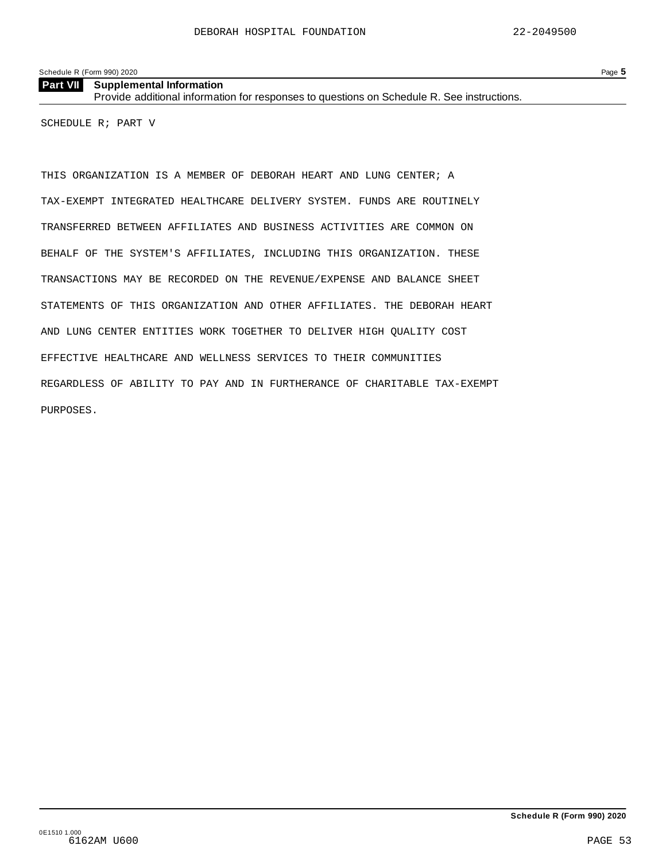| <b>Part VII</b> Supplemental Information                                                   |
|--------------------------------------------------------------------------------------------|
| Provide additional information for responses to questions on Schedule R. See instructions. |

SCHEDULE R; PART V

THIS ORGANIZATION IS A MEMBER OF DEBORAH HEART AND LUNG CENTER; A TAX-EXEMPT INTEGRATED HEALTHCARE DELIVERY SYSTEM. FUNDS ARE ROUTINELY TRANSFERRED BETWEEN AFFILIATES AND BUSINESS ACTIVITIES ARE COMMON ON BEHALF OF THE SYSTEM'S AFFILIATES, INCLUDING THIS ORGANIZATION. THESE TRANSACTIONS MAY BE RECORDED ON THE REVENUE/EXPENSE AND BALANCE SHEET STATEMENTS OF THIS ORGANIZATION AND OTHER AFFILIATES. THE DEBORAH HEART AND LUNG CENTER ENTITIES WORK TOGETHER TO DELIVER HIGH QUALITY COST EFFECTIVE HEALTHCARE AND WELLNESS SERVICES TO THEIR COMMUNITIES REGARDLESS OF ABILITY TO PAY AND IN FURTHERANCE OF CHARITABLE TAX-EXEMPT PURPOSES.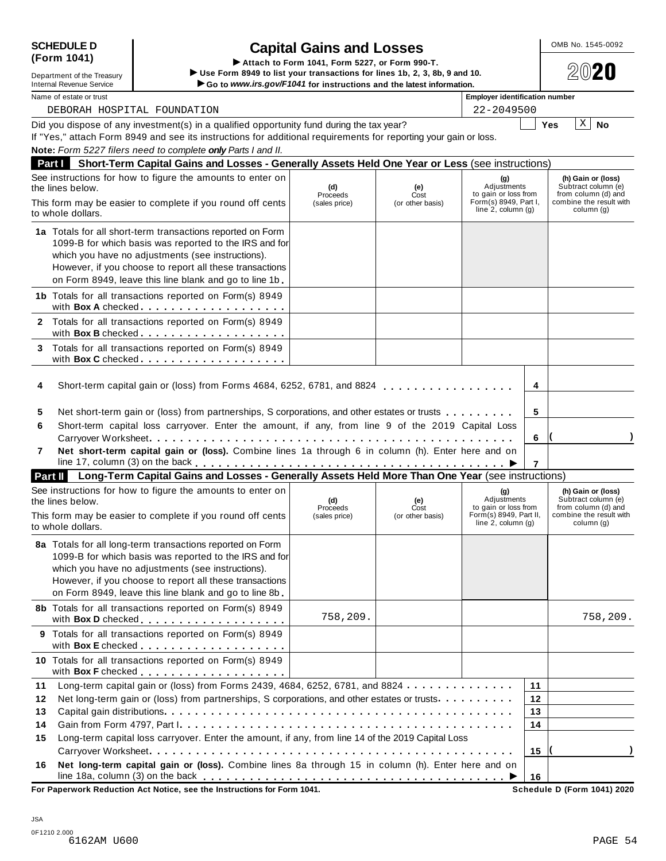| 7       | N٥  |
|---------|-----|
|         | lin |
| Part II |     |

## **SCHEDULE D** OMB No. 1545-0092 **Capital Gains and Losses** SCHEDULE D<br>
(Form 1041) **Capital Gains and Losses**<br>
Department of the Treasury Use Form 8949 to list your transactions for lines 1b, 2, 3, 8b, 9 and 10.

Internal Revenue Service <u>Net all the service</u> internal Revenue Service internal Revenue Service internal Revenue Service internal Revenue Service internal Revenue Service internal Revenue Service internal Revenue Service

Did you dispose of any investment(s) in a qualified opportunity fund during the tax year? Did you dispose of any investment(s) in a qualified opportunity fund during the tax year?<br>If "Yes," attach Form 8949 and see its instructions for additional requirements for reporting your gain or loss. **Note:** *Form 5227 filers need to complete only Parts I and II.* **Part I Short-Term Capital Gains and Losses - Generally Assets Held One Year or Less** (see instructions) See instructions for how to figure the amounts to enter on the lines below. **(g)** Adjustments to gain or loss from Form(s) 8949, Part I, line 2, column (g) **(h) Gain or (loss)** Subtract column (e) from column (d) and combine the result with column (g) **(d)** Proceeds (sales price) **(e)** Cost<br>(or other basis) This form may be easier to complete if you round off cents to whole dollars. **1a** Totals for all short-term transactions reported on Form 1099-B for which basis was reported to the IRS and for which you have no adjustments (see instructions). However, if you choose to report all these transactions on Form 8949, leave this line blank and go to line 1b. **1b** Totals for all transactions reported on Form(s) 8949 with **Box <sup>A</sup>** checked m mm m m m m m m m m m m m m m m m m **2** Totals for all transactions reported on Form(s) 8949 with **Box B** checked . . . . . <u>. . . . . . . . . . . . .</u> **3** Totals for all transactions reported on Form(s) 8949 with **Box C** checked **manual** metal manual manual metal manual manual metal manual metal **4** Short-term capital gain or (loss) from Forms 4684, 6252, 6781, and 8824 **4** m m m m m m m m m m m m m m m m m **5 6 7 5** Net short-term gain or (loss) from partnerships, S corporations, and other estates or trusts  $\dots \dots \dots$ **6** Short-term capital loss carryover. Enter the amount, if any, from line 9 of the 2019 Capital Loss Carryover Worksheet **( )** m m m m m m m m m m m m m m m m m m m m m m m m m m m m m m m m m m m m m m m m m m m m m m m **7 Net short-term capital gain or (loss).** Combine lines 1a through 6 in column (h). Enter here and on le 17, column (3) on the back  $\ldots \ldots \ldots \ldots \ldots \ldots \ldots \ldots \ldots \ldots \ldots \ldots \blacktriangleright$ **Part II Long-Term Capital Gains and Losses - Generally Assets Held More Than One Year** (see instructions) See instructions for how to figure the amounts to enter on the lines below. **(g)** Adjustments to gain or loss from Form(s) 8949, Part II, line 2, column (g) **(h) Gain or (loss)** Subtract column (e) from column (d) and combine the result with column (g) **(d)** Proceeds (sales price) **(e)** Cost<br>(or other basis) This form may be easier to complete if you round off cents to whole dollars. **8a** Totals for all long-term transactions reported on Form 1099-B for which basis was reported to the IRS and for which you have no adjustments (see instructions). However, if you choose to report all these transactions on Form 8949, leave this line blank and go to line 8b. **8b** Totals for all transactions reported on Form(s) 8949 with **Box <sup>D</sup>** checked m m m m m m m m m m m m m m m m m m m **9** Totals for all transactions reported on Form(s) 8949 with **Box <sup>E</sup>** checked m m m m m m m m m m m m m m m m m m m **10** Totals for all transactions reported on Form(s) 8949 with **Box F** checked . . <u>. . . . . . . . . . . . . . . .</u> . **11 12** Net long-term gain or (loss) from partnerships, S corporations, and other estates or trusts m m m m m m m m m m **13 14 15** ith **Box F** checked ......................]<br>Long-term capital gain or (loss) from Forms 2439, 4684, 6252, 6781, and 8824.............<mark>11</mark> Capital gain distributions m m m m m m m m m m m m m m m m m m m m m m m m m m m m m m m m m m m m m m m m m m m m m Gain from Form 4797, Part I m m m m m m m m m m m m m m m m m m m m m m m m m m m m m m m m m m m m m m m m m m m Long-term capital loss carryover. Enter the amount, if any, from line 14 of the 2019 Capital Loss Carryover Worksheet **( )** m m m m m m m m m m m m m m m m m m m m m m m m m m m m m m m m m m m m m m m m m m m m m m m **12 13 14 15 16 16 Net long-term capital gain or (loss).** Combine lines 8a through 15 in column (h). Enter here and on line 18a, column (3) on the back m m m m m m m m m m m m m m m m m m m m m m m m m m m m m m m m m m m m m m m I DEBORAH HOSPITAL FOUNDATION 22-2049500  $X \mid N$ o 758,209. 758,209.

**For Paperwork Reduction Act Notice, see the Instructions for Form 1041.** 

| (Form 1041)                |  |
|----------------------------|--|
| Department of the Treasury |  |

| <b>Internal Revenue Service</b> |  |
|---------------------------------|--|
| Department of the Treasury      |  |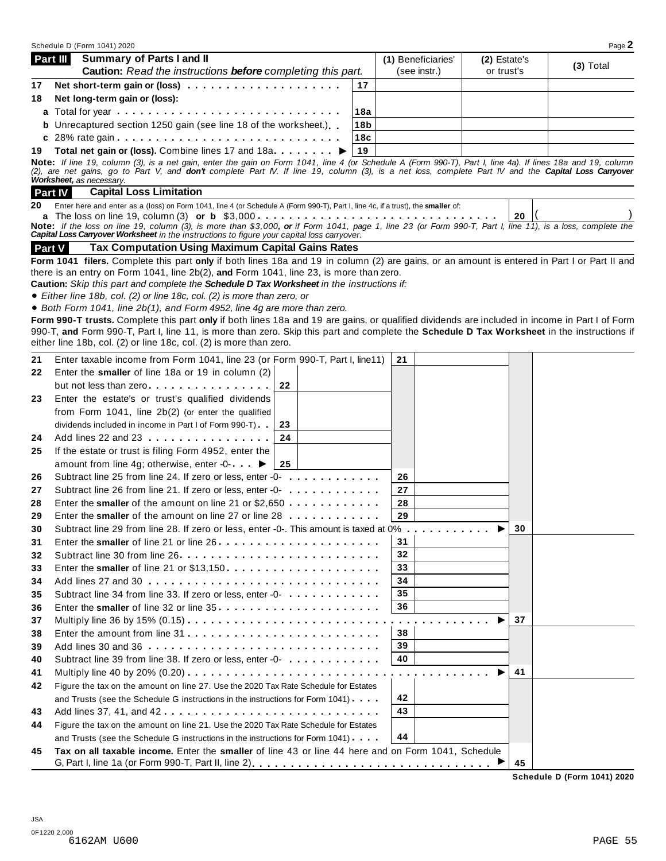|          | Schedule D (Form 1041) 2020                                                                                                                                                                                                                                                                                                       |                 |                     |              |    | Page 2      |
|----------|-----------------------------------------------------------------------------------------------------------------------------------------------------------------------------------------------------------------------------------------------------------------------------------------------------------------------------------|-----------------|---------------------|--------------|----|-------------|
|          | Part III<br><b>Summary of Parts I and II</b>                                                                                                                                                                                                                                                                                      |                 | (1) Beneficiaries'  | (2) Estate's |    | $(3)$ Total |
|          | Caution: Read the instructions before completing this part.                                                                                                                                                                                                                                                                       |                 | (see instr.)        | or trust's   |    |             |
| 17       |                                                                                                                                                                                                                                                                                                                                   | 17              |                     |              |    |             |
| 18       | Net long-term gain or (loss):                                                                                                                                                                                                                                                                                                     |                 |                     |              |    |             |
|          |                                                                                                                                                                                                                                                                                                                                   | 18a             |                     |              |    |             |
|          | <b>b</b> Unrecaptured section 1250 gain (see line 18 of the worksheet.)                                                                                                                                                                                                                                                           | 18 <sub>b</sub> |                     |              |    |             |
|          |                                                                                                                                                                                                                                                                                                                                   | 18c             |                     |              |    |             |
| 19       | Total net gain or (loss). Combine lines 17 and 18a ▶                                                                                                                                                                                                                                                                              | 19              |                     |              |    |             |
|          | Note: If line 19, column (3), is a net gain, enter the gain on Form 1041, line 4 (or Schedule A (Form 990-T), Part I, line 4a). If lines 18a and 19, column<br>(2), are net gains, go to Part V, and <b>don't</b> complete Part IV. If line 19, column (3), is a net loss, complete Part IV and the <b>Capital Loss Carryover</b> |                 |                     |              |    |             |
|          | Worksheet, as necessary.                                                                                                                                                                                                                                                                                                          |                 |                     |              |    |             |
|          | <b>Part IV</b><br><b>Capital Loss Limitation</b>                                                                                                                                                                                                                                                                                  |                 |                     |              |    |             |
| 20       | Enter here and enter as a (loss) on Form 1041, line 4 (or Schedule A (Form 990-T), Part I, line 4c, if a trust), the smaller of:                                                                                                                                                                                                  |                 |                     |              |    |             |
|          |                                                                                                                                                                                                                                                                                                                                   |                 |                     |              | 20 |             |
|          | Note: If the loss on line 19, column (3), is more than \$3,000, or if Form 1041, page 1, line 23 (or Form 990-T, Part I, line 11), is a loss, complete the<br>Capital Loss Carryover Worksheet in the instructions to figure your capital loss carryover.                                                                         |                 |                     |              |    |             |
|          | <b>Tax Computation Using Maximum Capital Gains Rates</b><br><b>Part V</b>                                                                                                                                                                                                                                                         |                 |                     |              |    |             |
|          | Form 1041 filers. Complete this part only if both lines 18a and 19 in column (2) are gains, or an amount is entered in Part I or Part II and                                                                                                                                                                                      |                 |                     |              |    |             |
|          | there is an entry on Form 1041, line 2b(2), and Form 1041, line 23, is more than zero.                                                                                                                                                                                                                                            |                 |                     |              |    |             |
|          | Caution: Skip this part and complete the Schedule D Tax Worksheet in the instructions if:                                                                                                                                                                                                                                         |                 |                     |              |    |             |
|          | • Either line 18b, col. (2) or line 18c, col. (2) is more than zero, or                                                                                                                                                                                                                                                           |                 |                     |              |    |             |
|          | • Both Form 1041, line 2b(1), and Form 4952, line 4g are more than zero.                                                                                                                                                                                                                                                          |                 |                     |              |    |             |
|          | Form 990-T trusts. Complete this part only if both lines 18a and 19 are gains, or qualified dividends are included in income in Part I of Form                                                                                                                                                                                    |                 |                     |              |    |             |
|          | 990-T, and Form 990-T, Part I, line 11, is more than zero. Skip this part and complete the Schedule D Tax Worksheet in the instructions if                                                                                                                                                                                        |                 |                     |              |    |             |
|          | either line 18b, col. (2) or line 18c, col. (2) is more than zero.                                                                                                                                                                                                                                                                |                 |                     |              |    |             |
| 21       | Enter taxable income from Form 1041, line 23 (or Form 990-T, Part I, line11)                                                                                                                                                                                                                                                      |                 | 21                  |              |    |             |
| 22       | Enter the smaller of line 18a or 19 in column (2)                                                                                                                                                                                                                                                                                 |                 |                     |              |    |             |
|          | but not less than zero<br>22                                                                                                                                                                                                                                                                                                      |                 |                     |              |    |             |
| 23       | Enter the estate's or trust's qualified dividends                                                                                                                                                                                                                                                                                 |                 |                     |              |    |             |
|          | from Form 1041, line 2b(2) (or enter the qualified                                                                                                                                                                                                                                                                                |                 |                     |              |    |             |
|          | dividends included in income in Part I of Form 990-T)<br>23                                                                                                                                                                                                                                                                       |                 |                     |              |    |             |
| 24       | Add lines 22 and 23<br>24                                                                                                                                                                                                                                                                                                         |                 |                     |              |    |             |
| 25       | If the estate or trust is filing Form 4952, enter the                                                                                                                                                                                                                                                                             |                 |                     |              |    |             |
|          | amount from line 4g; otherwise, enter -0- ▶<br>25                                                                                                                                                                                                                                                                                 |                 |                     |              |    |             |
| 26       | Subtract line 25 from line 24. If zero or less, enter -0-<br>                                                                                                                                                                                                                                                                     |                 | 26                  |              |    |             |
| 27       | Subtract line 26 from line 21. If zero or less, enter -0-                                                                                                                                                                                                                                                                         |                 | 27                  |              |    |             |
| 28       | Enter the smaller of the amount on line 21 or $$2,650$                                                                                                                                                                                                                                                                            |                 | 28                  |              |    |             |
| 29       | Enter the smaller of the amount on line 27 or line 28                                                                                                                                                                                                                                                                             |                 | 29                  |              |    |             |
| 30       | Subtract line 29 from line 28. If zero or less, enter -0-. This amount is taxed at 0%.                                                                                                                                                                                                                                            |                 | .                   |              | 30 |             |
| 31       |                                                                                                                                                                                                                                                                                                                                   |                 | 31                  |              |    |             |
| 32       |                                                                                                                                                                                                                                                                                                                                   |                 | 32                  |              |    |             |
| 33       | Enter the smaller of line 21 or \$13,150                                                                                                                                                                                                                                                                                          |                 | 33                  |              |    |             |
| 34       |                                                                                                                                                                                                                                                                                                                                   |                 | 34                  |              |    |             |
| 35       | Subtract line 34 from line 33. If zero or less, enter -0-                                                                                                                                                                                                                                                                         |                 | 35                  |              |    |             |
| 36       | Enter the smaller of line 32 or line 35                                                                                                                                                                                                                                                                                           |                 | 36                  |              |    |             |
| 37       |                                                                                                                                                                                                                                                                                                                                   |                 | $\alpha$ , $\alpha$ |              | 37 |             |
| 38       |                                                                                                                                                                                                                                                                                                                                   |                 | 38                  |              |    |             |
| 39       |                                                                                                                                                                                                                                                                                                                                   |                 | 39                  |              |    |             |
| 40       | Subtract line 39 from line 38. If zero or less, enter -0-                                                                                                                                                                                                                                                                         |                 | 40                  |              |    |             |
| 41       |                                                                                                                                                                                                                                                                                                                                   |                 |                     |              | 41 |             |
|          | Figure the tax on the amount on line 27. Use the 2020 Tax Rate Schedule for Estates                                                                                                                                                                                                                                               |                 |                     |              |    |             |
| 42       | and Trusts (see the Schedule G instructions in the instructions for Form 1041).                                                                                                                                                                                                                                                   |                 | 42                  |              |    |             |
|          | Add lines 37, 41, and 42                                                                                                                                                                                                                                                                                                          |                 | 43                  |              |    |             |
| 43<br>44 |                                                                                                                                                                                                                                                                                                                                   |                 |                     |              |    |             |
|          | Figure the tax on the amount on line 21. Use the 2020 Tax Rate Schedule for Estates                                                                                                                                                                                                                                               |                 |                     |              |    |             |
|          |                                                                                                                                                                                                                                                                                                                                   |                 |                     |              |    |             |
| 45       | and Trusts (see the Schedule G instructions in the instructions for Form 1041).<br>Tax on all taxable income. Enter the smaller of line 43 or line 44 here and on Form 1041, Schedule                                                                                                                                             |                 | 44                  |              |    |             |

**Schedule D (Form 1041) 2020**